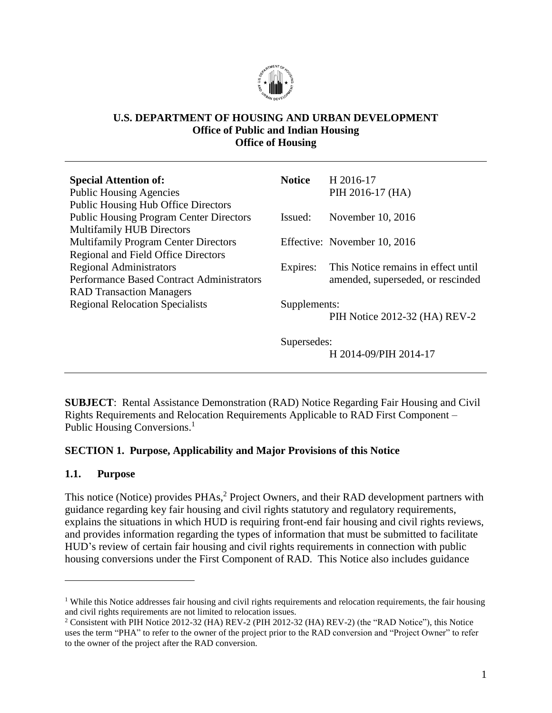

#### **U.S. DEPARTMENT OF HOUSING AND URBAN DEVELOPMENT Office of Public and Indian Housing Office of Housing**

| <b>Special Attention of:</b>                     | <b>Notice</b> | H 2016-17                           |  |
|--------------------------------------------------|---------------|-------------------------------------|--|
| <b>Public Housing Agencies</b>                   |               | PIH 2016-17 (HA)                    |  |
| <b>Public Housing Hub Office Directors</b>       |               |                                     |  |
| <b>Public Housing Program Center Directors</b>   | Issued:       | November 10, 2016                   |  |
| <b>Multifamily HUB Directors</b>                 |               |                                     |  |
| <b>Multifamily Program Center Directors</b>      |               | Effective: November 10, 2016        |  |
| Regional and Field Office Directors              |               |                                     |  |
| <b>Regional Administrators</b>                   | Expires:      | This Notice remains in effect until |  |
| <b>Performance Based Contract Administrators</b> |               | amended, superseded, or rescinded   |  |
| <b>RAD Transaction Managers</b>                  |               |                                     |  |
| <b>Regional Relocation Specialists</b>           | Supplements:  |                                     |  |
|                                                  |               | PIH Notice 2012-32 (HA) REV-2       |  |
|                                                  | Supersedes:   |                                     |  |
|                                                  |               | H 2014-09/PIH 2014-17               |  |
|                                                  |               |                                     |  |

**SUBJECT**: Rental Assistance Demonstration (RAD) Notice Regarding Fair Housing and Civil Rights Requirements and Relocation Requirements Applicable to RAD First Component – Public Housing Conversions.<sup>1</sup>

#### <span id="page-0-0"></span>**SECTION 1. Purpose, Applicability and Major Provisions of this Notice**

#### <span id="page-0-1"></span>**1.1. Purpose**

 $\overline{a}$ 

This notice (Notice) provides PHAs,<sup>2</sup> Project Owners, and their RAD development partners with guidance regarding key fair housing and civil rights statutory and regulatory requirements, explains the situations in which HUD is requiring front-end fair housing and civil rights reviews, and provides information regarding the types of information that must be submitted to facilitate HUD's review of certain fair housing and civil rights requirements in connection with public housing conversions under the First Component of RAD. This Notice also includes guidance

<sup>&</sup>lt;sup>1</sup> While this Notice addresses fair housing and civil rights requirements and relocation requirements, the fair housing and civil rights requirements are not limited to relocation issues.

<sup>2</sup> Consistent with PIH Notice 2012-32 (HA) REV-2 (PIH 2012-32 (HA) REV-2) (the "RAD Notice"), this Notice uses the term "PHA" to refer to the owner of the project prior to the RAD conversion and "Project Owner" to refer to the owner of the project after the RAD conversion.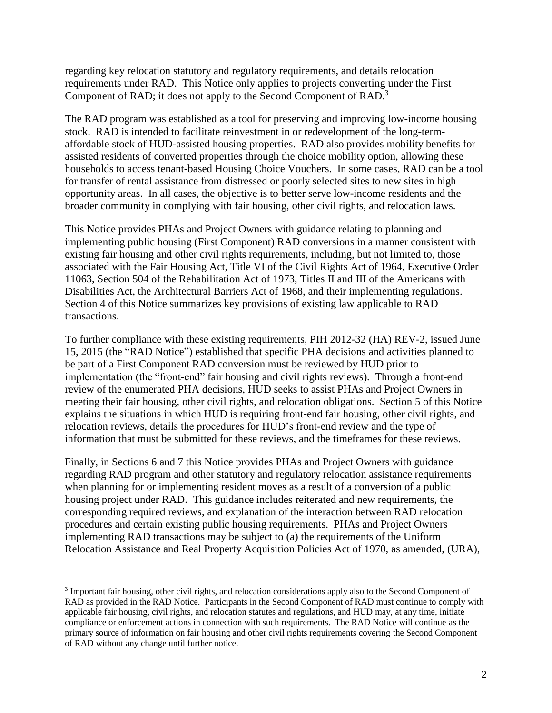regarding key relocation statutory and regulatory requirements, and details relocation requirements under RAD. This Notice only applies to projects converting under the First Component of RAD; it does not apply to the Second Component of RAD.<sup>3</sup>

The RAD program was established as a tool for preserving and improving low-income housing stock. RAD is intended to facilitate reinvestment in or redevelopment of the long-termaffordable stock of HUD-assisted housing properties. RAD also provides mobility benefits for assisted residents of converted properties through the choice mobility option, allowing these households to access tenant-based Housing Choice Vouchers. In some cases, RAD can be a tool for transfer of rental assistance from distressed or poorly selected sites to new sites in high opportunity areas. In all cases, the objective is to better serve low-income residents and the broader community in complying with fair housing, other civil rights, and relocation laws.

This Notice provides PHAs and Project Owners with guidance relating to planning and implementing public housing (First Component) RAD conversions in a manner consistent with existing fair housing and other civil rights requirements, including, but not limited to, those associated with the Fair Housing Act, Title VI of the Civil Rights Act of 1964, Executive Order 11063, Section 504 of the Rehabilitation Act of 1973, Titles II and III of the Americans with Disabilities Act, the Architectural Barriers Act of 1968, and their implementing regulations. Section 4 of this Notice summarizes key provisions of existing law applicable to RAD transactions.

To further compliance with these existing requirements, PIH 2012-32 (HA) REV-2, issued June 15, 2015 (the "RAD Notice") established that specific PHA decisions and activities planned to be part of a First Component RAD conversion must be reviewed by HUD prior to implementation (the "front-end" fair housing and civil rights reviews). Through a front-end review of the enumerated PHA decisions, HUD seeks to assist PHAs and Project Owners in meeting their fair housing, other civil rights, and relocation obligations. Section 5 of this Notice explains the situations in which HUD is requiring front-end fair housing, other civil rights, and relocation reviews, details the procedures for HUD's front-end review and the type of information that must be submitted for these reviews, and the timeframes for these reviews.

Finally, in Sections 6 and 7 this Notice provides PHAs and Project Owners with guidance regarding RAD program and other statutory and regulatory relocation assistance requirements when planning for or implementing resident moves as a result of a conversion of a public housing project under RAD. This guidance includes reiterated and new requirements, the corresponding required reviews, and explanation of the interaction between RAD relocation procedures and certain existing public housing requirements. PHAs and Project Owners implementing RAD transactions may be subject to (a) the requirements of the Uniform Relocation Assistance and Real Property Acquisition Policies Act of 1970, as amended, (URA),

<sup>&</sup>lt;sup>3</sup> Important fair housing, other civil rights, and relocation considerations apply also to the Second Component of RAD as provided in the RAD Notice. Participants in the Second Component of RAD must continue to comply with applicable fair housing, civil rights, and relocation statutes and regulations, and HUD may, at any time, initiate compliance or enforcement actions in connection with such requirements. The RAD Notice will continue as the primary source of information on fair housing and other civil rights requirements covering the Second Component of RAD without any change until further notice.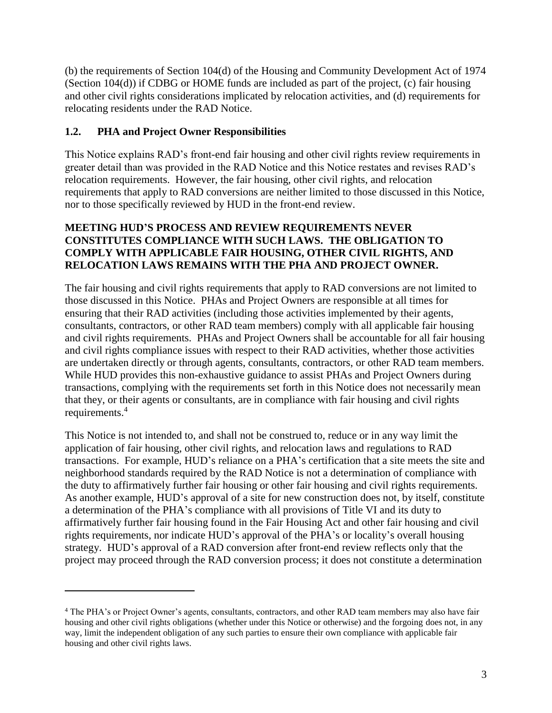(b) the requirements of Section 104(d) of the Housing and Community Development Act of 1974 (Section 104(d)) if CDBG or HOME funds are included as part of the project, (c) fair housing and other civil rights considerations implicated by relocation activities, and (d) requirements for relocating residents under the RAD Notice.

### <span id="page-2-0"></span>**1.2. PHA and Project Owner Responsibilities**

 $\overline{a}$ 

This Notice explains RAD's front-end fair housing and other civil rights review requirements in greater detail than was provided in the RAD Notice and this Notice restates and revises RAD's relocation requirements. However, the fair housing, other civil rights, and relocation requirements that apply to RAD conversions are neither limited to those discussed in this Notice, nor to those specifically reviewed by HUD in the front-end review.

#### **MEETING HUD'S PROCESS AND REVIEW REQUIREMENTS NEVER CONSTITUTES COMPLIANCE WITH SUCH LAWS. THE OBLIGATION TO COMPLY WITH APPLICABLE FAIR HOUSING, OTHER CIVIL RIGHTS, AND RELOCATION LAWS REMAINS WITH THE PHA AND PROJECT OWNER.**

The fair housing and civil rights requirements that apply to RAD conversions are not limited to those discussed in this Notice. PHAs and Project Owners are responsible at all times for ensuring that their RAD activities (including those activities implemented by their agents, consultants, contractors, or other RAD team members) comply with all applicable fair housing and civil rights requirements. PHAs and Project Owners shall be accountable for all fair housing and civil rights compliance issues with respect to their RAD activities, whether those activities are undertaken directly or through agents, consultants, contractors, or other RAD team members. While HUD provides this non-exhaustive guidance to assist PHAs and Project Owners during transactions, complying with the requirements set forth in this Notice does not necessarily mean that they, or their agents or consultants, are in compliance with fair housing and civil rights requirements.<sup>4</sup>

This Notice is not intended to, and shall not be construed to, reduce or in any way limit the application of fair housing, other civil rights, and relocation laws and regulations to RAD transactions. For example, HUD's reliance on a PHA's certification that a site meets the site and neighborhood standards required by the RAD Notice is not a determination of compliance with the duty to affirmatively further fair housing or other fair housing and civil rights requirements. As another example, HUD's approval of a site for new construction does not, by itself, constitute a determination of the PHA's compliance with all provisions of Title VI and its duty to affirmatively further fair housing found in the Fair Housing Act and other fair housing and civil rights requirements, nor indicate HUD's approval of the PHA's or locality's overall housing strategy. HUD's approval of a RAD conversion after front-end review reflects only that the project may proceed through the RAD conversion process; it does not constitute a determination

<sup>4</sup> The PHA's or Project Owner's agents, consultants, contractors, and other RAD team members may also have fair housing and other civil rights obligations (whether under this Notice or otherwise) and the forgoing does not, in any way, limit the independent obligation of any such parties to ensure their own compliance with applicable fair housing and other civil rights laws.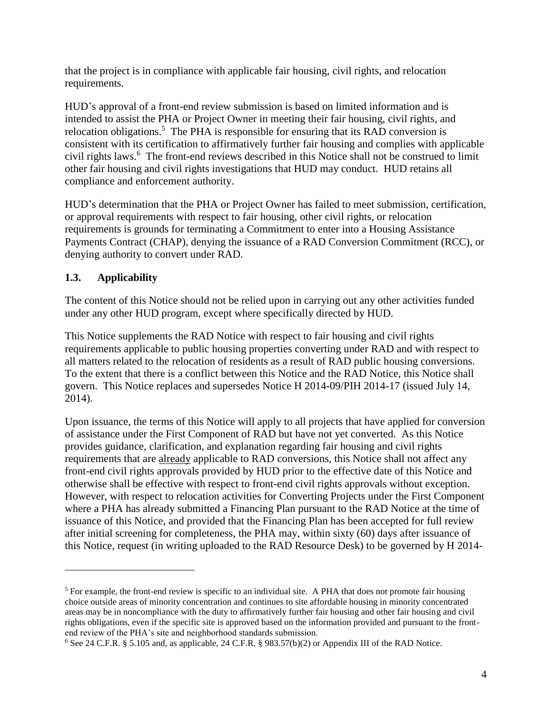that the project is in compliance with applicable fair housing, civil rights, and relocation requirements.

HUD's approval of a front-end review submission is based on limited information and is intended to assist the PHA or Project Owner in meeting their fair housing, civil rights, and relocation obligations.<sup>5</sup> The PHA is responsible for ensuring that its RAD conversion is consistent with its certification to affirmatively further fair housing and complies with applicable civil rights laws.<sup>6</sup> The front-end reviews described in this Notice shall not be construed to limit other fair housing and civil rights investigations that HUD may conduct. HUD retains all compliance and enforcement authority.

HUD's determination that the PHA or Project Owner has failed to meet submission, certification, or approval requirements with respect to fair housing, other civil rights, or relocation requirements is grounds for terminating a Commitment to enter into a Housing Assistance Payments Contract (CHAP), denying the issuance of a RAD Conversion Commitment (RCC), or denying authority to convert under RAD.

### <span id="page-3-0"></span>**1.3. Applicability**

 $\overline{a}$ 

The content of this Notice should not be relied upon in carrying out any other activities funded under any other HUD program, except where specifically directed by HUD.

This Notice supplements the RAD Notice with respect to fair housing and civil rights requirements applicable to public housing properties converting under RAD and with respect to all matters related to the relocation of residents as a result of RAD public housing conversions. To the extent that there is a conflict between this Notice and the RAD Notice, this Notice shall govern. This Notice replaces and supersedes Notice H 2014-09/PIH 2014-17 (issued July 14, 2014).

Upon issuance, the terms of this Notice will apply to all projects that have applied for conversion of assistance under the First Component of RAD but have not yet converted. As this Notice provides guidance, clarification, and explanation regarding fair housing and civil rights requirements that are already applicable to RAD conversions, this Notice shall not affect any front-end civil rights approvals provided by HUD prior to the effective date of this Notice and otherwise shall be effective with respect to front-end civil rights approvals without exception. However, with respect to relocation activities for Converting Projects under the First Component where a PHA has already submitted a Financing Plan pursuant to the RAD Notice at the time of issuance of this Notice, and provided that the Financing Plan has been accepted for full review after initial screening for completeness, the PHA may, within sixty (60) days after issuance of this Notice, request (in writing uploaded to the RAD Resource Desk) to be governed by H 2014-

<sup>&</sup>lt;sup>5</sup> For example, the front-end review is specific to an individual site. A PHA that does not promote fair housing choice outside areas of minority concentration and continues to site affordable housing in minority concentrated areas may be in noncompliance with the duty to affirmatively further fair housing and other fair housing and civil rights obligations, even if the specific site is approved based on the information provided and pursuant to the frontend review of the PHA's site and neighborhood standards submission.

<sup>6</sup> See 24 C.F.R. § 5.105 and, as applicable, 24 C.F.R. § 983.57(b)(2) or Appendix III of the RAD Notice.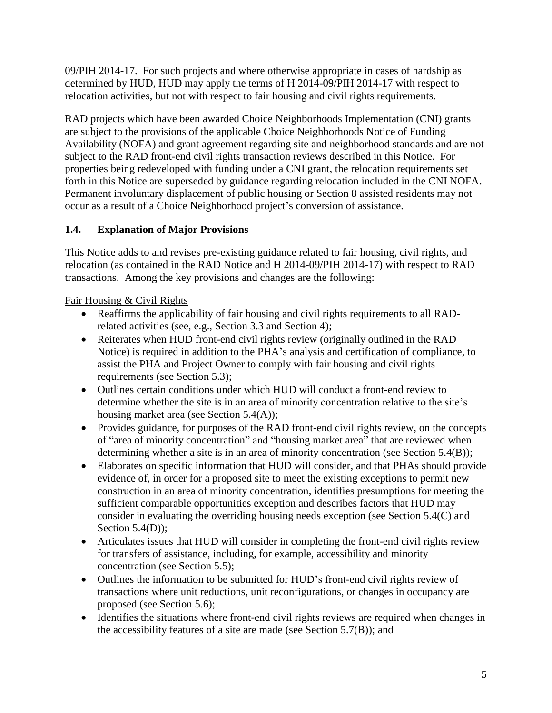09/PIH 2014-17. For such projects and where otherwise appropriate in cases of hardship as determined by HUD, HUD may apply the terms of H 2014-09/PIH 2014-17 with respect to relocation activities, but not with respect to fair housing and civil rights requirements.

RAD projects which have been awarded Choice Neighborhoods Implementation (CNI) grants are subject to the provisions of the applicable Choice Neighborhoods Notice of Funding Availability (NOFA) and grant agreement regarding site and neighborhood standards and are not subject to the RAD front-end civil rights transaction reviews described in this Notice. For properties being redeveloped with funding under a CNI grant, the relocation requirements set forth in this Notice are superseded by guidance regarding relocation included in the CNI NOFA. Permanent involuntary displacement of public housing or Section 8 assisted residents may not occur as a result of a Choice Neighborhood project's conversion of assistance.

## <span id="page-4-0"></span>**1.4. Explanation of Major Provisions**

This Notice adds to and revises pre-existing guidance related to fair housing, civil rights, and relocation (as contained in the RAD Notice and H 2014-09/PIH 2014-17) with respect to RAD transactions. Among the key provisions and changes are the following:

## Fair Housing & Civil Rights

- Reaffirms the applicability of fair housing and civil rights requirements to all RADrelated activities (see, e.g., Section 3.3 and Section 4);
- Reiterates when HUD front-end civil rights review (originally outlined in the RAD Notice) is required in addition to the PHA's analysis and certification of compliance, to assist the PHA and Project Owner to comply with fair housing and civil rights requirements (see Section 5.3);
- Outlines certain conditions under which HUD will conduct a front-end review to determine whether the site is in an area of minority concentration relative to the site's housing market area (see Section 5.4(A));
- Provides guidance, for purposes of the RAD front-end civil rights review, on the concepts of "area of minority concentration" and "housing market area" that are reviewed when determining whether a site is in an area of minority concentration (see Section 5.4(B));
- Elaborates on specific information that HUD will consider, and that PHAs should provide evidence of, in order for a proposed site to meet the existing exceptions to permit new construction in an area of minority concentration, identifies presumptions for meeting the sufficient comparable opportunities exception and describes factors that HUD may consider in evaluating the overriding housing needs exception (see Section 5.4(C) and Section 5.4(D)):
- Articulates issues that HUD will consider in completing the front-end civil rights review for transfers of assistance, including, for example, accessibility and minority concentration (see Section 5.5);
- Outlines the information to be submitted for HUD's front-end civil rights review of transactions where unit reductions, unit reconfigurations, or changes in occupancy are proposed (see Section 5.6);
- Identifies the situations where front-end civil rights reviews are required when changes in the accessibility features of a site are made (see Section 5.7(B)); and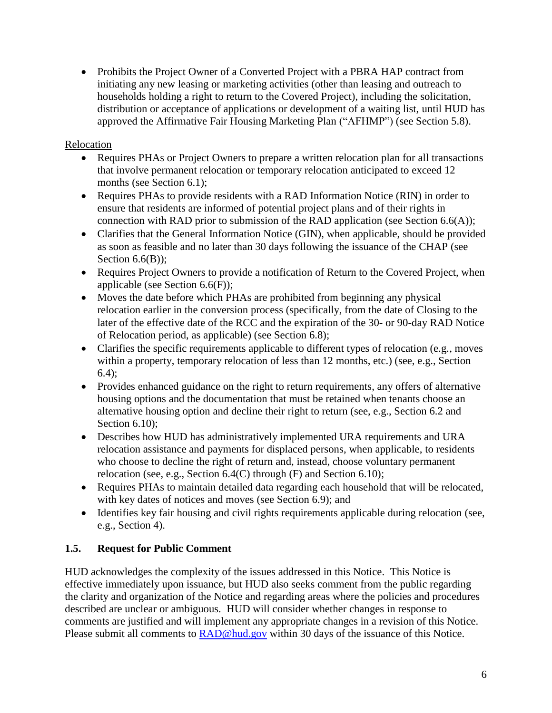• Prohibits the Project Owner of a Converted Project with a PBRA HAP contract from initiating any new leasing or marketing activities (other than leasing and outreach to households holding a right to return to the Covered Project), including the solicitation, distribution or acceptance of applications or development of a waiting list, until HUD has approved the Affirmative Fair Housing Marketing Plan ("AFHMP") (see Section 5.8).

### Relocation

- Requires PHAs or Project Owners to prepare a written relocation plan for all transactions that involve permanent relocation or temporary relocation anticipated to exceed 12 months (see Section 6.1);
- Requires PHAs to provide residents with a RAD Information Notice (RIN) in order to ensure that residents are informed of potential project plans and of their rights in connection with RAD prior to submission of the RAD application (see Section 6.6(A));
- Clarifies that the General Information Notice (GIN), when applicable, should be provided as soon as feasible and no later than 30 days following the issuance of the CHAP (see Section  $6.6(B)$ ;
- Requires Project Owners to provide a notification of Return to the Covered Project, when applicable (see Section 6.6(F));
- Moves the date before which PHAs are prohibited from beginning any physical relocation earlier in the conversion process (specifically, from the date of Closing to the later of the effective date of the RCC and the expiration of the 30- or 90-day RAD Notice of Relocation period, as applicable) (see Section 6.8);
- Clarifies the specific requirements applicable to different types of relocation (e.g., moves within a property, temporary relocation of less than 12 months, etc.) (see, e.g., Section 6.4);
- Provides enhanced guidance on the right to return requirements, any offers of alternative housing options and the documentation that must be retained when tenants choose an alternative housing option and decline their right to return (see, e.g., Section 6.2 and Section 6.10):
- Describes how HUD has administratively implemented URA requirements and URA relocation assistance and payments for displaced persons, when applicable, to residents who choose to decline the right of return and, instead, choose voluntary permanent relocation (see, e.g., Section 6.4(C) through (F) and Section 6.10);
- Requires PHAs to maintain detailed data regarding each household that will be relocated, with key dates of notices and moves (see Section 6.9); and
- Identifies key fair housing and civil rights requirements applicable during relocation (see, e.g., Section 4).

### <span id="page-5-0"></span>**1.5. Request for Public Comment**

HUD acknowledges the complexity of the issues addressed in this Notice. This Notice is effective immediately upon issuance, but HUD also seeks comment from the public regarding the clarity and organization of the Notice and regarding areas where the policies and procedures described are unclear or ambiguous. HUD will consider whether changes in response to comments are justified and will implement any appropriate changes in a revision of this Notice. Please submit all comments to **RAD@hud.gov** within 30 days of the issuance of this Notice.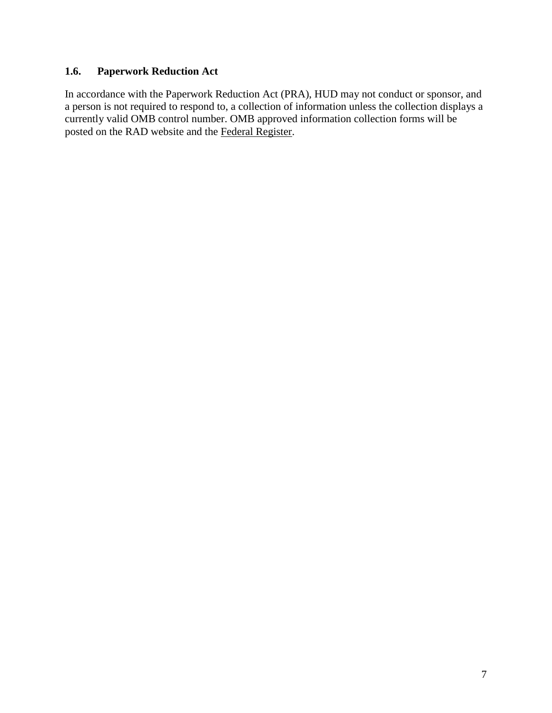### <span id="page-6-0"></span>**1.6. Paperwork Reduction Act**

In accordance with the Paperwork Reduction Act (PRA), HUD may not conduct or sponsor, and a person is not required to respond to, a collection of information unless the collection displays a currently valid OMB control number. OMB approved information collection forms will be posted on the RAD website and the Federal Register.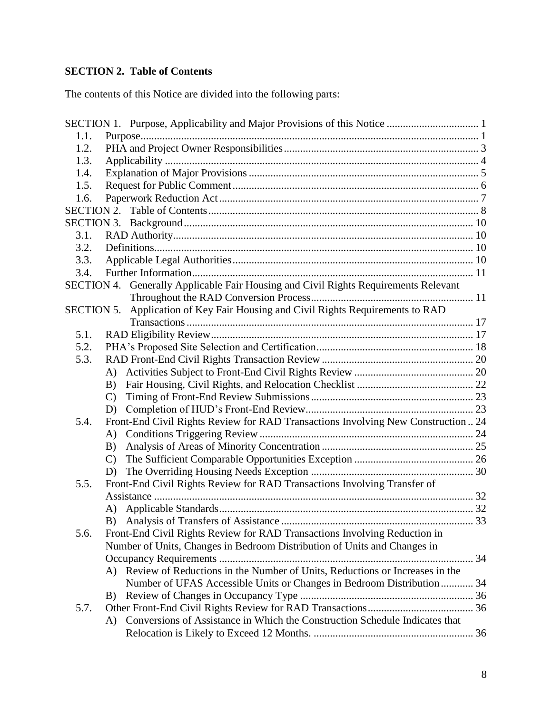# <span id="page-7-0"></span>**SECTION 2. Table of Contents**

The contents of this Notice are divided into the following parts:

| 1.1.              |              |                                                                                  |  |
|-------------------|--------------|----------------------------------------------------------------------------------|--|
| 1.2.              |              |                                                                                  |  |
| 1.3.              |              |                                                                                  |  |
| 1.4.              |              |                                                                                  |  |
| 1.5.              |              |                                                                                  |  |
| 1.6.              |              |                                                                                  |  |
| <b>SECTION 2.</b> |              |                                                                                  |  |
| <b>SECTION 3.</b> |              |                                                                                  |  |
| 3.1.              |              |                                                                                  |  |
| 3.2.              |              |                                                                                  |  |
| 3.3.              |              |                                                                                  |  |
| 3.4.              |              |                                                                                  |  |
| SECTION 4.        |              | Generally Applicable Fair Housing and Civil Rights Requirements Relevant         |  |
|                   |              |                                                                                  |  |
| <b>SECTION 5.</b> |              | Application of Key Fair Housing and Civil Rights Requirements to RAD             |  |
|                   |              |                                                                                  |  |
| 5.1.              |              |                                                                                  |  |
| 5.2.              |              |                                                                                  |  |
| 5.3.              |              |                                                                                  |  |
|                   | A)           |                                                                                  |  |
|                   | B)           |                                                                                  |  |
|                   | $\mathbf{C}$ |                                                                                  |  |
|                   | D)           |                                                                                  |  |
| 5.4.              |              | Front-End Civil Rights Review for RAD Transactions Involving New Construction 24 |  |
|                   | A)           |                                                                                  |  |
|                   | B)           |                                                                                  |  |
|                   | $\mathbf{C}$ |                                                                                  |  |
|                   | D)           |                                                                                  |  |
| 5.5.              |              | Front-End Civil Rights Review for RAD Transactions Involving Transfer of         |  |
|                   |              |                                                                                  |  |
|                   | A)           |                                                                                  |  |
|                   |              |                                                                                  |  |
| 5.6.              |              | Front-End Civil Rights Review for RAD Transactions Involving Reduction in        |  |
|                   |              | Number of Units, Changes in Bedroom Distribution of Units and Changes in         |  |
|                   |              |                                                                                  |  |
|                   | A)           | Review of Reductions in the Number of Units, Reductions or Increases in the      |  |
|                   |              | Number of UFAS Accessible Units or Changes in Bedroom Distribution 34            |  |
|                   | B)           |                                                                                  |  |
| 5.7.              |              |                                                                                  |  |
|                   | A)           | Conversions of Assistance in Which the Construction Schedule Indicates that      |  |
|                   |              |                                                                                  |  |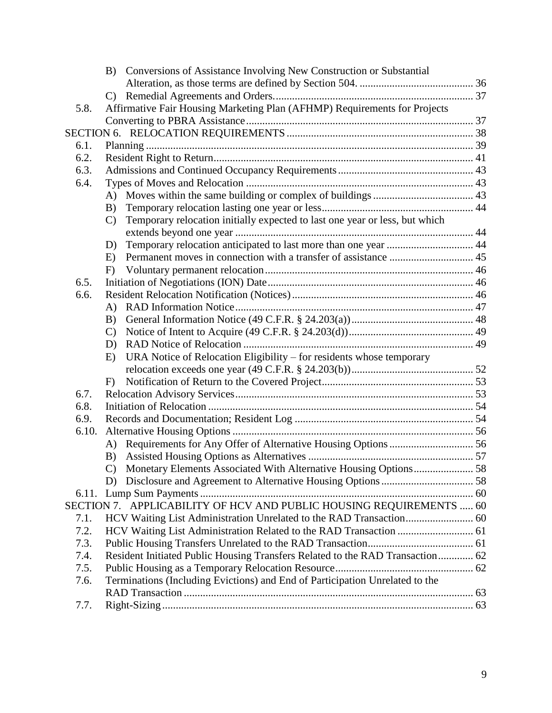|       |               | B) Conversions of Assistance Involving New Construction or Substantial        |  |
|-------|---------------|-------------------------------------------------------------------------------|--|
|       |               |                                                                               |  |
|       | $\mathcal{C}$ |                                                                               |  |
| 5.8.  |               | Affirmative Fair Housing Marketing Plan (AFHMP) Requirements for Projects     |  |
|       |               |                                                                               |  |
|       |               |                                                                               |  |
| 6.1.  |               |                                                                               |  |
| 6.2.  |               |                                                                               |  |
| 6.3.  |               |                                                                               |  |
| 6.4.  |               |                                                                               |  |
|       |               |                                                                               |  |
|       | B)            |                                                                               |  |
|       | $\mathbf{C}$  | Temporary relocation initially expected to last one year or less, but which   |  |
|       |               |                                                                               |  |
|       | D)            |                                                                               |  |
|       | E)            |                                                                               |  |
|       | F)            |                                                                               |  |
| 6.5.  |               |                                                                               |  |
| 6.6.  |               |                                                                               |  |
|       | A)            |                                                                               |  |
|       | B)            |                                                                               |  |
|       | $\mathbf{C}$  |                                                                               |  |
|       | D)            |                                                                               |  |
|       | E)            | URA Notice of Relocation Eligibility - for residents whose temporary          |  |
|       |               |                                                                               |  |
|       | F             |                                                                               |  |
| 6.7.  |               |                                                                               |  |
| 6.8.  |               |                                                                               |  |
| 6.9.  |               |                                                                               |  |
| 6.10. |               |                                                                               |  |
|       |               |                                                                               |  |
|       | B)            |                                                                               |  |
|       |               |                                                                               |  |
|       |               |                                                                               |  |
| 6.11. |               |                                                                               |  |
|       |               | SECTION 7. APPLICABILITY OF HCV AND PUBLIC HOUSING REQUIREMENTS  60           |  |
| 7.1.  |               |                                                                               |  |
| 7.2.  |               |                                                                               |  |
| 7.3.  |               |                                                                               |  |
| 7.4.  |               | Resident Initiated Public Housing Transfers Related to the RAD Transaction 62 |  |
| 7.5.  |               |                                                                               |  |
| 7.6.  |               | Terminations (Including Evictions) and End of Participation Unrelated to the  |  |
|       |               |                                                                               |  |
| 7.7.  |               |                                                                               |  |
|       |               |                                                                               |  |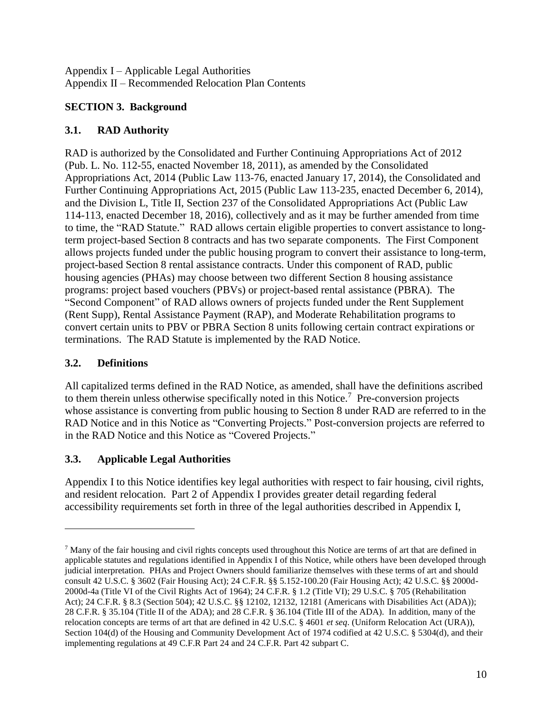Appendix I – Applicable Legal Authorities Appendix II – Recommended Relocation Plan Contents

## <span id="page-9-0"></span>**SECTION 3. Background**

## <span id="page-9-1"></span>**3.1. RAD Authority**

RAD is authorized by the Consolidated and Further Continuing Appropriations Act of 2012 (Pub. L. No. 112-55, enacted November 18, 2011), as amended by the Consolidated Appropriations Act, 2014 (Public Law 113-76, enacted January 17, 2014), the Consolidated and Further Continuing Appropriations Act, 2015 (Public Law 113-235, enacted December 6, 2014), and the Division L, Title II, Section 237 of the Consolidated Appropriations Act (Public Law 114-113, enacted December 18, 2016), collectively and as it may be further amended from time to time, the "RAD Statute." RAD allows certain eligible properties to convert assistance to longterm project-based Section 8 contracts and has two separate components. The First Component allows projects funded under the public housing program to convert their assistance to long-term, project-based Section 8 rental assistance contracts. Under this component of RAD, public housing agencies (PHAs) may choose between two different Section 8 housing assistance programs: project based vouchers (PBVs) or project-based rental assistance (PBRA). The "Second Component" of RAD allows owners of projects funded under the Rent Supplement (Rent Supp), Rental Assistance Payment (RAP), and Moderate Rehabilitation programs to convert certain units to PBV or PBRA Section 8 units following certain contract expirations or terminations. The RAD Statute is implemented by the RAD Notice.

# <span id="page-9-2"></span>**3.2. Definitions**

 $\overline{a}$ 

All capitalized terms defined in the RAD Notice, as amended, shall have the definitions ascribed to them therein unless otherwise specifically noted in this Notice.<sup>7</sup> Pre-conversion projects whose assistance is converting from public housing to Section 8 under RAD are referred to in the RAD Notice and in this Notice as "Converting Projects." Post-conversion projects are referred to in the RAD Notice and this Notice as "Covered Projects."

# <span id="page-9-3"></span>**3.3. Applicable Legal Authorities**

Appendix I to this Notice identifies key legal authorities with respect to fair housing, civil rights, and resident relocation. Part 2 of Appendix I provides greater detail regarding federal accessibility requirements set forth in three of the legal authorities described in Appendix I,

 $<sup>7</sup>$  Many of the fair housing and civil rights concepts used throughout this Notice are terms of art that are defined in</sup> applicable statutes and regulations identified in Appendix I of this Notice, while others have been developed through judicial interpretation. PHAs and Project Owners should familiarize themselves with these terms of art and should consult 42 U.S.C. § 3602 (Fair Housing Act); 24 C.F.R. §§ 5.152-100.20 (Fair Housing Act); 42 U.S.C. §§ 2000d-2000d-4a (Title VI of the Civil Rights Act of 1964); 24 C.F.R. § 1.2 (Title VI); 29 U.S.C. § 705 (Rehabilitation Act); 24 C.F.R. § 8.3 (Section 504); 42 U.S.C. §§ 12102, 12132, 12181 (Americans with Disabilities Act (ADA)); 28 C.F.R. § 35.104 (Title II of the ADA); and 28 C.F.R. § 36.104 (Title III of the ADA). In addition, many of the relocation concepts are terms of art that are defined in 42 U.S.C. § 4601 *et seq*. (Uniform Relocation Act (URA)), Section 104(d) of the Housing and Community Development Act of 1974 codified at 42 U.S.C. § 5304(d), and their implementing regulations at 49 C.F.R Part 24 and 24 C.F.R. Part 42 subpart C.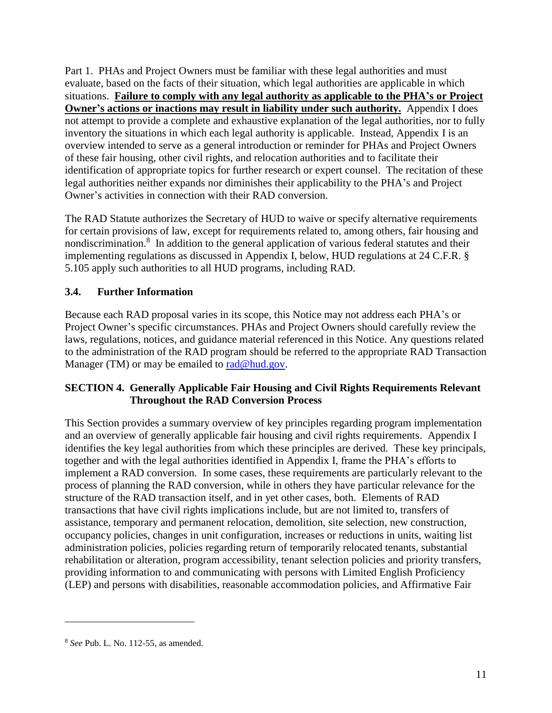Part 1. PHAs and Project Owners must be familiar with these legal authorities and must evaluate, based on the facts of their situation, which legal authorities are applicable in which situations. **Failure to comply with any legal authority as applicable to the PHA's or Project Owner's actions or inactions may result in liability under such authority.** Appendix I does not attempt to provide a complete and exhaustive explanation of the legal authorities, nor to fully inventory the situations in which each legal authority is applicable. Instead, Appendix I is an overview intended to serve as a general introduction or reminder for PHAs and Project Owners of these fair housing, other civil rights, and relocation authorities and to facilitate their identification of appropriate topics for further research or expert counsel. The recitation of these legal authorities neither expands nor diminishes their applicability to the PHA's and Project Owner's activities in connection with their RAD conversion.

The RAD Statute authorizes the Secretary of HUD to waive or specify alternative requirements for certain provisions of law, except for requirements related to, among others, fair housing and nondiscrimination.<sup>8</sup> In addition to the general application of various federal statutes and their implementing regulations as discussed in Appendix I, below, HUD regulations at 24 C.F.R. § 5.105 apply such authorities to all HUD programs, including RAD.

### <span id="page-10-0"></span>**3.4. Further Information**

Because each RAD proposal varies in its scope, this Notice may not address each PHA's or Project Owner's specific circumstances. PHAs and Project Owners should carefully review the laws, regulations, notices, and guidance material referenced in this Notice. Any questions related to the administration of the RAD program should be referred to the appropriate RAD Transaction Manager (TM) or may be emailed to [rad@hud.gov.](mailto:rad@hud.gov)

#### <span id="page-10-1"></span>**SECTION 4. Generally Applicable Fair Housing and Civil Rights Requirements Relevant Throughout the RAD Conversion Process**

This Section provides a summary overview of key principles regarding program implementation and an overview of generally applicable fair housing and civil rights requirements. Appendix I identifies the key legal authorities from which these principles are derived. These key principals, together and with the legal authorities identified in Appendix I, frame the PHA's efforts to implement a RAD conversion. In some cases, these requirements are particularly relevant to the process of planning the RAD conversion, while in others they have particular relevance for the structure of the RAD transaction itself, and in yet other cases, both. Elements of RAD transactions that have civil rights implications include, but are not limited to, transfers of assistance, temporary and permanent relocation, demolition, site selection, new construction, occupancy policies, changes in unit configuration, increases or reductions in units, waiting list administration policies, policies regarding return of temporarily relocated tenants, substantial rehabilitation or alteration, program accessibility, tenant selection policies and priority transfers, providing information to and communicating with persons with Limited English Proficiency (LEP) and persons with disabilities, reasonable accommodation policies, and Affirmative Fair

<sup>8</sup> *See* Pub. L. No. 112-55, as amended.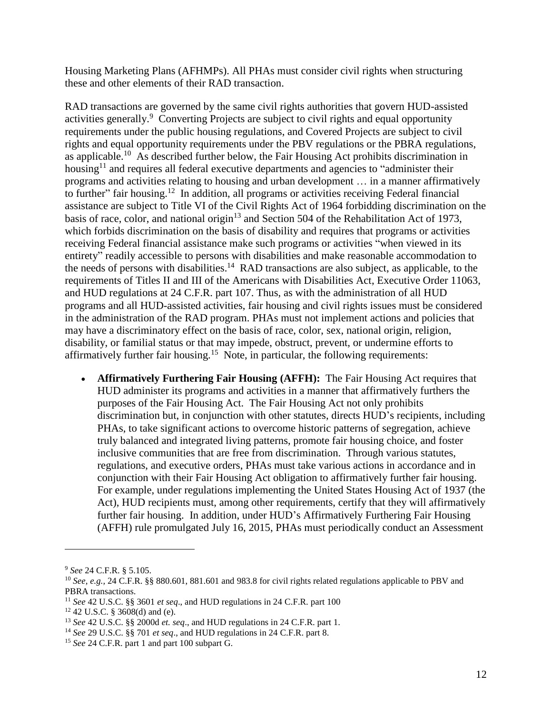Housing Marketing Plans (AFHMPs). All PHAs must consider civil rights when structuring these and other elements of their RAD transaction.

RAD transactions are governed by the same civil rights authorities that govern HUD-assisted activities generally.<sup>9</sup> Converting Projects are subject to civil rights and equal opportunity requirements under the public housing regulations, and Covered Projects are subject to civil rights and equal opportunity requirements under the PBV regulations or the PBRA regulations, as applicable.<sup>10</sup> As described further below, the Fair Housing Act prohibits discrimination in housing<sup>11</sup> and requires all federal executive departments and agencies to "administer their programs and activities relating to housing and urban development … in a manner affirmatively to further" fair housing.<sup>12</sup> In addition, all programs or activities receiving Federal financial assistance are subject to Title VI of the Civil Rights Act of 1964 forbidding discrimination on the basis of race, color, and national origin<sup>13</sup> and Section 504 of the Rehabilitation Act of 1973, which forbids discrimination on the basis of disability and requires that programs or activities receiving Federal financial assistance make such programs or activities "when viewed in its entirety" readily accessible to persons with disabilities and make reasonable accommodation to the needs of persons with disabilities.<sup>14</sup> RAD transactions are also subject, as applicable, to the requirements of Titles II and III of the Americans with Disabilities Act, Executive Order 11063, and HUD regulations at 24 C.F.R. part 107. Thus, as with the administration of all HUD programs and all HUD-assisted activities, fair housing and civil rights issues must be considered in the administration of the RAD program. PHAs must not implement actions and policies that may have a discriminatory effect on the basis of race, color, sex, national origin, religion, disability, or familial status or that may impede, obstruct, prevent, or undermine efforts to affirmatively further fair housing.<sup>15</sup> Note, in particular, the following requirements:

 **Affirmatively Furthering Fair Housing (AFFH):** The Fair Housing Act requires that HUD administer its programs and activities in a manner that affirmatively furthers the purposes of the Fair Housing Act. The Fair Housing Act not only prohibits discrimination but, in conjunction with other statutes, directs HUD's recipients, including PHAs, to take significant actions to overcome historic patterns of segregation, achieve truly balanced and integrated living patterns, promote fair housing choice, and foster inclusive communities that are free from discrimination. Through various statutes, regulations, and executive orders, PHAs must take various actions in accordance and in conjunction with their Fair Housing Act obligation to affirmatively further fair housing. For example, under regulations implementing the United States Housing Act of 1937 (the Act), HUD recipients must, among other requirements, certify that they will affirmatively further fair housing. In addition, under HUD's Affirmatively Furthering Fair Housing (AFFH) rule promulgated July 16, 2015, PHAs must periodically conduct an Assessment

<sup>9</sup> *See* 24 C.F.R. § 5.105.

<sup>10</sup> *See, e.g.,* 24 C.F.R. §§ 880.601, 881.601 and 983.8 for civil rights related regulations applicable to PBV and PBRA transactions.

<sup>11</sup> *See* 42 U.S.C. §§ 3601 *et seq*., and HUD regulations in 24 C.F.R. part 100

 $12$  42 U.S.C. § 3608(d) and (e).

<sup>13</sup> *See* 42 U.S.C. §§ 2000d *et. seq*., and HUD regulations in 24 C.F.R. part 1.

<sup>14</sup> *See* 29 U.S.C. §§ 701 *et seq*., and HUD regulations in 24 C.F.R. part 8.

<sup>15</sup> *See* 24 C.F.R. part 1 and part 100 subpart G.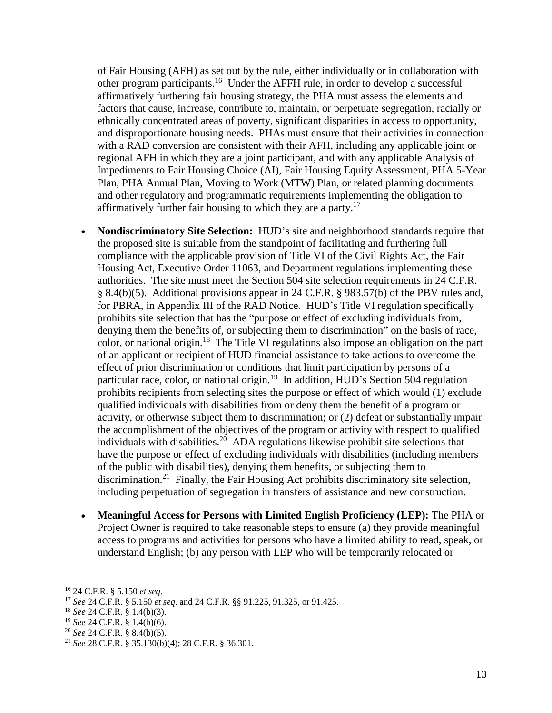of Fair Housing (AFH) as set out by the rule, either individually or in collaboration with other program participants.<sup>16</sup> Under the AFFH rule, in order to develop a successful affirmatively furthering fair housing strategy, the PHA must assess the elements and factors that cause, increase, contribute to, maintain, or perpetuate segregation, racially or ethnically concentrated areas of poverty, significant disparities in access to opportunity, and disproportionate housing needs. PHAs must ensure that their activities in connection with a RAD conversion are consistent with their AFH, including any applicable joint or regional AFH in which they are a joint participant, and with any applicable Analysis of Impediments to Fair Housing Choice (AI), Fair Housing Equity Assessment, PHA 5-Year Plan, PHA Annual Plan, Moving to Work (MTW) Plan, or related planning documents and other regulatory and programmatic requirements implementing the obligation to affirmatively further fair housing to which they are a party.<sup>17</sup>

- **Nondiscriminatory Site Selection:** HUD's site and neighborhood standards require that the proposed site is suitable from the standpoint of facilitating and furthering full compliance with the applicable provision of Title VI of the Civil Rights Act, the Fair Housing Act, Executive Order 11063, and Department regulations implementing these authorities. The site must meet the Section 504 site selection requirements in 24 C.F.R. § 8.4(b)(5). Additional provisions appear in 24 C.F.R. § 983.57(b) of the PBV rules and, for PBRA, in Appendix III of the RAD Notice. HUD's Title VI regulation specifically prohibits site selection that has the "purpose or effect of excluding individuals from, denying them the benefits of, or subjecting them to discrimination" on the basis of race, color, or national origin.<sup>18</sup> The Title VI regulations also impose an obligation on the part of an applicant or recipient of HUD financial assistance to take actions to overcome the effect of prior discrimination or conditions that limit participation by persons of a particular race, color, or national origin.<sup>19</sup> In addition, HUD's Section 504 regulation prohibits recipients from selecting sites the purpose or effect of which would (1) exclude qualified individuals with disabilities from or deny them the benefit of a program or activity, or otherwise subject them to discrimination; or (2) defeat or substantially impair the accomplishment of the objectives of the program or activity with respect to qualified individuals with disabilities.<sup>20</sup> ADA regulations likewise prohibit site selections that have the purpose or effect of excluding individuals with disabilities (including members of the public with disabilities), denying them benefits, or subjecting them to discrimination.<sup>21</sup> Finally, the Fair Housing Act prohibits discriminatory site selection, including perpetuation of segregation in transfers of assistance and new construction.
- **Meaningful Access for Persons with Limited English Proficiency (LEP):** The PHA or Project Owner is required to take reasonable steps to ensure (a) they provide meaningful access to programs and activities for persons who have a limited ability to read, speak, or understand English; (b) any person with LEP who will be temporarily relocated or

<sup>16</sup> 24 C.F.R. § 5.150 *et seq.*

<sup>17</sup> *See* 24 C.F.R. § 5.150 *et seq*. and 24 C.F.R. §§ 91.225, 91.325, or 91.425.

<sup>18</sup> *See* 24 C.F.R. § 1.4(b)(3).

<sup>19</sup> *See* 24 C.F.R. § 1.4(b)(6).

<sup>20</sup> *See* 24 C.F.R. § 8.4(b)(5).

<sup>21</sup> *See* 28 C.F.R. § 35.130(b)(4); 28 C.F.R. § 36.301.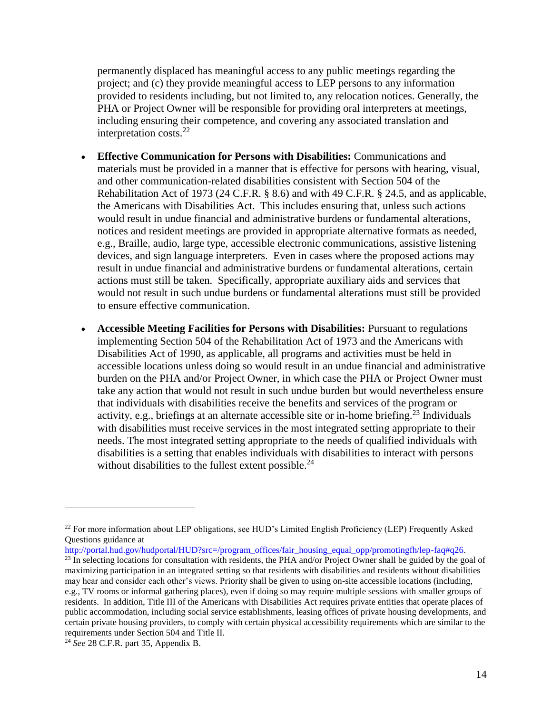permanently displaced has meaningful access to any public meetings regarding the project; and (c) they provide meaningful access to LEP persons to any information provided to residents including, but not limited to, any relocation notices. Generally, the PHA or Project Owner will be responsible for providing oral interpreters at meetings, including ensuring their competence, and covering any associated translation and interpretation costs.<sup>22</sup>

- **Effective Communication for Persons with Disabilities:** Communications and materials must be provided in a manner that is effective for persons with hearing, visual, and other communication-related disabilities consistent with Section 504 of the Rehabilitation Act of 1973 (24 C.F.R. § 8.6) and with 49 C.F.R. § 24.5, and as applicable, the Americans with Disabilities Act. This includes ensuring that, unless such actions would result in undue financial and administrative burdens or fundamental alterations, notices and resident meetings are provided in appropriate alternative formats as needed, e.g., Braille, audio, large type, accessible electronic communications, assistive listening devices, and sign language interpreters. Even in cases where the proposed actions may result in undue financial and administrative burdens or fundamental alterations, certain actions must still be taken. Specifically, appropriate auxiliary aids and services that would not result in such undue burdens or fundamental alterations must still be provided to ensure effective communication.
- **Accessible Meeting Facilities for Persons with Disabilities:** Pursuant to regulations implementing Section 504 of the Rehabilitation Act of 1973 and the Americans with Disabilities Act of 1990, as applicable, all programs and activities must be held in accessible locations unless doing so would result in an undue financial and administrative burden on the PHA and/or Project Owner, in which case the PHA or Project Owner must take any action that would not result in such undue burden but would nevertheless ensure that individuals with disabilities receive the benefits and services of the program or activity, e.g., briefings at an alternate accessible site or in-home briefing.<sup>23</sup> Individuals with disabilities must receive services in the most integrated setting appropriate to their needs. The most integrated setting appropriate to the needs of qualified individuals with disabilities is a setting that enables individuals with disabilities to interact with persons without disabilities to the fullest extent possible.<sup>24</sup>

[http://portal.hud.gov/hudportal/HUD?src=/program\\_offices/fair\\_housing\\_equal\\_opp/promotingfh/lep-faq#q26.](http://portal.hud.gov/hudportal/HUD?src=/program_offices/fair_housing_equal_opp/promotingfh/lep-faq#q26)

<sup>23</sup> In selecting locations for consultation with residents, the PHA and/or Project Owner shall be guided by the goal of maximizing participation in an integrated setting so that residents with disabilities and residents without disabilities may hear and consider each other's views. Priority shall be given to using on-site accessible locations (including, e.g., TV rooms or informal gathering places), even if doing so may require multiple sessions with smaller groups of residents. In addition, Title III of the Americans with Disabilities Act requires private entities that operate places of public accommodation, including social service establishments, leasing offices of private housing developments, and certain private housing providers, to comply with certain physical accessibility requirements which are similar to the requirements under Section 504 and Title II.

<sup>&</sup>lt;sup>22</sup> For more information about LEP obligations, see HUD's Limited English Proficiency (LEP) Frequently Asked Questions guidance at

<sup>24</sup> *See* 28 C.F.R. part 35, Appendix B.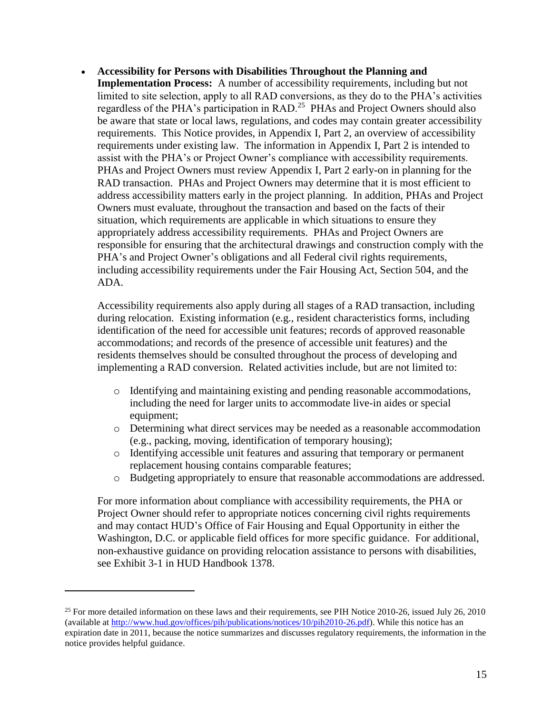**Accessibility for Persons with Disabilities Throughout the Planning and Implementation Process:** A number of accessibility requirements, including but not limited to site selection, apply to all RAD conversions, as they do to the PHA's activities regardless of the PHA's participation in RAD.<sup>25</sup> PHAs and Project Owners should also be aware that state or local laws, regulations, and codes may contain greater accessibility requirements. This Notice provides, in Appendix I, Part 2, an overview of accessibility requirements under existing law. The information in Appendix I, Part 2 is intended to assist with the PHA's or Project Owner's compliance with accessibility requirements. PHAs and Project Owners must review Appendix I, Part 2 early-on in planning for the RAD transaction. PHAs and Project Owners may determine that it is most efficient to address accessibility matters early in the project planning. In addition, PHAs and Project Owners must evaluate, throughout the transaction and based on the facts of their situation, which requirements are applicable in which situations to ensure they appropriately address accessibility requirements. PHAs and Project Owners are responsible for ensuring that the architectural drawings and construction comply with the PHA's and Project Owner's obligations and all Federal civil rights requirements, including accessibility requirements under the Fair Housing Act, Section 504, and the ADA.

Accessibility requirements also apply during all stages of a RAD transaction, including during relocation. Existing information (e.g., resident characteristics forms, including identification of the need for accessible unit features; records of approved reasonable accommodations; and records of the presence of accessible unit features) and the residents themselves should be consulted throughout the process of developing and implementing a RAD conversion. Related activities include, but are not limited to:

- o Identifying and maintaining existing and pending reasonable accommodations, including the need for larger units to accommodate live-in aides or special equipment;
- o Determining what direct services may be needed as a reasonable accommodation (e.g., packing, moving, identification of temporary housing);
- o Identifying accessible unit features and assuring that temporary or permanent replacement housing contains comparable features;
- o Budgeting appropriately to ensure that reasonable accommodations are addressed.

For more information about compliance with accessibility requirements, the PHA or Project Owner should refer to appropriate notices concerning civil rights requirements and may contact HUD's Office of Fair Housing and Equal Opportunity in either the Washington, D.C. or applicable field offices for more specific guidance. For additional, non-exhaustive guidance on providing relocation assistance to persons with disabilities, see Exhibit 3-1 in HUD Handbook 1378.

<sup>&</sup>lt;sup>25</sup> For more detailed information on these laws and their requirements, see PIH Notice 2010-26, issued July 26, 2010 (available at [http://www.hud.gov/offices/pih/publications/notices/10/pih2010-26.pdf\)](http://www.hud.gov/offices/pih/publications/notices/10/pih2010-26.pdf). While this notice has an expiration date in 2011, because the notice summarizes and discusses regulatory requirements, the information in the notice provides helpful guidance.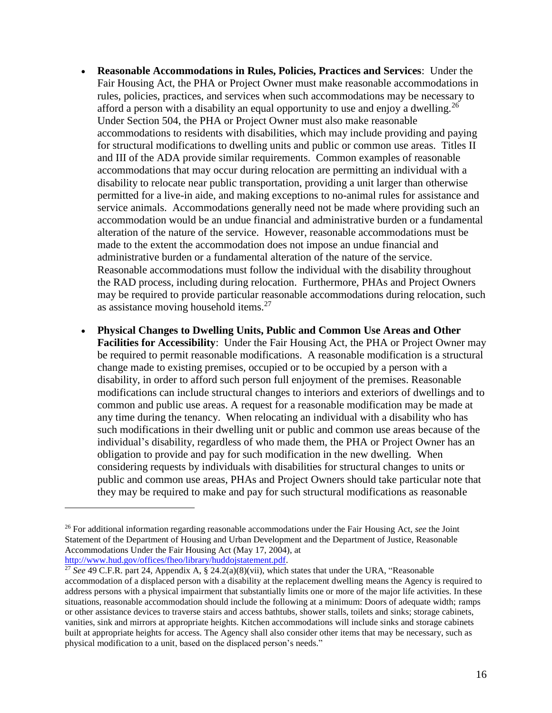- **Reasonable Accommodations in Rules, Policies, Practices and Services**: Under the Fair Housing Act, the PHA or Project Owner must make reasonable accommodations in rules, policies, practices, and services when such accommodations may be necessary to afford a person with a disability an equal opportunity to use and enjoy a dwelling.<sup>26</sup> Under Section 504, the PHA or Project Owner must also make reasonable accommodations to residents with disabilities, which may include providing and paying for structural modifications to dwelling units and public or common use areas. Titles II and III of the ADA provide similar requirements. Common examples of reasonable accommodations that may occur during relocation are permitting an individual with a disability to relocate near public transportation, providing a unit larger than otherwise permitted for a live-in aide, and making exceptions to no-animal rules for assistance and service animals. Accommodations generally need not be made where providing such an accommodation would be an undue financial and administrative burden or a fundamental alteration of the nature of the service. However, reasonable accommodations must be made to the extent the accommodation does not impose an undue financial and administrative burden or a fundamental alteration of the nature of the service. Reasonable accommodations must follow the individual with the disability throughout the RAD process, including during relocation. Furthermore, PHAs and Project Owners may be required to provide particular reasonable accommodations during relocation, such as assistance moving household items.<sup>27</sup>
- **Physical Changes to Dwelling Units, Public and Common Use Areas and Other Facilities for Accessibility**: Under the Fair Housing Act, the PHA or Project Owner may be required to permit reasonable modifications. A reasonable modification is a structural change made to existing premises, occupied or to be occupied by a person with a disability, in order to afford such person full enjoyment of the premises. Reasonable modifications can include structural changes to interiors and exteriors of dwellings and to common and public use areas. A request for a reasonable modification may be made at any time during the tenancy. When relocating an individual with a disability who has such modifications in their dwelling unit or public and common use areas because of the individual's disability, regardless of who made them, the PHA or Project Owner has an obligation to provide and pay for such modification in the new dwelling. When considering requests by individuals with disabilities for structural changes to units or public and common use areas, PHAs and Project Owners should take particular note that they may be required to make and pay for such structural modifications as reasonable

<sup>26</sup> For additional information regarding reasonable accommodations under the Fair Housing Act, *see* the Joint Statement of the Department of Housing and Urban Development and the Department of Justice, Reasonable Accommodations Under the Fair Housing Act (May 17, 2004), at [http://www.hud.gov/offices/fheo/library/huddojstatement.pdf.](http://www.hud.gov/offices/fheo/library/huddojstatement.pdf)

 $\frac{27}{27}$  *See* 49 C.F.R. part 24, Appendix A, § 24.2(a)(8)(vii), which states that under the URA, "Reasonable accommodation of a displaced person with a disability at the replacement dwelling means the Agency is required to address persons with a physical impairment that substantially limits one or more of the major life activities. In these situations, reasonable accommodation should include the following at a minimum: Doors of adequate width; ramps or other assistance devices to traverse stairs and access bathtubs, shower stalls, toilets and sinks; storage cabinets, vanities, sink and mirrors at appropriate heights. Kitchen accommodations will include sinks and storage cabinets built at appropriate heights for access. The Agency shall also consider other items that may be necessary, such as physical modification to a unit, based on the displaced person's needs."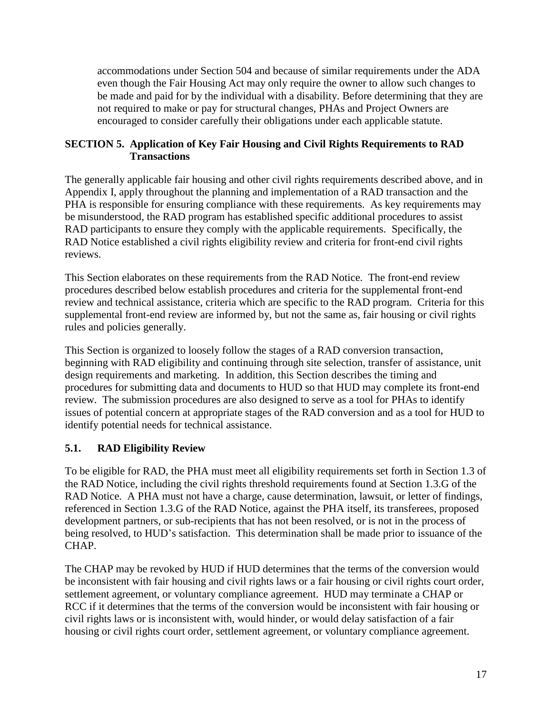accommodations under Section 504 and because of similar requirements under the ADA even though the Fair Housing Act may only require the owner to allow such changes to be made and paid for by the individual with a disability. Before determining that they are not required to make or pay for structural changes, PHAs and Project Owners are encouraged to consider carefully their obligations under each applicable statute.

#### <span id="page-16-0"></span>**SECTION 5. Application of Key Fair Housing and Civil Rights Requirements to RAD Transactions**

The generally applicable fair housing and other civil rights requirements described above, and in Appendix I, apply throughout the planning and implementation of a RAD transaction and the PHA is responsible for ensuring compliance with these requirements. As key requirements may be misunderstood, the RAD program has established specific additional procedures to assist RAD participants to ensure they comply with the applicable requirements. Specifically, the RAD Notice established a civil rights eligibility review and criteria for front-end civil rights reviews.

This Section elaborates on these requirements from the RAD Notice. The front-end review procedures described below establish procedures and criteria for the supplemental front-end review and technical assistance, criteria which are specific to the RAD program. Criteria for this supplemental front-end review are informed by, but not the same as, fair housing or civil rights rules and policies generally.

This Section is organized to loosely follow the stages of a RAD conversion transaction, beginning with RAD eligibility and continuing through site selection, transfer of assistance, unit design requirements and marketing. In addition, this Section describes the timing and procedures for submitting data and documents to HUD so that HUD may complete its front-end review. The submission procedures are also designed to serve as a tool for PHAs to identify issues of potential concern at appropriate stages of the RAD conversion and as a tool for HUD to identify potential needs for technical assistance.

# <span id="page-16-1"></span>**5.1. RAD Eligibility Review**

To be eligible for RAD, the PHA must meet all eligibility requirements set forth in Section 1.3 of the RAD Notice, including the civil rights threshold requirements found at Section 1.3.G of the RAD Notice. A PHA must not have a charge, cause determination, lawsuit, or letter of findings, referenced in Section 1.3.G of the RAD Notice, against the PHA itself, its transferees, proposed development partners, or sub-recipients that has not been resolved, or is not in the process of being resolved, to HUD's satisfaction. This determination shall be made prior to issuance of the CHAP.

The CHAP may be revoked by HUD if HUD determines that the terms of the conversion would be inconsistent with fair housing and civil rights laws or a fair housing or civil rights court order, settlement agreement, or voluntary compliance agreement. HUD may terminate a CHAP or RCC if it determines that the terms of the conversion would be inconsistent with fair housing or civil rights laws or is inconsistent with, would hinder, or would delay satisfaction of a fair housing or civil rights court order, settlement agreement, or voluntary compliance agreement.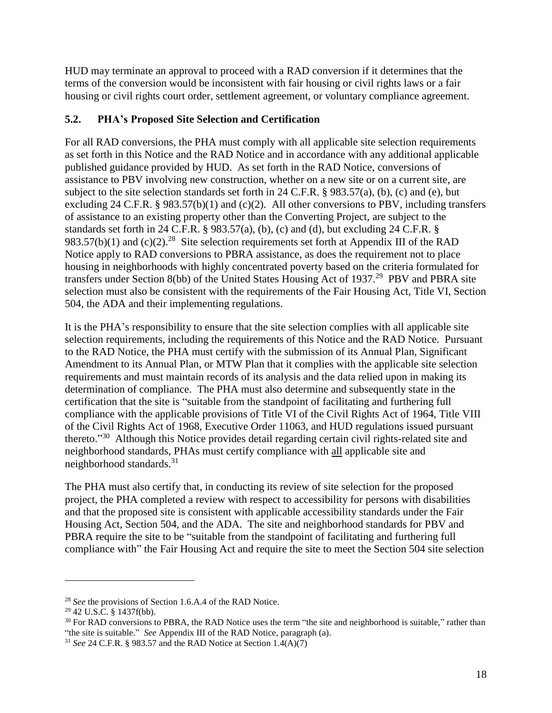HUD may terminate an approval to proceed with a RAD conversion if it determines that the terms of the conversion would be inconsistent with fair housing or civil rights laws or a fair housing or civil rights court order, settlement agreement, or voluntary compliance agreement.

### <span id="page-17-0"></span>**5.2. PHA's Proposed Site Selection and Certification**

For all RAD conversions, the PHA must comply with all applicable site selection requirements as set forth in this Notice and the RAD Notice and in accordance with any additional applicable published guidance provided by HUD. As set forth in the RAD Notice, conversions of assistance to PBV involving new construction, whether on a new site or on a current site, are subject to the site selection standards set forth in 24 C.F.R. § 983.57(a), (b), (c) and (e), but excluding 24 C.F.R. § 983.57(b)(1) and (c)(2). All other conversions to PBV, including transfers of assistance to an existing property other than the Converting Project, are subject to the standards set forth in 24 C.F.R.  $\S$  983.57(a), (b), (c) and (d), but excluding 24 C.F.R.  $\S$ 983.57(b)(1) and (c)(2).<sup>28</sup> Site selection requirements set forth at Appendix III of the RAD Notice apply to RAD conversions to PBRA assistance, as does the requirement not to place housing in neighborhoods with highly concentrated poverty based on the criteria formulated for transfers under Section 8(bb) of the United States Housing Act of 1937.<sup>29</sup> PBV and PBRA site selection must also be consistent with the requirements of the Fair Housing Act, Title VI, Section 504, the ADA and their implementing regulations.

It is the PHA's responsibility to ensure that the site selection complies with all applicable site selection requirements, including the requirements of this Notice and the RAD Notice. Pursuant to the RAD Notice, the PHA must certify with the submission of its Annual Plan, Significant Amendment to its Annual Plan, or MTW Plan that it complies with the applicable site selection requirements and must maintain records of its analysis and the data relied upon in making its determination of compliance. The PHA must also determine and subsequently state in the certification that the site is "suitable from the standpoint of facilitating and furthering full compliance with the applicable provisions of Title VI of the Civil Rights Act of 1964, Title VIII of the Civil Rights Act of 1968, Executive Order 11063, and HUD regulations issued pursuant thereto."<sup>30</sup> Although this Notice provides detail regarding certain civil rights-related site and neighborhood standards, PHAs must certify compliance with all applicable site and neighborhood standards.<sup>31</sup>

The PHA must also certify that, in conducting its review of site selection for the proposed project, the PHA completed a review with respect to accessibility for persons with disabilities and that the proposed site is consistent with applicable accessibility standards under the Fair Housing Act, Section 504, and the ADA. The site and neighborhood standards for PBV and PBRA require the site to be "suitable from the standpoint of facilitating and furthering full compliance with" the Fair Housing Act and require the site to meet the Section 504 site selection

<sup>28</sup> *See* the provisions of Section 1.6.A.4 of the RAD Notice.

 $29$  42 U.S.C. § 1437f(bb).

<sup>&</sup>lt;sup>30</sup> For RAD conversions to PBRA, the RAD Notice uses the term "the site and neighborhood is suitable," rather than "the site is suitable." *See* Appendix III of the RAD Notice, paragraph (a).

<sup>31</sup> *See* 24 C.F.R. § 983.57 and the RAD Notice at Section 1.4(A)(7)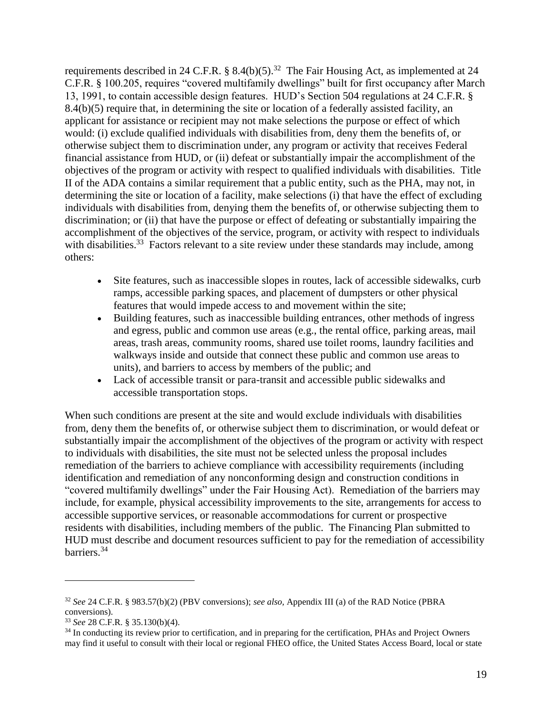requirements described in 24 C.F.R.  $\S$  8.4(b)(5).<sup>32</sup> The Fair Housing Act, as implemented at 24 C.F.R. § 100.205, requires "covered multifamily dwellings" built for first occupancy after March 13, 1991, to contain accessible design features. HUD's Section 504 regulations at 24 C.F.R. § 8.4(b)(5) require that, in determining the site or location of a federally assisted facility, an applicant for assistance or recipient may not make selections the purpose or effect of which would: (i) exclude qualified individuals with disabilities from, deny them the benefits of, or otherwise subject them to discrimination under, any program or activity that receives Federal financial assistance from HUD, or (ii) defeat or substantially impair the accomplishment of the objectives of the program or activity with respect to qualified individuals with disabilities. Title II of the ADA contains a similar requirement that a public entity, such as the PHA, may not, in determining the site or location of a facility, make selections (i) that have the effect of excluding individuals with disabilities from, denying them the benefits of, or otherwise subjecting them to discrimination; or (ii) that have the purpose or effect of defeating or substantially impairing the accomplishment of the objectives of the service, program, or activity with respect to individuals with disabilities.<sup>33</sup> Factors relevant to a site review under these standards may include, among others:

- Site features, such as inaccessible slopes in routes, lack of accessible sidewalks, curb ramps, accessible parking spaces, and placement of dumpsters or other physical features that would impede access to and movement within the site;
- Building features, such as inaccessible building entrances, other methods of ingress and egress, public and common use areas (e.g., the rental office, parking areas, mail areas, trash areas, community rooms, shared use toilet rooms, laundry facilities and walkways inside and outside that connect these public and common use areas to units), and barriers to access by members of the public; and
- Lack of accessible transit or para-transit and accessible public sidewalks and accessible transportation stops.

When such conditions are present at the site and would exclude individuals with disabilities from, deny them the benefits of, or otherwise subject them to discrimination, or would defeat or substantially impair the accomplishment of the objectives of the program or activity with respect to individuals with disabilities, the site must not be selected unless the proposal includes remediation of the barriers to achieve compliance with accessibility requirements (including identification and remediation of any nonconforming design and construction conditions in "covered multifamily dwellings" under the Fair Housing Act). Remediation of the barriers may include, for example, physical accessibility improvements to the site, arrangements for access to accessible supportive services, or reasonable accommodations for current or prospective residents with disabilities, including members of the public. The Financing Plan submitted to HUD must describe and document resources sufficient to pay for the remediation of accessibility barriers.<sup>34</sup>

<sup>32</sup> *See* 24 C.F.R. § 983.57(b)(2) (PBV conversions); *see also,* Appendix III (a) of the RAD Notice (PBRA conversions).

<sup>33</sup> *See* 28 C.F.R. § 35.130(b)(4).

<sup>&</sup>lt;sup>34</sup> In conducting its review prior to certification, and in preparing for the certification, PHAs and Project Owners may find it useful to consult with their local or regional FHEO office, the United States Access Board, local or state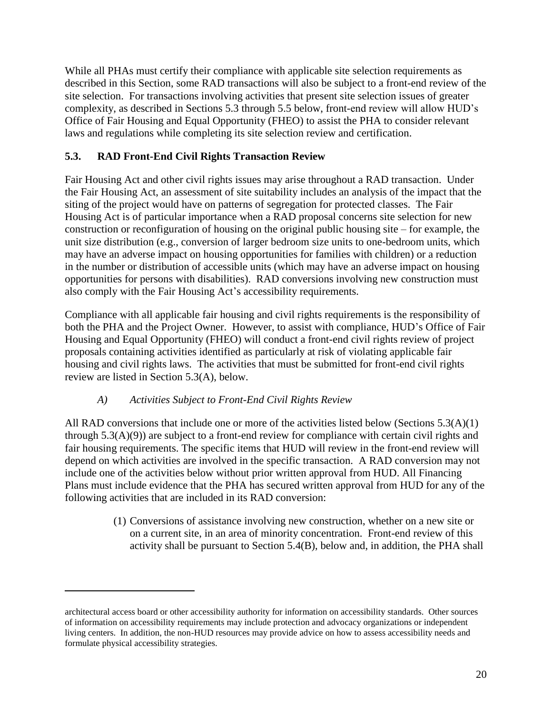While all PHAs must certify their compliance with applicable site selection requirements as described in this Section, some RAD transactions will also be subject to a front-end review of the site selection. For transactions involving activities that present site selection issues of greater complexity, as described in Sections 5.3 through 5.5 below, front-end review will allow HUD's Office of Fair Housing and Equal Opportunity (FHEO) to assist the PHA to consider relevant laws and regulations while completing its site selection review and certification.

## <span id="page-19-0"></span>**5.3. RAD Front-End Civil Rights Transaction Review**

Fair Housing Act and other civil rights issues may arise throughout a RAD transaction. Under the Fair Housing Act, an assessment of site suitability includes an analysis of the impact that the siting of the project would have on patterns of segregation for protected classes. The Fair Housing Act is of particular importance when a RAD proposal concerns site selection for new construction or reconfiguration of housing on the original public housing site – for example, the unit size distribution (e.g., conversion of larger bedroom size units to one-bedroom units, which may have an adverse impact on housing opportunities for families with children) or a reduction in the number or distribution of accessible units (which may have an adverse impact on housing opportunities for persons with disabilities). RAD conversions involving new construction must also comply with the Fair Housing Act's accessibility requirements.

Compliance with all applicable fair housing and civil rights requirements is the responsibility of both the PHA and the Project Owner. However, to assist with compliance, HUD's Office of Fair Housing and Equal Opportunity (FHEO) will conduct a front-end civil rights review of project proposals containing activities identified as particularly at risk of violating applicable fair housing and civil rights laws. The activities that must be submitted for front-end civil rights review are listed in Section 5.3(A), below.

### *A) Activities Subject to Front-End Civil Rights Review*

 $\overline{a}$ 

<span id="page-19-1"></span>All RAD conversions that include one or more of the activities listed below (Sections 5.3(A)(1) through 5.3(A)(9)) are subject to a front-end review for compliance with certain civil rights and fair housing requirements. The specific items that HUD will review in the front-end review will depend on which activities are involved in the specific transaction. A RAD conversion may not include one of the activities below without prior written approval from HUD. All Financing Plans must include evidence that the PHA has secured written approval from HUD for any of the following activities that are included in its RAD conversion:

> (1) Conversions of assistance involving new construction, whether on a new site or on a current site, in an area of minority concentration. Front-end review of this activity shall be pursuant to Section 5.4(B), below and, in addition, the PHA shall

architectural access board or other accessibility authority for information on accessibility standards. Other sources of information on accessibility requirements may include protection and advocacy organizations or independent living centers. In addition, the non-HUD resources may provide advice on how to assess accessibility needs and formulate physical accessibility strategies.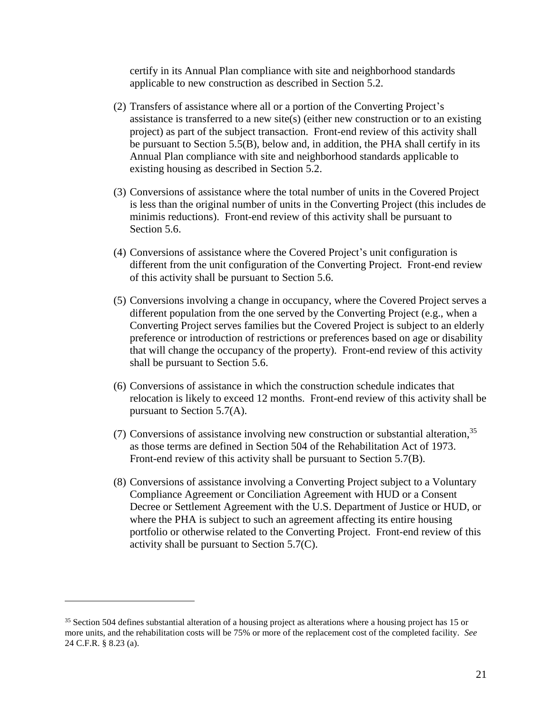certify in its Annual Plan compliance with site and neighborhood standards applicable to new construction as described in Section 5.2.

- (2) Transfers of assistance where all or a portion of the Converting Project's assistance is transferred to a new site(s) (either new construction or to an existing project) as part of the subject transaction. Front-end review of this activity shall be pursuant to Section 5.5(B), below and, in addition, the PHA shall certify in its Annual Plan compliance with site and neighborhood standards applicable to existing housing as described in Section 5.2.
- (3) Conversions of assistance where the total number of units in the Covered Project is less than the original number of units in the Converting Project (this includes de minimis reductions). Front-end review of this activity shall be pursuant to Section 5.6.
- (4) Conversions of assistance where the Covered Project's unit configuration is different from the unit configuration of the Converting Project. Front-end review of this activity shall be pursuant to Section 5.6.
- (5) Conversions involving a change in occupancy, where the Covered Project serves a different population from the one served by the Converting Project (e.g., when a Converting Project serves families but the Covered Project is subject to an elderly preference or introduction of restrictions or preferences based on age or disability that will change the occupancy of the property). Front-end review of this activity shall be pursuant to Section 5.6.
- (6) Conversions of assistance in which the construction schedule indicates that relocation is likely to exceed 12 months. Front-end review of this activity shall be pursuant to Section 5.7(A).
- (7) Conversions of assistance involving new construction or substantial alteration, 35 as those terms are defined in Section 504 of the Rehabilitation Act of 1973. Front-end review of this activity shall be pursuant to Section 5.7(B).
- (8) Conversions of assistance involving a Converting Project subject to a Voluntary Compliance Agreement or Conciliation Agreement with HUD or a Consent Decree or Settlement Agreement with the U.S. Department of Justice or HUD, or where the PHA is subject to such an agreement affecting its entire housing portfolio or otherwise related to the Converting Project. Front-end review of this activity shall be pursuant to Section 5.7(C).

<sup>&</sup>lt;sup>35</sup> Section 504 defines substantial alteration of a housing project as alterations where a housing project has 15 or more units, and the rehabilitation costs will be 75% or more of the replacement cost of the completed facility. *See* 24 C.F.R. § 8.23 (a).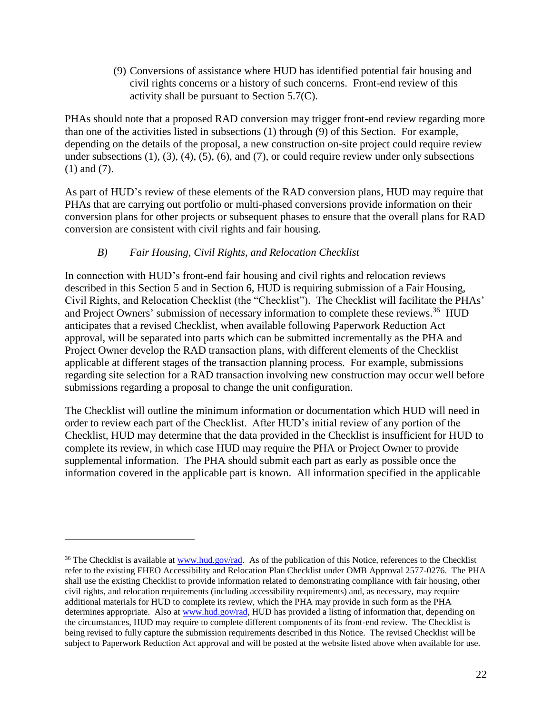(9) Conversions of assistance where HUD has identified potential fair housing and civil rights concerns or a history of such concerns. Front-end review of this activity shall be pursuant to Section 5.7(C).

PHAs should note that a proposed RAD conversion may trigger front-end review regarding more than one of the activities listed in subsections (1) through (9) of this Section. For example, depending on the details of the proposal, a new construction on-site project could require review under subsections  $(1)$ ,  $(3)$ ,  $(4)$ ,  $(5)$ ,  $(6)$ , and  $(7)$ , or could require review under only subsections (1) and (7).

As part of HUD's review of these elements of the RAD conversion plans, HUD may require that PHAs that are carrying out portfolio or multi-phased conversions provide information on their conversion plans for other projects or subsequent phases to ensure that the overall plans for RAD conversion are consistent with civil rights and fair housing.

### *B) Fair Housing, Civil Rights, and Relocation Checklist*

 $\overline{a}$ 

<span id="page-21-0"></span>In connection with HUD's front-end fair housing and civil rights and relocation reviews described in this Section 5 and in Section 6, HUD is requiring submission of a Fair Housing, Civil Rights, and Relocation Checklist (the "Checklist"). The Checklist will facilitate the PHAs' and Project Owners' submission of necessary information to complete these reviews.<sup>36</sup> HUD anticipates that a revised Checklist, when available following Paperwork Reduction Act approval, will be separated into parts which can be submitted incrementally as the PHA and Project Owner develop the RAD transaction plans, with different elements of the Checklist applicable at different stages of the transaction planning process. For example, submissions regarding site selection for a RAD transaction involving new construction may occur well before submissions regarding a proposal to change the unit configuration.

The Checklist will outline the minimum information or documentation which HUD will need in order to review each part of the Checklist. After HUD's initial review of any portion of the Checklist, HUD may determine that the data provided in the Checklist is insufficient for HUD to complete its review, in which case HUD may require the PHA or Project Owner to provide supplemental information. The PHA should submit each part as early as possible once the information covered in the applicable part is known. All information specified in the applicable

<sup>&</sup>lt;sup>36</sup> The Checklist is available at [www.hud.gov/rad.](http://www.hud.gov/rad) As of the publication of this Notice, references to the Checklist refer to the existing FHEO Accessibility and Relocation Plan Checklist under OMB Approval 2577-0276. The PHA shall use the existing Checklist to provide information related to demonstrating compliance with fair housing, other civil rights, and relocation requirements (including accessibility requirements) and, as necessary, may require additional materials for HUD to complete its review, which the PHA may provide in such form as the PHA determines appropriate. Also a[t www.hud.gov/rad,](http://www.hud.gov/rad) HUD has provided a listing of information that, depending on the circumstances, HUD may require to complete different components of its front-end review. The Checklist is being revised to fully capture the submission requirements described in this Notice. The revised Checklist will be subject to Paperwork Reduction Act approval and will be posted at the website listed above when available for use.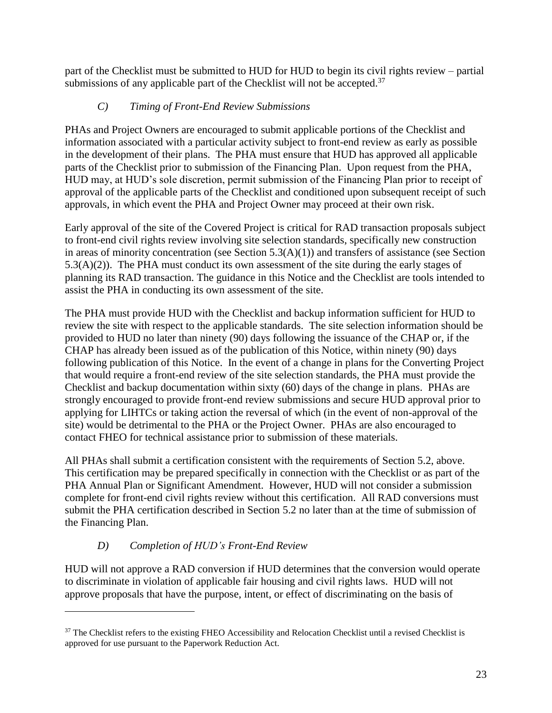part of the Checklist must be submitted to HUD for HUD to begin its civil rights review – partial submissions of any applicable part of the Checklist will not be accepted. $37$ 

# *C) Timing of Front-End Review Submissions*

<span id="page-22-0"></span>PHAs and Project Owners are encouraged to submit applicable portions of the Checklist and information associated with a particular activity subject to front-end review as early as possible in the development of their plans. The PHA must ensure that HUD has approved all applicable parts of the Checklist prior to submission of the Financing Plan. Upon request from the PHA, HUD may, at HUD's sole discretion, permit submission of the Financing Plan prior to receipt of approval of the applicable parts of the Checklist and conditioned upon subsequent receipt of such approvals, in which event the PHA and Project Owner may proceed at their own risk.

Early approval of the site of the Covered Project is critical for RAD transaction proposals subject to front-end civil rights review involving site selection standards, specifically new construction in areas of minority concentration (see Section  $5.3(A)(1)$ ) and transfers of assistance (see Section 5.3(A)(2)). The PHA must conduct its own assessment of the site during the early stages of planning its RAD transaction. The guidance in this Notice and the Checklist are tools intended to assist the PHA in conducting its own assessment of the site.

The PHA must provide HUD with the Checklist and backup information sufficient for HUD to review the site with respect to the applicable standards. The site selection information should be provided to HUD no later than ninety (90) days following the issuance of the CHAP or, if the CHAP has already been issued as of the publication of this Notice, within ninety (90) days following publication of this Notice. In the event of a change in plans for the Converting Project that would require a front-end review of the site selection standards, the PHA must provide the Checklist and backup documentation within sixty (60) days of the change in plans. PHAs are strongly encouraged to provide front-end review submissions and secure HUD approval prior to applying for LIHTCs or taking action the reversal of which (in the event of non-approval of the site) would be detrimental to the PHA or the Project Owner. PHAs are also encouraged to contact FHEO for technical assistance prior to submission of these materials.

All PHAs shall submit a certification consistent with the requirements of Section 5.2, above. This certification may be prepared specifically in connection with the Checklist or as part of the PHA Annual Plan or Significant Amendment. However, HUD will not consider a submission complete for front-end civil rights review without this certification. All RAD conversions must submit the PHA certification described in Section 5.2 no later than at the time of submission of the Financing Plan.

# *D) Completion of HUD's Front-End Review*

 $\overline{a}$ 

<span id="page-22-1"></span>HUD will not approve a RAD conversion if HUD determines that the conversion would operate to discriminate in violation of applicable fair housing and civil rights laws. HUD will not approve proposals that have the purpose, intent, or effect of discriminating on the basis of

<sup>&</sup>lt;sup>37</sup> The Checklist refers to the existing FHEO Accessibility and Relocation Checklist until a revised Checklist is approved for use pursuant to the Paperwork Reduction Act.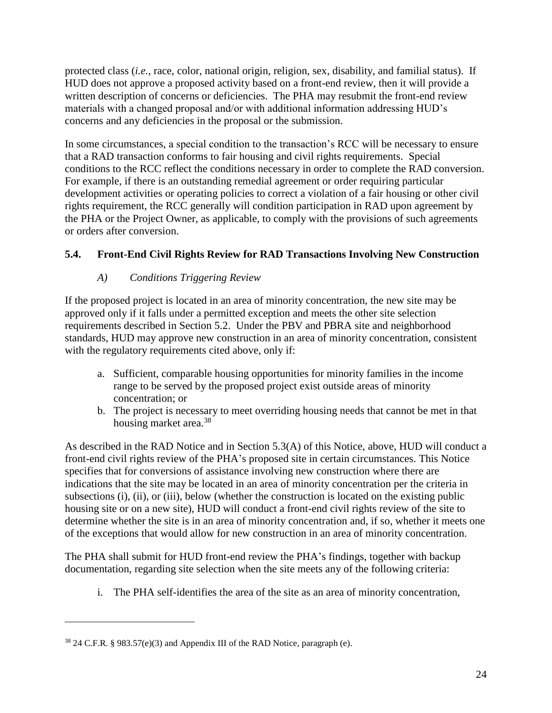protected class (*i.e.*, race, color, national origin, religion, sex, disability, and familial status). If HUD does not approve a proposed activity based on a front-end review, then it will provide a written description of concerns or deficiencies. The PHA may resubmit the front-end review materials with a changed proposal and/or with additional information addressing HUD's concerns and any deficiencies in the proposal or the submission.

In some circumstances, a special condition to the transaction's RCC will be necessary to ensure that a RAD transaction conforms to fair housing and civil rights requirements. Special conditions to the RCC reflect the conditions necessary in order to complete the RAD conversion. For example, if there is an outstanding remedial agreement or order requiring particular development activities or operating policies to correct a violation of a fair housing or other civil rights requirement, the RCC generally will condition participation in RAD upon agreement by the PHA or the Project Owner, as applicable, to comply with the provisions of such agreements or orders after conversion.

## <span id="page-23-0"></span>**5.4. Front-End Civil Rights Review for RAD Transactions Involving New Construction**

## *A) Conditions Triggering Review*

<span id="page-23-1"></span>If the proposed project is located in an area of minority concentration, the new site may be approved only if it falls under a permitted exception and meets the other site selection requirements described in Section 5.2. Under the PBV and PBRA site and neighborhood standards, HUD may approve new construction in an area of minority concentration, consistent with the regulatory requirements cited above, only if:

- a. Sufficient, comparable housing opportunities for minority families in the income range to be served by the proposed project exist outside areas of minority concentration; or
- b. The project is necessary to meet overriding housing needs that cannot be met in that housing market area.<sup>38</sup>

As described in the RAD Notice and in Section 5.3(A) of this Notice, above, HUD will conduct a front-end civil rights review of the PHA's proposed site in certain circumstances. This Notice specifies that for conversions of assistance involving new construction where there are indications that the site may be located in an area of minority concentration per the criteria in subsections (i), (ii), or (iii), below (whether the construction is located on the existing public housing site or on a new site), HUD will conduct a front-end civil rights review of the site to determine whether the site is in an area of minority concentration and, if so, whether it meets one of the exceptions that would allow for new construction in an area of minority concentration.

The PHA shall submit for HUD front-end review the PHA's findings, together with backup documentation, regarding site selection when the site meets any of the following criteria:

i. The PHA self-identifies the area of the site as an area of minority concentration,

 $38$  24 C.F.R. § 983.57(e)(3) and Appendix III of the RAD Notice, paragraph (e).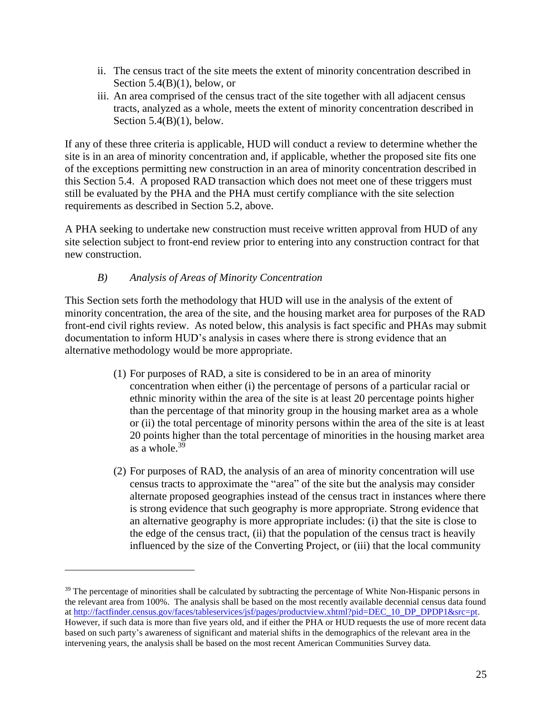- ii. The census tract of the site meets the extent of minority concentration described in Section  $5.4(B)(1)$ , below, or
- iii. An area comprised of the census tract of the site together with all adjacent census tracts, analyzed as a whole, meets the extent of minority concentration described in Section  $5.4(B)(1)$ , below.

If any of these three criteria is applicable, HUD will conduct a review to determine whether the site is in an area of minority concentration and, if applicable, whether the proposed site fits one of the exceptions permitting new construction in an area of minority concentration described in this Section 5.4. A proposed RAD transaction which does not meet one of these triggers must still be evaluated by the PHA and the PHA must certify compliance with the site selection requirements as described in Section 5.2, above.

A PHA seeking to undertake new construction must receive written approval from HUD of any site selection subject to front-end review prior to entering into any construction contract for that new construction.

### *B) Analysis of Areas of Minority Concentration*

 $\overline{a}$ 

<span id="page-24-0"></span>This Section sets forth the methodology that HUD will use in the analysis of the extent of minority concentration, the area of the site, and the housing market area for purposes of the RAD front-end civil rights review. As noted below, this analysis is fact specific and PHAs may submit documentation to inform HUD's analysis in cases where there is strong evidence that an alternative methodology would be more appropriate.

- (1) For purposes of RAD, a site is considered to be in an area of minority concentration when either (i) the percentage of persons of a particular racial or ethnic minority within the area of the site is at least 20 percentage points higher than the percentage of that minority group in the housing market area as a whole or (ii) the total percentage of minority persons within the area of the site is at least 20 points higher than the total percentage of minorities in the housing market area as a whole.<sup>39</sup>
- (2) For purposes of RAD, the analysis of an area of minority concentration will use census tracts to approximate the "area" of the site but the analysis may consider alternate proposed geographies instead of the census tract in instances where there is strong evidence that such geography is more appropriate. Strong evidence that an alternative geography is more appropriate includes: (i) that the site is close to the edge of the census tract, (ii) that the population of the census tract is heavily influenced by the size of the Converting Project, or (iii) that the local community

<sup>&</sup>lt;sup>39</sup> The percentage of minorities shall be calculated by subtracting the percentage of White Non-Hispanic persons in the relevant area from 100%. The analysis shall be based on the most recently available decennial census data found at [http://factfinder.census.gov/faces/tableservices/jsf/pages/productview.xhtml?pid=DEC\\_10\\_DP\\_DPDP1&src=pt.](http://factfinder.census.gov/faces/tableservices/jsf/pages/productview.xhtml?pid=DEC_10_DP_DPDP1&src=pt) However, if such data is more than five years old, and if either the PHA or HUD requests the use of more recent data based on such party's awareness of significant and material shifts in the demographics of the relevant area in the intervening years, the analysis shall be based on the most recent American Communities Survey data.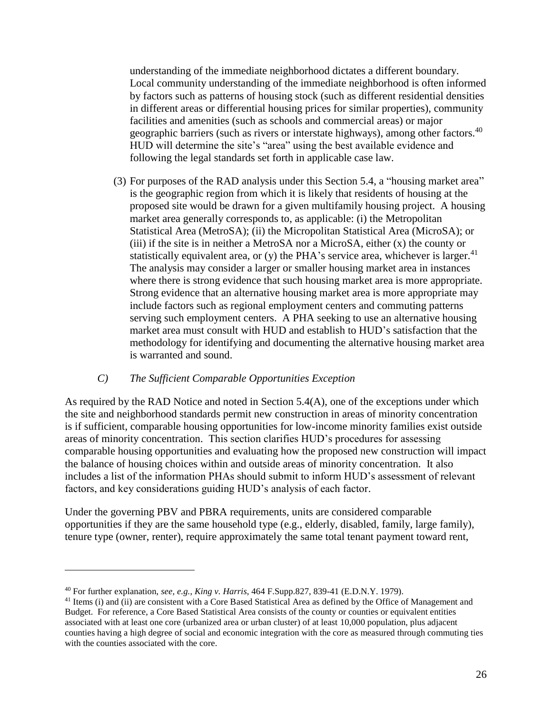understanding of the immediate neighborhood dictates a different boundary. Local community understanding of the immediate neighborhood is often informed by factors such as patterns of housing stock (such as different residential densities in different areas or differential housing prices for similar properties), community facilities and amenities (such as schools and commercial areas) or major geographic barriers (such as rivers or interstate highways), among other factors.<sup>40</sup> HUD will determine the site's "area" using the best available evidence and following the legal standards set forth in applicable case law.

(3) For purposes of the RAD analysis under this Section 5.4, a "housing market area" is the geographic region from which it is likely that residents of housing at the proposed site would be drawn for a given multifamily housing project. A housing market area generally corresponds to, as applicable: (i) the Metropolitan Statistical Area (MetroSA); (ii) the Micropolitan Statistical Area (MicroSA); or (iii) if the site is in neither a MetroSA nor a MicroSA, either (x) the county or statistically equivalent area, or (y) the PHA's service area, whichever is larger. $41$ The analysis may consider a larger or smaller housing market area in instances where there is strong evidence that such housing market area is more appropriate. Strong evidence that an alternative housing market area is more appropriate may include factors such as regional employment centers and commuting patterns serving such employment centers. A PHA seeking to use an alternative housing market area must consult with HUD and establish to HUD's satisfaction that the methodology for identifying and documenting the alternative housing market area is warranted and sound.

#### *C) The Sufficient Comparable Opportunities Exception*

<span id="page-25-0"></span>As required by the RAD Notice and noted in Section 5.4(A), one of the exceptions under which the site and neighborhood standards permit new construction in areas of minority concentration is if sufficient, comparable housing opportunities for low-income minority families exist outside areas of minority concentration. This section clarifies HUD's procedures for assessing comparable housing opportunities and evaluating how the proposed new construction will impact the balance of housing choices within and outside areas of minority concentration. It also includes a list of the information PHAs should submit to inform HUD's assessment of relevant factors, and key considerations guiding HUD's analysis of each factor.

Under the governing PBV and PBRA requirements, units are considered comparable opportunities if they are the same household type (e.g., elderly, disabled, family, large family), tenure type (owner, renter), require approximately the same total tenant payment toward rent,

<sup>40</sup> For further explanation, *see, e.g., King v. Harris*, 464 F.Supp.827, 839-41 (E.D.N.Y. 1979).

<sup>&</sup>lt;sup>41</sup> Items (i) and (ii) are consistent with a Core Based Statistical Area as defined by the Office of Management and Budget. For reference, a Core Based Statistical Area consists of the county or counties or equivalent entities associated with at least one core (urbanized area or urban cluster) of at least 10,000 population, plus adjacent counties having a high degree of social and economic integration with the core as measured through commuting ties with the counties associated with the core.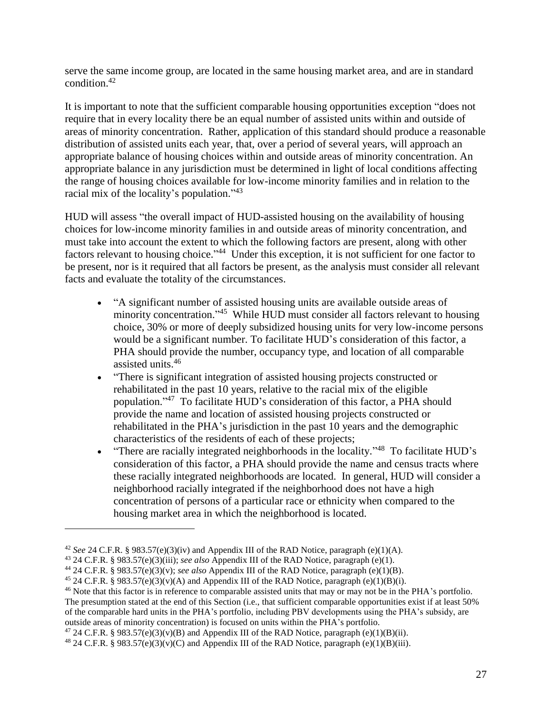serve the same income group, are located in the same housing market area, and are in standard condition.<sup>42</sup>

It is important to note that the sufficient comparable housing opportunities exception "does not require that in every locality there be an equal number of assisted units within and outside of areas of minority concentration. Rather, application of this standard should produce a reasonable distribution of assisted units each year, that, over a period of several years, will approach an appropriate balance of housing choices within and outside areas of minority concentration. An appropriate balance in any jurisdiction must be determined in light of local conditions affecting the range of housing choices available for low-income minority families and in relation to the racial mix of the locality's population."<sup>43</sup>

HUD will assess "the overall impact of HUD-assisted housing on the availability of housing choices for low-income minority families in and outside areas of minority concentration, and must take into account the extent to which the following factors are present, along with other factors relevant to housing choice."<sup>44</sup> Under this exception, it is not sufficient for one factor to be present, nor is it required that all factors be present, as the analysis must consider all relevant facts and evaluate the totality of the circumstances.

- "A significant number of assisted housing units are available outside areas of minority concentration."<sup>45</sup> While HUD must consider all factors relevant to housing choice, 30% or more of deeply subsidized housing units for very low-income persons would be a significant number. To facilitate HUD's consideration of this factor, a PHA should provide the number, occupancy type, and location of all comparable assisted units.<sup>46</sup>
- "There is significant integration of assisted housing projects constructed or rehabilitated in the past 10 years, relative to the racial mix of the eligible population." 47 To facilitate HUD's consideration of this factor, a PHA should provide the name and location of assisted housing projects constructed or rehabilitated in the PHA's jurisdiction in the past 10 years and the demographic characteristics of the residents of each of these projects;
- "There are racially integrated neighborhoods in the locality."<sup>48</sup> To facilitate HUD's consideration of this factor, a PHA should provide the name and census tracts where these racially integrated neighborhoods are located. In general, HUD will consider a neighborhood racially integrated if the neighborhood does not have a high concentration of persons of a particular race or ethnicity when compared to the housing market area in which the neighborhood is located.

<sup>42</sup> *See* 24 C.F.R. § 983.57(e)(3)(iv) and Appendix III of the RAD Notice, paragraph (e)(1)(A).

<sup>43</sup> 24 C.F.R. § 983.57(e)(3)(iii); *see also* Appendix III of the RAD Notice, paragraph (e)(1).

<sup>44</sup> 24 C.F.R. § 983.57(e)(3)(v); *see also* Appendix III of the RAD Notice, paragraph (e)(1)(B).

<sup>&</sup>lt;sup>45</sup> 24 C.F.R. § 983.57(e)(3)(v)(A) and Appendix III of the RAD Notice, paragraph (e)(1)(B)(i).

<sup>&</sup>lt;sup>46</sup> Note that this factor is in reference to comparable assisted units that may or may not be in the PHA's portfolio. The presumption stated at the end of this Section (i.e., that sufficient comparable opportunities exist if at least 50% of the comparable hard units in the PHA's portfolio, including PBV developments using the PHA's subsidy, are outside areas of minority concentration) is focused on units within the PHA's portfolio.

<sup>&</sup>lt;sup>47</sup> 24 C.F.R. § 983.57(e)(3)(v)(B) and Appendix III of the RAD Notice, paragraph (e)(1)(B)(ii).

<sup>&</sup>lt;sup>48</sup> 24 C.F.R. § 983.57(e)(3)(v)(C) and Appendix III of the RAD Notice, paragraph (e)(1)(B)(iii).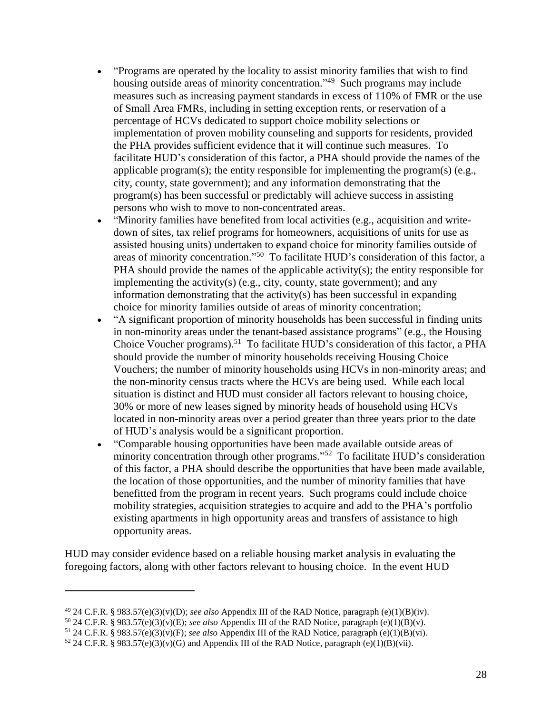- "Programs are operated by the locality to assist minority families that wish to find housing outside areas of minority concentration."<sup>49</sup> Such programs may include measures such as increasing payment standards in excess of 110% of FMR or the use of Small Area FMRs, including in setting exception rents, or reservation of a percentage of HCVs dedicated to support choice mobility selections or implementation of proven mobility counseling and supports for residents, provided the PHA provides sufficient evidence that it will continue such measures. To facilitate HUD's consideration of this factor, a PHA should provide the names of the applicable program(s); the entity responsible for implementing the program(s)  $(e.g.,)$ city, county, state government); and any information demonstrating that the program(s) has been successful or predictably will achieve success in assisting persons who wish to move to non-concentrated areas.
- "Minority families have benefited from local activities (e.g., acquisition and writedown of sites, tax relief programs for homeowners, acquisitions of units for use as assisted housing units) undertaken to expand choice for minority families outside of areas of minority concentration."<sup>50</sup> To facilitate HUD's consideration of this factor, a PHA should provide the names of the applicable activity(s); the entity responsible for implementing the activity(s) (e.g., city, county, state government); and any information demonstrating that the activity(s) has been successful in expanding choice for minority families outside of areas of minority concentration;
- "A significant proportion of minority households has been successful in finding units in non-minority areas under the tenant-based assistance programs" (e.g., the Housing Choice Voucher programs).<sup>51</sup> To facilitate HUD's consideration of this factor, a PHA should provide the number of minority households receiving Housing Choice Vouchers; the number of minority households using HCVs in non-minority areas; and the non-minority census tracts where the HCVs are being used. While each local situation is distinct and HUD must consider all factors relevant to housing choice, 30% or more of new leases signed by minority heads of household using HCVs located in non-minority areas over a period greater than three years prior to the date of HUD's analysis would be a significant proportion.
- "Comparable housing opportunities have been made available outside areas of minority concentration through other programs."<sup>52</sup> To facilitate HUD's consideration of this factor, a PHA should describe the opportunities that have been made available, the location of those opportunities, and the number of minority families that have benefitted from the program in recent years. Such programs could include choice mobility strategies, acquisition strategies to acquire and add to the PHA's portfolio existing apartments in high opportunity areas and transfers of assistance to high opportunity areas.

HUD may consider evidence based on a reliable housing market analysis in evaluating the foregoing factors, along with other factors relevant to housing choice. In the event HUD

<sup>49</sup> 24 C.F.R. § 983.57(e)(3)(v)(D); *see also* Appendix III of the RAD Notice, paragraph (e)(1)(B)(iv).

<sup>50</sup> 24 C.F.R. § 983.57(e)(3)(v)(E); *see also* Appendix III of the RAD Notice, paragraph (e)(1)(B)(v).

<sup>51</sup> 24 C.F.R. § 983.57(e)(3)(v)(F); *see also* Appendix III of the RAD Notice, paragraph (e)(1)(B)(vi).

 $52$  24 C.F.R. § 983.57(e)(3)(v)(G) and Appendix III of the RAD Notice, paragraph (e)(1)(B)(vii).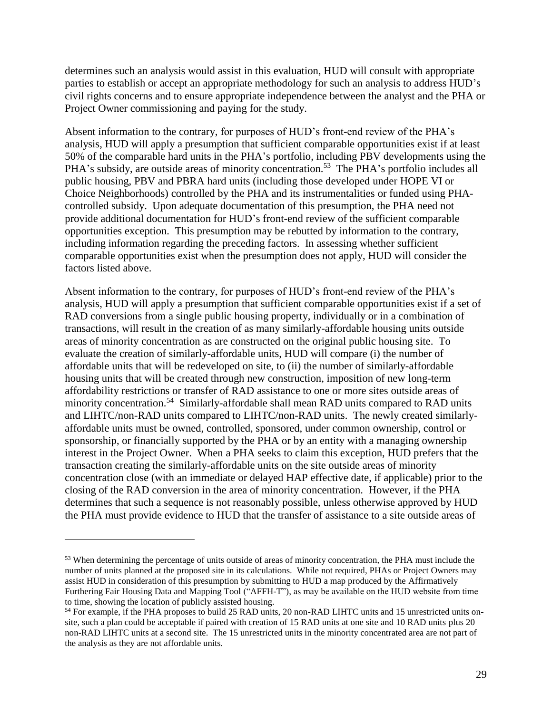determines such an analysis would assist in this evaluation, HUD will consult with appropriate parties to establish or accept an appropriate methodology for such an analysis to address HUD's civil rights concerns and to ensure appropriate independence between the analyst and the PHA or Project Owner commissioning and paying for the study.

Absent information to the contrary, for purposes of HUD's front-end review of the PHA's analysis, HUD will apply a presumption that sufficient comparable opportunities exist if at least 50% of the comparable hard units in the PHA's portfolio, including PBV developments using the PHA's subsidy, are outside areas of minority concentration.<sup>53</sup> The PHA's portfolio includes all public housing, PBV and PBRA hard units (including those developed under HOPE VI or Choice Neighborhoods) controlled by the PHA and its instrumentalities or funded using PHAcontrolled subsidy. Upon adequate documentation of this presumption, the PHA need not provide additional documentation for HUD's front-end review of the sufficient comparable opportunities exception. This presumption may be rebutted by information to the contrary, including information regarding the preceding factors. In assessing whether sufficient comparable opportunities exist when the presumption does not apply, HUD will consider the factors listed above.

Absent information to the contrary, for purposes of HUD's front-end review of the PHA's analysis, HUD will apply a presumption that sufficient comparable opportunities exist if a set of RAD conversions from a single public housing property, individually or in a combination of transactions, will result in the creation of as many similarly-affordable housing units outside areas of minority concentration as are constructed on the original public housing site. To evaluate the creation of similarly-affordable units, HUD will compare (i) the number of affordable units that will be redeveloped on site, to (ii) the number of similarly-affordable housing units that will be created through new construction, imposition of new long-term affordability restrictions or transfer of RAD assistance to one or more sites outside areas of minority concentration.<sup>54</sup> Similarly-affordable shall mean RAD units compared to RAD units and LIHTC/non-RAD units compared to LIHTC/non-RAD units. The newly created similarlyaffordable units must be owned, controlled, sponsored, under common ownership, control or sponsorship, or financially supported by the PHA or by an entity with a managing ownership interest in the Project Owner. When a PHA seeks to claim this exception, HUD prefers that the transaction creating the similarly-affordable units on the site outside areas of minority concentration close (with an immediate or delayed HAP effective date, if applicable) prior to the closing of the RAD conversion in the area of minority concentration. However, if the PHA determines that such a sequence is not reasonably possible, unless otherwise approved by HUD the PHA must provide evidence to HUD that the transfer of assistance to a site outside areas of

<sup>53</sup> When determining the percentage of units outside of areas of minority concentration, the PHA must include the number of units planned at the proposed site in its calculations. While not required, PHAs or Project Owners may assist HUD in consideration of this presumption by submitting to HUD a map produced by the Affirmatively Furthering Fair Housing Data and Mapping Tool ("AFFH-T"), as may be available on the HUD website from time to time, showing the location of publicly assisted housing.

<sup>54</sup> For example, if the PHA proposes to build 25 RAD units, 20 non-RAD LIHTC units and 15 unrestricted units onsite, such a plan could be acceptable if paired with creation of 15 RAD units at one site and 10 RAD units plus 20 non-RAD LIHTC units at a second site. The 15 unrestricted units in the minority concentrated area are not part of the analysis as they are not affordable units.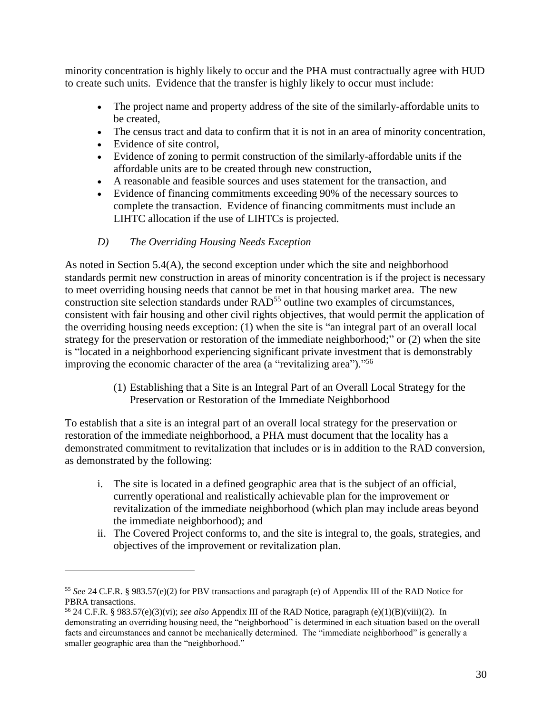minority concentration is highly likely to occur and the PHA must contractually agree with HUD to create such units. Evidence that the transfer is highly likely to occur must include:

- The project name and property address of the site of the similarly-affordable units to be created,
- The census tract and data to confirm that it is not in an area of minority concentration,
- Evidence of site control,

 $\overline{a}$ 

- Evidence of zoning to permit construction of the similarly-affordable units if the affordable units are to be created through new construction,
- A reasonable and feasible sources and uses statement for the transaction, and
- Evidence of financing commitments exceeding 90% of the necessary sources to complete the transaction. Evidence of financing commitments must include an LIHTC allocation if the use of LIHTCs is projected.
- *D) The Overriding Housing Needs Exception*

<span id="page-29-0"></span>As noted in Section 5.4(A), the second exception under which the site and neighborhood standards permit new construction in areas of minority concentration is if the project is necessary to meet overriding housing needs that cannot be met in that housing market area. The new construction site selection standards under RAD<sup>55</sup> outline two examples of circumstances, consistent with fair housing and other civil rights objectives, that would permit the application of the overriding housing needs exception: (1) when the site is "an integral part of an overall local strategy for the preservation or restoration of the immediate neighborhood;" or (2) when the site is "located in a neighborhood experiencing significant private investment that is demonstrably improving the economic character of the area (a "revitalizing area")." 56

> (1) Establishing that a Site is an Integral Part of an Overall Local Strategy for the Preservation or Restoration of the Immediate Neighborhood

To establish that a site is an integral part of an overall local strategy for the preservation or restoration of the immediate neighborhood, a PHA must document that the locality has a demonstrated commitment to revitalization that includes or is in addition to the RAD conversion, as demonstrated by the following:

- i. The site is located in a defined geographic area that is the subject of an official, currently operational and realistically achievable plan for the improvement or revitalization of the immediate neighborhood (which plan may include areas beyond the immediate neighborhood); and
- ii. The Covered Project conforms to, and the site is integral to, the goals, strategies, and objectives of the improvement or revitalization plan.

<sup>55</sup> *See* 24 C.F.R. § 983.57(e)(2) for PBV transactions and paragraph (e) of Appendix III of the RAD Notice for PBRA transactions.

<sup>56</sup> 24 C.F.R. § 983.57(e)(3)(vi); *see also* Appendix III of the RAD Notice, paragraph (e)(1)(B)(viii)(2). In demonstrating an overriding housing need, the "neighborhood" is determined in each situation based on the overall facts and circumstances and cannot be mechanically determined. The "immediate neighborhood" is generally a smaller geographic area than the "neighborhood."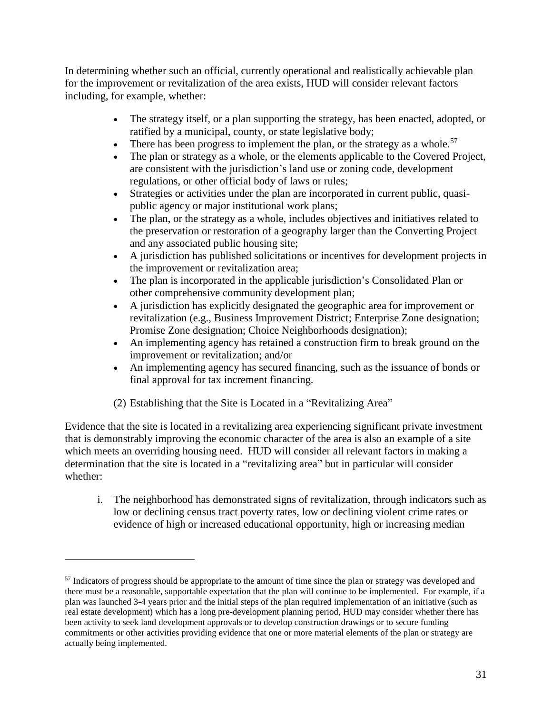In determining whether such an official, currently operational and realistically achievable plan for the improvement or revitalization of the area exists, HUD will consider relevant factors including, for example, whether:

- The strategy itself, or a plan supporting the strategy, has been enacted, adopted, or ratified by a municipal, county, or state legislative body;
- There has been progress to implement the plan, or the strategy as a whole.<sup>57</sup>
- The plan or strategy as a whole, or the elements applicable to the Covered Project, are consistent with the jurisdiction's land use or zoning code, development regulations, or other official body of laws or rules;
- Strategies or activities under the plan are incorporated in current public, quasipublic agency or major institutional work plans;
- The plan, or the strategy as a whole, includes objectives and initiatives related to the preservation or restoration of a geography larger than the Converting Project and any associated public housing site;
- A jurisdiction has published solicitations or incentives for development projects in the improvement or revitalization area;
- The plan is incorporated in the applicable jurisdiction's Consolidated Plan or other comprehensive community development plan;
- A jurisdiction has explicitly designated the geographic area for improvement or revitalization (e.g., Business Improvement District; Enterprise Zone designation; Promise Zone designation; Choice Neighborhoods designation);
- An implementing agency has retained a construction firm to break ground on the improvement or revitalization; and/or
- An implementing agency has secured financing, such as the issuance of bonds or final approval for tax increment financing.

(2) Establishing that the Site is Located in a "Revitalizing Area"

 $\overline{a}$ 

Evidence that the site is located in a revitalizing area experiencing significant private investment that is demonstrably improving the economic character of the area is also an example of a site which meets an overriding housing need. HUD will consider all relevant factors in making a determination that the site is located in a "revitalizing area" but in particular will consider whether:

i. The neighborhood has demonstrated signs of revitalization, through indicators such as low or declining census tract poverty rates, low or declining violent crime rates or evidence of high or increased educational opportunity, high or increasing median

<sup>&</sup>lt;sup>57</sup> Indicators of progress should be appropriate to the amount of time since the plan or strategy was developed and there must be a reasonable, supportable expectation that the plan will continue to be implemented. For example, if a plan was launched 3-4 years prior and the initial steps of the plan required implementation of an initiative (such as real estate development) which has a long pre-development planning period, HUD may consider whether there has been activity to seek land development approvals or to develop construction drawings or to secure funding commitments or other activities providing evidence that one or more material elements of the plan or strategy are actually being implemented.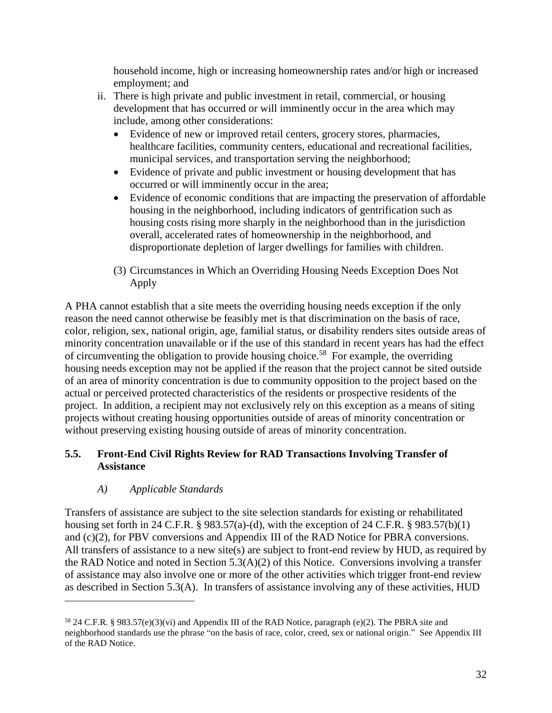household income, high or increasing homeownership rates and/or high or increased employment; and

- ii. There is high private and public investment in retail, commercial, or housing development that has occurred or will imminently occur in the area which may include, among other considerations:
	- Evidence of new or improved retail centers, grocery stores, pharmacies, healthcare facilities, community centers, educational and recreational facilities, municipal services, and transportation serving the neighborhood;
	- Evidence of private and public investment or housing development that has occurred or will imminently occur in the area;
	- Evidence of economic conditions that are impacting the preservation of affordable housing in the neighborhood, including indicators of gentrification such as housing costs rising more sharply in the neighborhood than in the jurisdiction overall, accelerated rates of homeownership in the neighborhood, and disproportionate depletion of larger dwellings for families with children.
	- (3) Circumstances in Which an Overriding Housing Needs Exception Does Not Apply

A PHA cannot establish that a site meets the overriding housing needs exception if the only reason the need cannot otherwise be feasibly met is that discrimination on the basis of race, color, religion, sex, national origin, age, familial status, or disability renders sites outside areas of minority concentration unavailable or if the use of this standard in recent years has had the effect of circumventing the obligation to provide housing choice.<sup>58</sup> For example, the overriding housing needs exception may not be applied if the reason that the project cannot be sited outside of an area of minority concentration is due to community opposition to the project based on the actual or perceived protected characteristics of the residents or prospective residents of the project. In addition, a recipient may not exclusively rely on this exception as a means of siting projects without creating housing opportunities outside of areas of minority concentration or without preserving existing housing outside of areas of minority concentration.

### <span id="page-31-0"></span>**5.5. Front-End Civil Rights Review for RAD Transactions Involving Transfer of Assistance**

### *A) Applicable Standards*

 $\overline{a}$ 

<span id="page-31-1"></span>Transfers of assistance are subject to the site selection standards for existing or rehabilitated housing set forth in 24 C.F.R. § 983.57(a)-(d), with the exception of 24 C.F.R. § 983.57(b)(1) and (c)(2), for PBV conversions and Appendix III of the RAD Notice for PBRA conversions. All transfers of assistance to a new site(s) are subject to front-end review by HUD, as required by the RAD Notice and noted in Section 5.3(A)(2) of this Notice. Conversions involving a transfer of assistance may also involve one or more of the other activities which trigger front-end review as described in Section 5.3(A). In transfers of assistance involving any of these activities, HUD

<sup>58</sup> 24 C.F.R. § 983.57(e)(3)(vi) and Appendix III of the RAD Notice, paragraph (e)(2). The PBRA site and neighborhood standards use the phrase "on the basis of race, color, creed, sex or national origin." See Appendix III of the RAD Notice.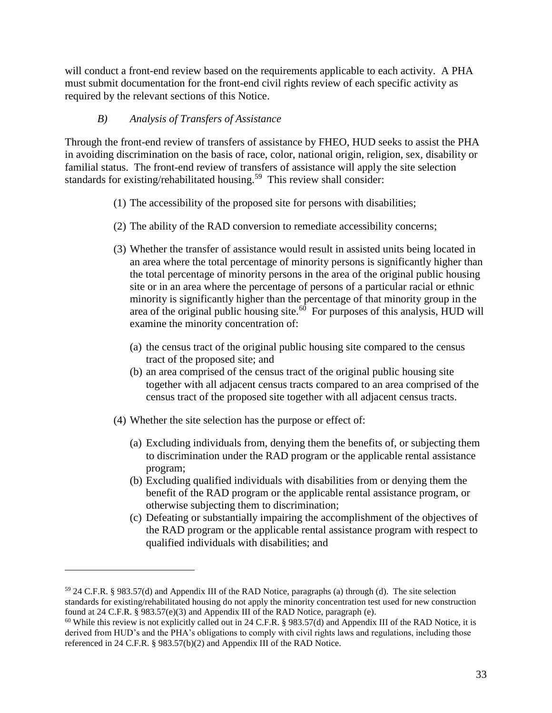will conduct a front-end review based on the requirements applicable to each activity. A PHA must submit documentation for the front-end civil rights review of each specific activity as required by the relevant sections of this Notice.

#### *B) Analysis of Transfers of Assistance*

<span id="page-32-0"></span>Through the front-end review of transfers of assistance by FHEO, HUD seeks to assist the PHA in avoiding discrimination on the basis of race, color, national origin, religion, sex, disability or familial status. The front-end review of transfers of assistance will apply the site selection standards for existing/rehabilitated housing.<sup>59</sup> This review shall consider:

- (1) The accessibility of the proposed site for persons with disabilities;
- (2) The ability of the RAD conversion to remediate accessibility concerns;
- (3) Whether the transfer of assistance would result in assisted units being located in an area where the total percentage of minority persons is significantly higher than the total percentage of minority persons in the area of the original public housing site or in an area where the percentage of persons of a particular racial or ethnic minority is significantly higher than the percentage of that minority group in the area of the original public housing site. $60$  For purposes of this analysis, HUD will examine the minority concentration of:
	- (a) the census tract of the original public housing site compared to the census tract of the proposed site; and
	- (b) an area comprised of the census tract of the original public housing site together with all adjacent census tracts compared to an area comprised of the census tract of the proposed site together with all adjacent census tracts.
- (4) Whether the site selection has the purpose or effect of:

- (a) Excluding individuals from, denying them the benefits of, or subjecting them to discrimination under the RAD program or the applicable rental assistance program;
- (b) Excluding qualified individuals with disabilities from or denying them the benefit of the RAD program or the applicable rental assistance program, or otherwise subjecting them to discrimination;
- (c) Defeating or substantially impairing the accomplishment of the objectives of the RAD program or the applicable rental assistance program with respect to qualified individuals with disabilities; and

<sup>59</sup> 24 C.F.R. § 983.57(d) and Appendix III of the RAD Notice, paragraphs (a) through (d). The site selection standards for existing/rehabilitated housing do not apply the minority concentration test used for new construction found at 24 C.F.R. § 983.57(e)(3) and Appendix III of the RAD Notice, paragraph (e).

<sup>&</sup>lt;sup>60</sup> While this review is not explicitly called out in 24 C.F.R. § 983.57(d) and Appendix III of the RAD Notice, it is derived from HUD's and the PHA's obligations to comply with civil rights laws and regulations, including those referenced in 24 C.F.R. § 983.57(b)(2) and Appendix III of the RAD Notice.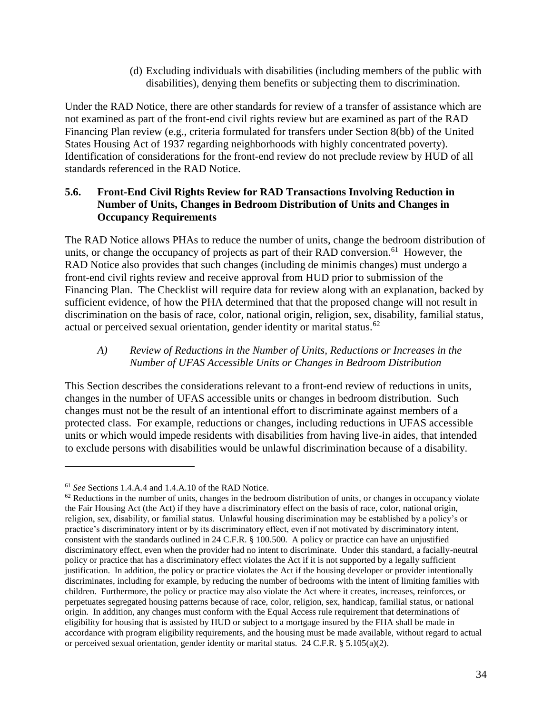(d) Excluding individuals with disabilities (including members of the public with disabilities), denying them benefits or subjecting them to discrimination.

Under the RAD Notice, there are other standards for review of a transfer of assistance which are not examined as part of the front-end civil rights review but are examined as part of the RAD Financing Plan review (e.g., criteria formulated for transfers under Section 8(bb) of the United States Housing Act of 1937 regarding neighborhoods with highly concentrated poverty). Identification of considerations for the front-end review do not preclude review by HUD of all standards referenced in the RAD Notice.

### <span id="page-33-0"></span>**5.6. Front-End Civil Rights Review for RAD Transactions Involving Reduction in Number of Units, Changes in Bedroom Distribution of Units and Changes in Occupancy Requirements**

The RAD Notice allows PHAs to reduce the number of units, change the bedroom distribution of units, or change the occupancy of projects as part of their RAD conversion.<sup>61</sup> However, the RAD Notice also provides that such changes (including de minimis changes) must undergo a front-end civil rights review and receive approval from HUD prior to submission of the Financing Plan. The Checklist will require data for review along with an explanation, backed by sufficient evidence, of how the PHA determined that that the proposed change will not result in discrimination on the basis of race, color, national origin, religion, sex, disability, familial status, actual or perceived sexual orientation, gender identity or marital status.<sup>62</sup>

#### <span id="page-33-1"></span>*A) Review of Reductions in the Number of Units, Reductions or Increases in the Number of UFAS Accessible Units or Changes in Bedroom Distribution*

This Section describes the considerations relevant to a front-end review of reductions in units, changes in the number of UFAS accessible units or changes in bedroom distribution. Such changes must not be the result of an intentional effort to discriminate against members of a protected class. For example, reductions or changes, including reductions in UFAS accessible units or which would impede residents with disabilities from having live-in aides, that intended to exclude persons with disabilities would be unlawful discrimination because of a disability.

<sup>61</sup> *See* Sections 1.4.A.4 and 1.4.A.10 of the RAD Notice.

 $62$  Reductions in the number of units, changes in the bedroom distribution of units, or changes in occupancy violate the Fair Housing Act (the Act) if they have a discriminatory effect on the basis of race, color, national origin, religion, sex, disability, or familial status. Unlawful housing discrimination may be established by a policy's or practice's discriminatory intent or by its discriminatory effect, even if not motivated by discriminatory intent, consistent with the standards outlined in 24 C.F.R. § 100.500. A policy or practice can have an unjustified discriminatory effect, even when the provider had no intent to discriminate. Under this standard, a facially-neutral policy or practice that has a discriminatory effect violates the Act if it is not supported by a legally sufficient justification. In addition, the policy or practice violates the Act if the housing developer or provider intentionally discriminates, including for example, by reducing the number of bedrooms with the intent of limiting families with children. Furthermore, the policy or practice may also violate the Act where it creates, increases, reinforces, or perpetuates segregated housing patterns because of race, color, religion, sex, handicap, familial status, or national origin. In addition, any changes must conform with the Equal Access rule requirement that determinations of eligibility for housing that is assisted by HUD or subject to a mortgage insured by the FHA shall be made in accordance with program eligibility requirements, and the housing must be made available, without regard to actual or perceived sexual orientation, gender identity or marital status. 24 C.F.R.  $\S$  5.105(a)(2).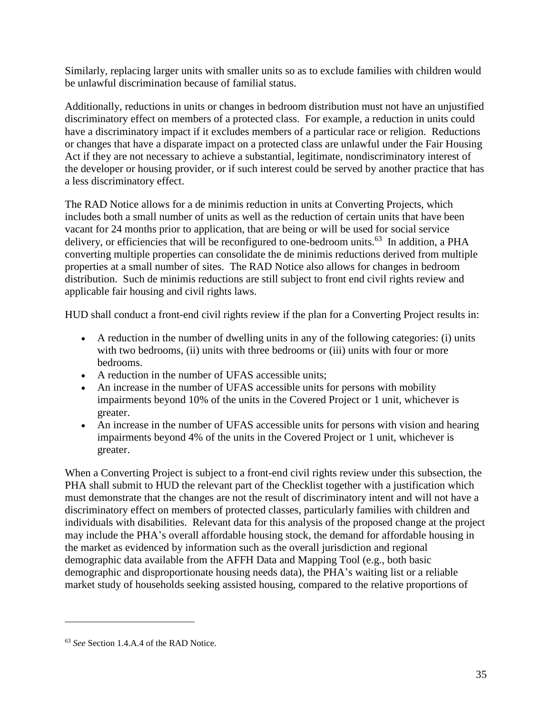Similarly, replacing larger units with smaller units so as to exclude families with children would be unlawful discrimination because of familial status.

Additionally, reductions in units or changes in bedroom distribution must not have an unjustified discriminatory effect on members of a protected class. For example, a reduction in units could have a discriminatory impact if it excludes members of a particular race or religion. Reductions or changes that have a disparate impact on a protected class are unlawful under the Fair Housing Act if they are not necessary to achieve a substantial, legitimate, nondiscriminatory interest of the developer or housing provider, or if such interest could be served by another practice that has a less discriminatory effect.

The RAD Notice allows for a de minimis reduction in units at Converting Projects, which includes both a small number of units as well as the reduction of certain units that have been vacant for 24 months prior to application, that are being or will be used for social service delivery, or efficiencies that will be reconfigured to one-bedroom units.<sup>63</sup> In addition, a PHA converting multiple properties can consolidate the de minimis reductions derived from multiple properties at a small number of sites. The RAD Notice also allows for changes in bedroom distribution. Such de minimis reductions are still subject to front end civil rights review and applicable fair housing and civil rights laws.

HUD shall conduct a front-end civil rights review if the plan for a Converting Project results in:

- A reduction in the number of dwelling units in any of the following categories: (i) units with two bedrooms, (ii) units with three bedrooms or (iii) units with four or more bedrooms.
- A reduction in the number of UFAS accessible units;
- An increase in the number of UFAS accessible units for persons with mobility impairments beyond 10% of the units in the Covered Project or 1 unit, whichever is greater.
- An increase in the number of UFAS accessible units for persons with vision and hearing impairments beyond 4% of the units in the Covered Project or 1 unit, whichever is greater.

When a Converting Project is subject to a front-end civil rights review under this subsection, the PHA shall submit to HUD the relevant part of the Checklist together with a justification which must demonstrate that the changes are not the result of discriminatory intent and will not have a discriminatory effect on members of protected classes, particularly families with children and individuals with disabilities. Relevant data for this analysis of the proposed change at the project may include the PHA's overall affordable housing stock, the demand for affordable housing in the market as evidenced by information such as the overall jurisdiction and regional demographic data available from the AFFH Data and Mapping Tool (e.g., both basic demographic and disproportionate housing needs data), the PHA's waiting list or a reliable market study of households seeking assisted housing, compared to the relative proportions of

<sup>63</sup> *See* Section 1.4.A.4 of the RAD Notice.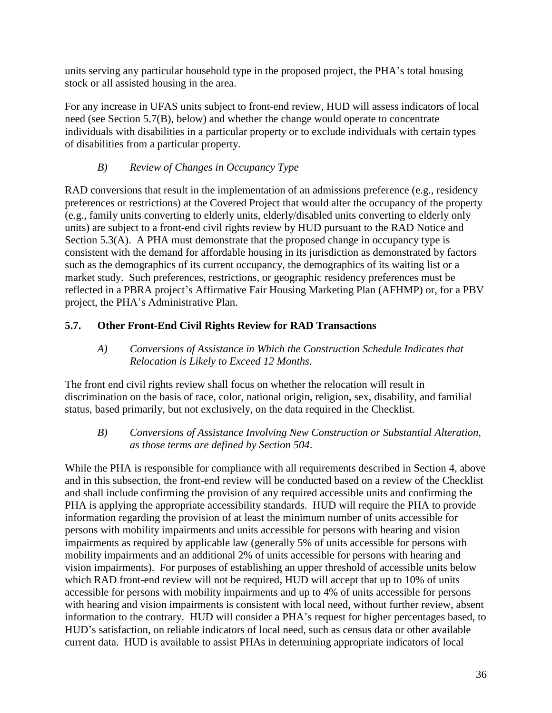units serving any particular household type in the proposed project, the PHA's total housing stock or all assisted housing in the area.

For any increase in UFAS units subject to front-end review, HUD will assess indicators of local need (see Section 5.7(B), below) and whether the change would operate to concentrate individuals with disabilities in a particular property or to exclude individuals with certain types of disabilities from a particular property.

# *B) Review of Changes in Occupancy Type*

<span id="page-35-0"></span>RAD conversions that result in the implementation of an admissions preference (e.g., residency preferences or restrictions) at the Covered Project that would alter the occupancy of the property (e.g., family units converting to elderly units, elderly/disabled units converting to elderly only units) are subject to a front-end civil rights review by HUD pursuant to the RAD Notice and Section 5.3(A). A PHA must demonstrate that the proposed change in occupancy type is consistent with the demand for affordable housing in its jurisdiction as demonstrated by factors such as the demographics of its current occupancy, the demographics of its waiting list or a market study. Such preferences, restrictions, or geographic residency preferences must be reflected in a PBRA project's Affirmative Fair Housing Marketing Plan (AFHMP) or, for a PBV project, the PHA's Administrative Plan.

# <span id="page-35-2"></span><span id="page-35-1"></span>**5.7. Other Front-End Civil Rights Review for RAD Transactions**

*A) Conversions of Assistance in Which the Construction Schedule Indicates that Relocation is Likely to Exceed 12 Months*.

The front end civil rights review shall focus on whether the relocation will result in discrimination on the basis of race, color, national origin, religion, sex, disability, and familial status, based primarily, but not exclusively, on the data required in the Checklist.

<span id="page-35-3"></span>*B) Conversions of Assistance Involving New Construction or Substantial Alteration, as those terms are defined by Section 504*.

While the PHA is responsible for compliance with all requirements described in Section 4, above and in this subsection, the front-end review will be conducted based on a review of the Checklist and shall include confirming the provision of any required accessible units and confirming the PHA is applying the appropriate accessibility standards. HUD will require the PHA to provide information regarding the provision of at least the minimum number of units accessible for persons with mobility impairments and units accessible for persons with hearing and vision impairments as required by applicable law (generally 5% of units accessible for persons with mobility impairments and an additional 2% of units accessible for persons with hearing and vision impairments). For purposes of establishing an upper threshold of accessible units below which RAD front-end review will not be required, HUD will accept that up to 10% of units accessible for persons with mobility impairments and up to 4% of units accessible for persons with hearing and vision impairments is consistent with local need, without further review, absent information to the contrary. HUD will consider a PHA's request for higher percentages based, to HUD's satisfaction, on reliable indicators of local need, such as census data or other available current data. HUD is available to assist PHAs in determining appropriate indicators of local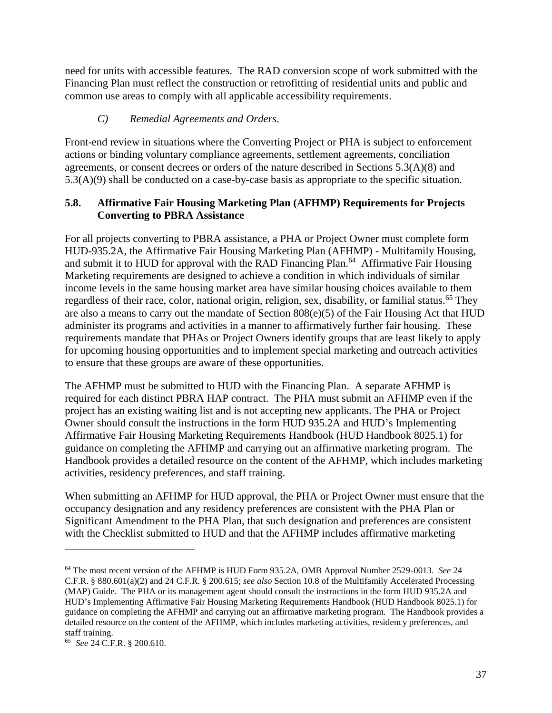need for units with accessible features. The RAD conversion scope of work submitted with the Financing Plan must reflect the construction or retrofitting of residential units and public and common use areas to comply with all applicable accessibility requirements.

### *C) Remedial Agreements and Orders*.

Front-end review in situations where the Converting Project or PHA is subject to enforcement actions or binding voluntary compliance agreements, settlement agreements, conciliation agreements, or consent decrees or orders of the nature described in Sections 5.3(A)(8) and 5.3(A)(9) shall be conducted on a case-by-case basis as appropriate to the specific situation.

### **5.8. Affirmative Fair Housing Marketing Plan (AFHMP) Requirements for Projects Converting to PBRA Assistance**

For all projects converting to PBRA assistance, a PHA or Project Owner must complete form HUD-935.2A, the Affirmative Fair Housing Marketing Plan (AFHMP) - Multifamily Housing, and submit it to HUD for approval with the RAD Financing Plan.<sup>64</sup> Affirmative Fair Housing Marketing requirements are designed to achieve a condition in which individuals of similar income levels in the same housing market area have similar housing choices available to them regardless of their race, color, national origin, religion, sex, disability, or familial status.<sup>65</sup> They are also a means to carry out the mandate of Section 808(e)(5) of the Fair Housing Act that HUD administer its programs and activities in a manner to affirmatively further fair housing. These requirements mandate that PHAs or Project Owners identify groups that are least likely to apply for upcoming housing opportunities and to implement special marketing and outreach activities to ensure that these groups are aware of these opportunities.

The AFHMP must be submitted to HUD with the Financing Plan. A separate AFHMP is required for each distinct PBRA HAP contract. The PHA must submit an AFHMP even if the project has an existing waiting list and is not accepting new applicants. The PHA or Project Owner should consult the instructions in the form HUD 935.2A and HUD's Implementing Affirmative Fair Housing Marketing Requirements Handbook (HUD Handbook 8025.1) for guidance on completing the AFHMP and carrying out an affirmative marketing program. The Handbook provides a detailed resource on the content of the AFHMP, which includes marketing activities, residency preferences, and staff training.

When submitting an AFHMP for HUD approval, the PHA or Project Owner must ensure that the occupancy designation and any residency preferences are consistent with the PHA Plan or Significant Amendment to the PHA Plan, that such designation and preferences are consistent with the Checklist submitted to HUD and that the AFHMP includes affirmative marketing

<sup>64</sup> The most recent version of the AFHMP is HUD Form 935.2A, OMB Approval Number 2529-0013. *See* 24 C.F.R. § 880.601(a)(2) and 24 C.F.R. § 200.615; *see also* Section 10.8 of the Multifamily Accelerated Processing (MAP) Guide. The PHA or its management agent should consult the instructions in the form HUD 935.2A and HUD's Implementing Affirmative Fair Housing Marketing Requirements Handbook (HUD Handbook 8025.1) for guidance on completing the AFHMP and carrying out an affirmative marketing program. The Handbook provides a detailed resource on the content of the AFHMP, which includes marketing activities, residency preferences, and staff training.

<sup>65</sup> *See* 24 C.F.R. § 200.610.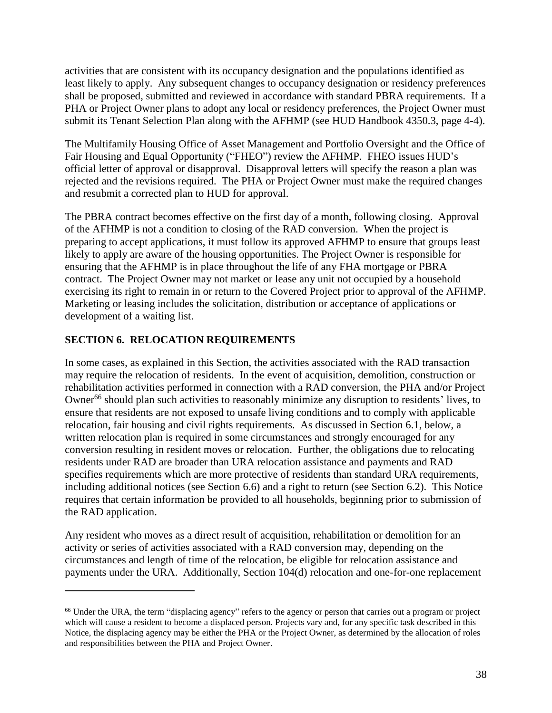activities that are consistent with its occupancy designation and the populations identified as least likely to apply. Any subsequent changes to occupancy designation or residency preferences shall be proposed, submitted and reviewed in accordance with standard PBRA requirements. If a PHA or Project Owner plans to adopt any local or residency preferences, the Project Owner must submit its Tenant Selection Plan along with the AFHMP (see HUD Handbook 4350.3, page 4-4).

The Multifamily Housing Office of Asset Management and Portfolio Oversight and the Office of Fair Housing and Equal Opportunity ("FHEO") review the AFHMP. FHEO issues HUD's official letter of approval or disapproval. Disapproval letters will specify the reason a plan was rejected and the revisions required. The PHA or Project Owner must make the required changes and resubmit a corrected plan to HUD for approval.

The PBRA contract becomes effective on the first day of a month, following closing. Approval of the AFHMP is not a condition to closing of the RAD conversion. When the project is preparing to accept applications, it must follow its approved AFHMP to ensure that groups least likely to apply are aware of the housing opportunities. The Project Owner is responsible for ensuring that the AFHMP is in place throughout the life of any FHA mortgage or PBRA contract. The Project Owner may not market or lease any unit not occupied by a household exercising its right to remain in or return to the Covered Project prior to approval of the AFHMP. Marketing or leasing includes the solicitation, distribution or acceptance of applications or development of a waiting list.

## **SECTION 6. RELOCATION REQUIREMENTS**

 $\overline{a}$ 

In some cases, as explained in this Section, the activities associated with the RAD transaction may require the relocation of residents. In the event of acquisition, demolition, construction or rehabilitation activities performed in connection with a RAD conversion, the PHA and/or Project Owner<sup>66</sup> should plan such activities to reasonably minimize any disruption to residents' lives, to ensure that residents are not exposed to unsafe living conditions and to comply with applicable relocation, fair housing and civil rights requirements. As discussed in Section 6.1, below, a written relocation plan is required in some circumstances and strongly encouraged for any conversion resulting in resident moves or relocation. Further, the obligations due to relocating residents under RAD are broader than URA relocation assistance and payments and RAD specifies requirements which are more protective of residents than standard URA requirements, including additional notices (see Section 6.6) and a right to return (see Section 6.2). This Notice requires that certain information be provided to all households, beginning prior to submission of the RAD application.

Any resident who moves as a direct result of acquisition, rehabilitation or demolition for an activity or series of activities associated with a RAD conversion may, depending on the circumstances and length of time of the relocation, be eligible for relocation assistance and payments under the URA. Additionally, Section 104(d) relocation and one-for-one replacement

<sup>&</sup>lt;sup>66</sup> Under the URA, the term "displacing agency" refers to the agency or person that carries out a program or project which will cause a resident to become a displaced person. Projects vary and, for any specific task described in this Notice, the displacing agency may be either the PHA or the Project Owner, as determined by the allocation of roles and responsibilities between the PHA and Project Owner.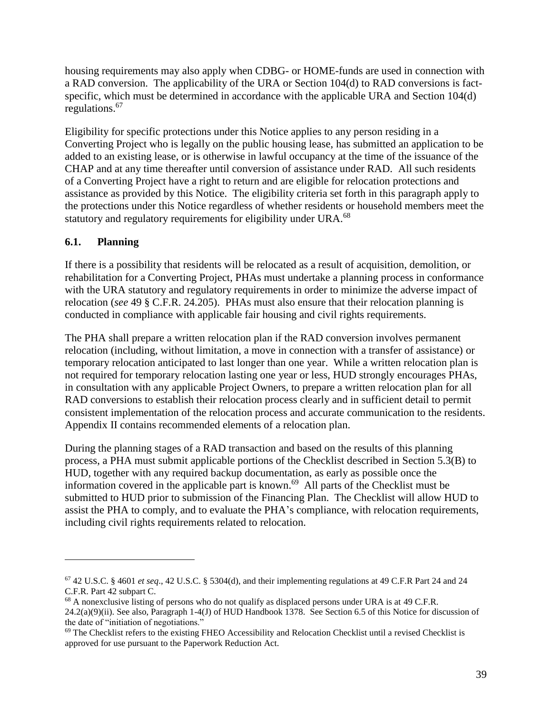housing requirements may also apply when CDBG- or HOME-funds are used in connection with a RAD conversion. The applicability of the URA or Section 104(d) to RAD conversions is factspecific, which must be determined in accordance with the applicable URA and Section 104(d) regulations. 67

Eligibility for specific protections under this Notice applies to any person residing in a Converting Project who is legally on the public housing lease, has submitted an application to be added to an existing lease, or is otherwise in lawful occupancy at the time of the issuance of the CHAP and at any time thereafter until conversion of assistance under RAD. All such residents of a Converting Project have a right to return and are eligible for relocation protections and assistance as provided by this Notice. The eligibility criteria set forth in this paragraph apply to the protections under this Notice regardless of whether residents or household members meet the statutory and regulatory requirements for eligibility under URA.<sup>68</sup>

## **6.1. Planning**

 $\overline{a}$ 

If there is a possibility that residents will be relocated as a result of acquisition, demolition, or rehabilitation for a Converting Project, PHAs must undertake a planning process in conformance with the URA statutory and regulatory requirements in order to minimize the adverse impact of relocation (*see* 49 § C.F.R. 24.205). PHAs must also ensure that their relocation planning is conducted in compliance with applicable fair housing and civil rights requirements.

The PHA shall prepare a written relocation plan if the RAD conversion involves permanent relocation (including, without limitation, a move in connection with a transfer of assistance) or temporary relocation anticipated to last longer than one year. While a written relocation plan is not required for temporary relocation lasting one year or less, HUD strongly encourages PHAs, in consultation with any applicable Project Owners, to prepare a written relocation plan for all RAD conversions to establish their relocation process clearly and in sufficient detail to permit consistent implementation of the relocation process and accurate communication to the residents. Appendix II contains recommended elements of a relocation plan.

During the planning stages of a RAD transaction and based on the results of this planning process, a PHA must submit applicable portions of the Checklist described in Section 5.3(B) to HUD, together with any required backup documentation, as early as possible once the information covered in the applicable part is known. 69 All parts of the Checklist must be submitted to HUD prior to submission of the Financing Plan. The Checklist will allow HUD to assist the PHA to comply, and to evaluate the PHA's compliance, with relocation requirements, including civil rights requirements related to relocation.

<sup>67</sup> 42 U.S.C. § 4601 *et seq*., 42 U.S.C. § 5304(d), and their implementing regulations at 49 C.F.R Part 24 and 24 C.F.R. Part 42 subpart C.

<sup>68</sup> A nonexclusive listing of persons who do not qualify as displaced persons under URA is at 49 C.F.R. 24.2(a)(9)(ii). See also, Paragraph 1-4(J) of HUD Handbook 1378. See Section 6.5 of this Notice for discussion of the date of "initiation of negotiations."

 $69$  The Checklist refers to the existing FHEO Accessibility and Relocation Checklist until a revised Checklist is approved for use pursuant to the Paperwork Reduction Act.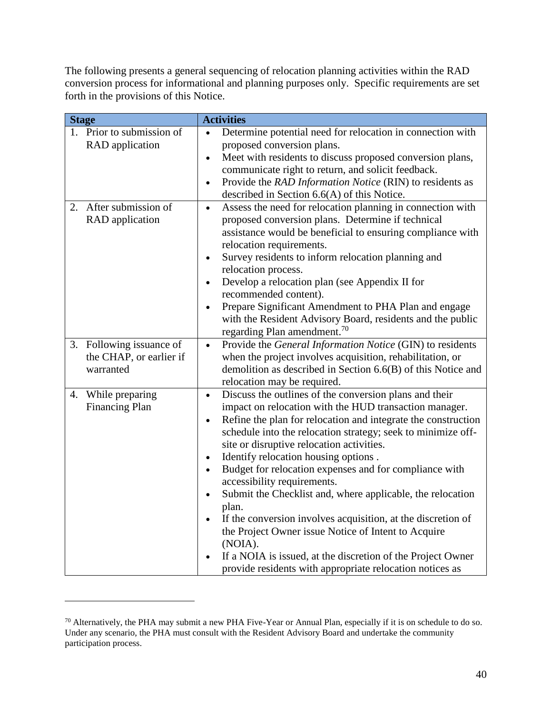The following presents a general sequencing of relocation planning activities within the RAD conversion process for informational and planning purposes only. Specific requirements are set forth in the provisions of this Notice.

| <b>Stage</b> |                                                                  | <b>Activities</b>                                                                                                                                                                                                                                                                                                                                                                                                                                                                                                                                                                                                                                                                                                                                                                                                                                 |
|--------------|------------------------------------------------------------------|---------------------------------------------------------------------------------------------------------------------------------------------------------------------------------------------------------------------------------------------------------------------------------------------------------------------------------------------------------------------------------------------------------------------------------------------------------------------------------------------------------------------------------------------------------------------------------------------------------------------------------------------------------------------------------------------------------------------------------------------------------------------------------------------------------------------------------------------------|
|              | 1. Prior to submission of<br><b>RAD</b> application              | Determine potential need for relocation in connection with<br>$\bullet$<br>proposed conversion plans.<br>Meet with residents to discuss proposed conversion plans,<br>$\bullet$<br>communicate right to return, and solicit feedback.<br>Provide the RAD Information Notice (RIN) to residents as<br>$\bullet$<br>described in Section $6.6(A)$ of this Notice.                                                                                                                                                                                                                                                                                                                                                                                                                                                                                   |
|              | 2. After submission of<br><b>RAD</b> application                 | Assess the need for relocation planning in connection with<br>$\bullet$<br>proposed conversion plans. Determine if technical<br>assistance would be beneficial to ensuring compliance with<br>relocation requirements.<br>Survey residents to inform relocation planning and<br>$\bullet$<br>relocation process.<br>Develop a relocation plan (see Appendix II for<br>$\bullet$<br>recommended content).<br>Prepare Significant Amendment to PHA Plan and engage<br>$\bullet$<br>with the Resident Advisory Board, residents and the public<br>regarding Plan amendment. <sup>70</sup>                                                                                                                                                                                                                                                            |
|              | 3. Following issuance of<br>the CHAP, or earlier if<br>warranted | Provide the General Information Notice (GIN) to residents<br>$\bullet$<br>when the project involves acquisition, rehabilitation, or<br>demolition as described in Section 6.6(B) of this Notice and<br>relocation may be required.                                                                                                                                                                                                                                                                                                                                                                                                                                                                                                                                                                                                                |
|              | 4. While preparing<br><b>Financing Plan</b>                      | Discuss the outlines of the conversion plans and their<br>$\bullet$<br>impact on relocation with the HUD transaction manager.<br>Refine the plan for relocation and integrate the construction<br>$\bullet$<br>schedule into the relocation strategy; seek to minimize off-<br>site or disruptive relocation activities.<br>Identify relocation housing options.<br>$\bullet$<br>Budget for relocation expenses and for compliance with<br>$\bullet$<br>accessibility requirements.<br>Submit the Checklist and, where applicable, the relocation<br>$\bullet$<br>plan.<br>If the conversion involves acquisition, at the discretion of<br>$\bullet$<br>the Project Owner issue Notice of Intent to Acquire<br>(NOIA).<br>If a NOIA is issued, at the discretion of the Project Owner<br>provide residents with appropriate relocation notices as |

<sup>70</sup> Alternatively, the PHA may submit a new PHA Five-Year or Annual Plan, especially if it is on schedule to do so. Under any scenario, the PHA must consult with the Resident Advisory Board and undertake the community participation process.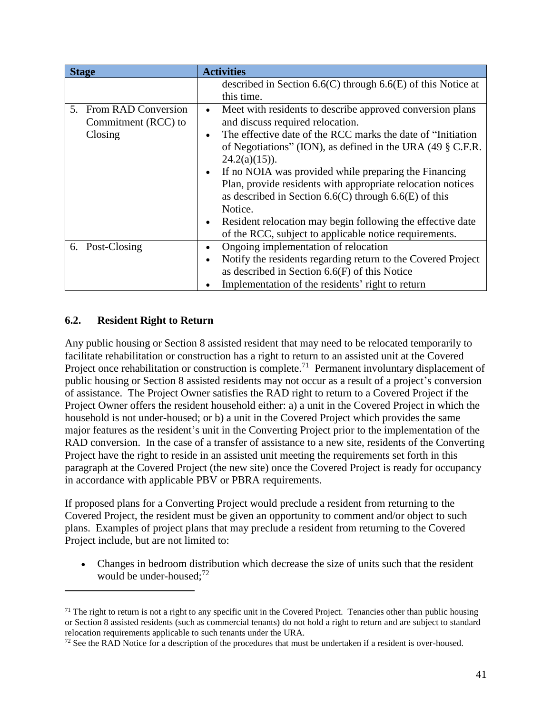| <b>Stage</b>           | <b>Activities</b>                                                         |
|------------------------|---------------------------------------------------------------------------|
|                        | described in Section $6.6(C)$ through $6.6(E)$ of this Notice at          |
|                        | this time.                                                                |
| 5. From RAD Conversion | Meet with residents to describe approved conversion plans<br>$\bullet$    |
| Commitment (RCC) to    | and discuss required relocation.                                          |
| Closing                | The effective date of the RCC marks the date of "Initiation"<br>$\bullet$ |
|                        | of Negotiations" (ION), as defined in the URA $(49 \S$ C.F.R.             |
|                        | $24.2(a)(15)$ ).                                                          |
|                        | If no NOIA was provided while preparing the Financing<br>$\bullet$        |
|                        | Plan, provide residents with appropriate relocation notices               |
|                        | as described in Section 6.6(C) through 6.6(E) of this                     |
|                        | Notice.                                                                   |
|                        | Resident relocation may begin following the effective date<br>$\bullet$   |
|                        | of the RCC, subject to applicable notice requirements.                    |
| 6. Post-Closing        | Ongoing implementation of relocation<br>٠                                 |
|                        | Notify the residents regarding return to the Covered Project<br>$\bullet$ |
|                        | as described in Section $6.6(F)$ of this Notice                           |
|                        | Implementation of the residents' right to return<br>$\bullet$             |

### **6.2. Resident Right to Return**

 $\overline{a}$ 

Any public housing or Section 8 assisted resident that may need to be relocated temporarily to facilitate rehabilitation or construction has a right to return to an assisted unit at the Covered Project once rehabilitation or construction is complete.<sup>71</sup> Permanent involuntary displacement of public housing or Section 8 assisted residents may not occur as a result of a project's conversion of assistance. The Project Owner satisfies the RAD right to return to a Covered Project if the Project Owner offers the resident household either: a) a unit in the Covered Project in which the household is not under-housed; or b) a unit in the Covered Project which provides the same major features as the resident's unit in the Converting Project prior to the implementation of the RAD conversion. In the case of a transfer of assistance to a new site, residents of the Converting Project have the right to reside in an assisted unit meeting the requirements set forth in this paragraph at the Covered Project (the new site) once the Covered Project is ready for occupancy in accordance with applicable PBV or PBRA requirements.

If proposed plans for a Converting Project would preclude a resident from returning to the Covered Project, the resident must be given an opportunity to comment and/or object to such plans. Examples of project plans that may preclude a resident from returning to the Covered Project include, but are not limited to:

 Changes in bedroom distribution which decrease the size of units such that the resident would be under-housed;<sup>72</sup>

 $71$  The right to return is not a right to any specific unit in the Covered Project. Tenancies other than public housing or Section 8 assisted residents (such as commercial tenants) do not hold a right to return and are subject to standard relocation requirements applicable to such tenants under the URA.

 $72$  See the RAD Notice for a description of the procedures that must be undertaken if a resident is over-housed.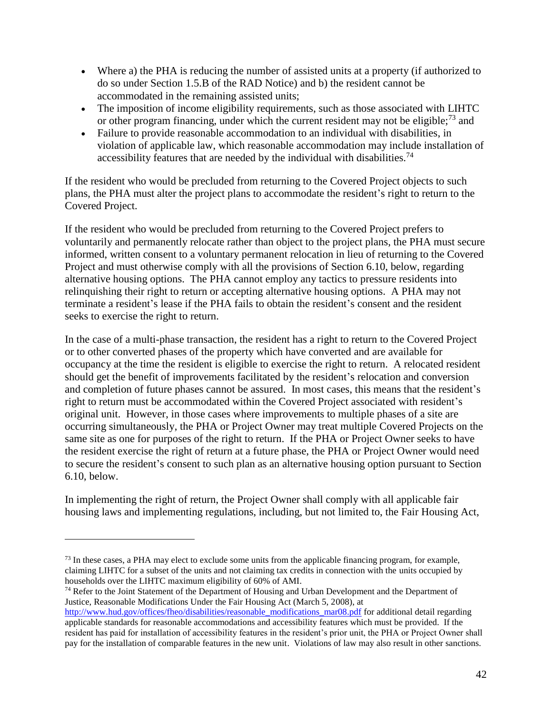- Where a) the PHA is reducing the number of assisted units at a property (if authorized to do so under Section 1.5.B of the RAD Notice) and b) the resident cannot be accommodated in the remaining assisted units;
- The imposition of income eligibility requirements, such as those associated with LIHTC or other program financing, under which the current resident may not be eligible;<sup>73</sup> and
- Failure to provide reasonable accommodation to an individual with disabilities, in violation of applicable law, which reasonable accommodation may include installation of accessibility features that are needed by the individual with disabilities.<sup>74</sup>

If the resident who would be precluded from returning to the Covered Project objects to such plans, the PHA must alter the project plans to accommodate the resident's right to return to the Covered Project.

If the resident who would be precluded from returning to the Covered Project prefers to voluntarily and permanently relocate rather than object to the project plans, the PHA must secure informed, written consent to a voluntary permanent relocation in lieu of returning to the Covered Project and must otherwise comply with all the provisions of Section 6.10, below, regarding alternative housing options. The PHA cannot employ any tactics to pressure residents into relinquishing their right to return or accepting alternative housing options. A PHA may not terminate a resident's lease if the PHA fails to obtain the resident's consent and the resident seeks to exercise the right to return.

In the case of a multi-phase transaction, the resident has a right to return to the Covered Project or to other converted phases of the property which have converted and are available for occupancy at the time the resident is eligible to exercise the right to return. A relocated resident should get the benefit of improvements facilitated by the resident's relocation and conversion and completion of future phases cannot be assured. In most cases, this means that the resident's right to return must be accommodated within the Covered Project associated with resident's original unit. However, in those cases where improvements to multiple phases of a site are occurring simultaneously, the PHA or Project Owner may treat multiple Covered Projects on the same site as one for purposes of the right to return. If the PHA or Project Owner seeks to have the resident exercise the right of return at a future phase, the PHA or Project Owner would need to secure the resident's consent to such plan as an alternative housing option pursuant to Section 6.10, below.

In implementing the right of return, the Project Owner shall comply with all applicable fair housing laws and implementing regulations, including, but not limited to, the Fair Housing Act,

 $\overline{a}$ 

<sup>74</sup> Refer to the Joint Statement of the Department of Housing and Urban Development and the Department of Justice, Reasonable Modifications Under the Fair Housing Act (March 5, 2008), at

<sup>&</sup>lt;sup>73</sup> In these cases, a PHA may elect to exclude some units from the applicable financing program, for example, claiming LIHTC for a subset of the units and not claiming tax credits in connection with the units occupied by households over the LIHTC maximum eligibility of 60% of AMI.

[http://www.hud.gov/offices/fheo/disabilities/reasonable\\_modifications\\_mar08.pdf](http://www.hud.gov/offices/fheo/disabilities/reasonable_modifications_mar08.pdf) for additional detail regarding applicable standards for reasonable accommodations and accessibility features which must be provided. If the resident has paid for installation of accessibility features in the resident's prior unit, the PHA or Project Owner shall pay for the installation of comparable features in the new unit. Violations of law may also result in other sanctions.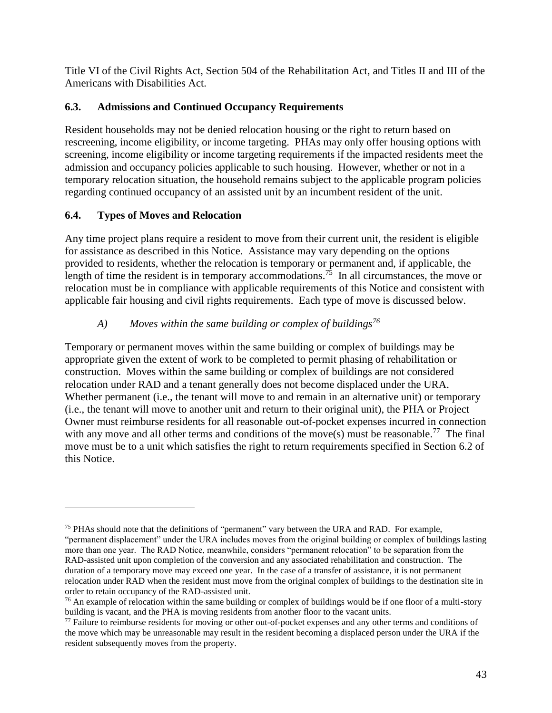Title VI of the Civil Rights Act, Section 504 of the Rehabilitation Act, and Titles II and III of the Americans with Disabilities Act.

# **6.3. Admissions and Continued Occupancy Requirements**

Resident households may not be denied relocation housing or the right to return based on rescreening, income eligibility, or income targeting. PHAs may only offer housing options with screening, income eligibility or income targeting requirements if the impacted residents meet the admission and occupancy policies applicable to such housing. However, whether or not in a temporary relocation situation, the household remains subject to the applicable program policies regarding continued occupancy of an assisted unit by an incumbent resident of the unit.

# **6.4. Types of Moves and Relocation**

 $\overline{a}$ 

Any time project plans require a resident to move from their current unit, the resident is eligible for assistance as described in this Notice. Assistance may vary depending on the options provided to residents, whether the relocation is temporary or permanent and, if applicable, the length of time the resident is in temporary accommodations.<sup>75</sup> In all circumstances, the move or relocation must be in compliance with applicable requirements of this Notice and consistent with applicable fair housing and civil rights requirements. Each type of move is discussed below.

# *A) Moves within the same building or complex of buildings<sup>76</sup>*

Temporary or permanent moves within the same building or complex of buildings may be appropriate given the extent of work to be completed to permit phasing of rehabilitation or construction. Moves within the same building or complex of buildings are not considered relocation under RAD and a tenant generally does not become displaced under the URA. Whether permanent (i.e., the tenant will move to and remain in an alternative unit) or temporary (i.e., the tenant will move to another unit and return to their original unit), the PHA or Project Owner must reimburse residents for all reasonable out-of-pocket expenses incurred in connection with any move and all other terms and conditions of the move(s) must be reasonable.<sup>77</sup> The final move must be to a unit which satisfies the right to return requirements specified in Section 6.2 of this Notice.

<sup>&</sup>lt;sup>75</sup> PHAs should note that the definitions of "permanent" vary between the URA and RAD. For example, "permanent displacement" under the URA includes moves from the original building or complex of buildings lasting more than one year. The RAD Notice, meanwhile, considers "permanent relocation" to be separation from the RAD-assisted unit upon completion of the conversion and any associated rehabilitation and construction. The duration of a temporary move may exceed one year. In the case of a transfer of assistance, it is not permanent relocation under RAD when the resident must move from the original complex of buildings to the destination site in order to retain occupancy of the RAD-assisted unit.

 $76$  An example of relocation within the same building or complex of buildings would be if one floor of a multi-story building is vacant, and the PHA is moving residents from another floor to the vacant units.

<sup>&</sup>lt;sup>77</sup> Failure to reimburse residents for moving or other out-of-pocket expenses and any other terms and conditions of the move which may be unreasonable may result in the resident becoming a displaced person under the URA if the resident subsequently moves from the property.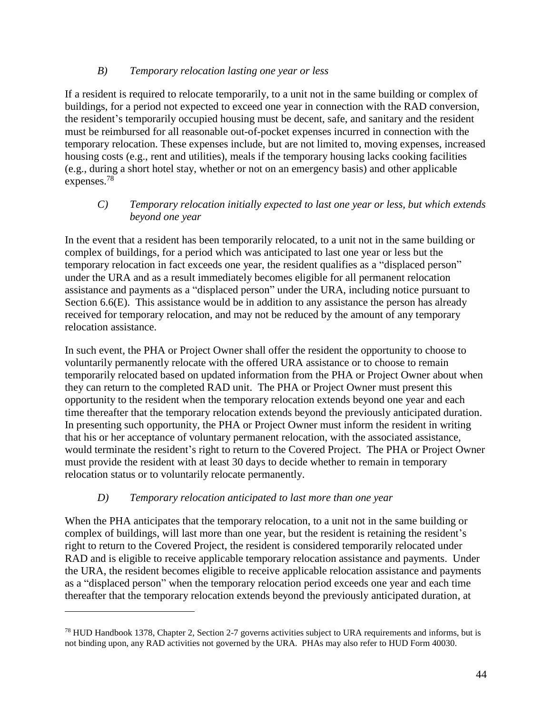### *B) Temporary relocation lasting one year or less*

If a resident is required to relocate temporarily, to a unit not in the same building or complex of buildings, for a period not expected to exceed one year in connection with the RAD conversion, the resident's temporarily occupied housing must be decent, safe, and sanitary and the resident must be reimbursed for all reasonable out-of-pocket expenses incurred in connection with the temporary relocation. These expenses include, but are not limited to, moving expenses, increased housing costs (e.g., rent and utilities), meals if the temporary housing lacks cooking facilities (e.g., during a short hotel stay, whether or not on an emergency basis) and other applicable expenses.<sup>78</sup>

### *C) Temporary relocation initially expected to last one year or less, but which extends beyond one year*

In the event that a resident has been temporarily relocated, to a unit not in the same building or complex of buildings, for a period which was anticipated to last one year or less but the temporary relocation in fact exceeds one year, the resident qualifies as a "displaced person" under the URA and as a result immediately becomes eligible for all permanent relocation assistance and payments as a "displaced person" under the URA, including notice pursuant to Section 6.6(E). This assistance would be in addition to any assistance the person has already received for temporary relocation, and may not be reduced by the amount of any temporary relocation assistance.

In such event, the PHA or Project Owner shall offer the resident the opportunity to choose to voluntarily permanently relocate with the offered URA assistance or to choose to remain temporarily relocated based on updated information from the PHA or Project Owner about when they can return to the completed RAD unit. The PHA or Project Owner must present this opportunity to the resident when the temporary relocation extends beyond one year and each time thereafter that the temporary relocation extends beyond the previously anticipated duration. In presenting such opportunity, the PHA or Project Owner must inform the resident in writing that his or her acceptance of voluntary permanent relocation, with the associated assistance, would terminate the resident's right to return to the Covered Project. The PHA or Project Owner must provide the resident with at least 30 days to decide whether to remain in temporary relocation status or to voluntarily relocate permanently.

## *D) Temporary relocation anticipated to last more than one year*

 $\overline{a}$ 

When the PHA anticipates that the temporary relocation, to a unit not in the same building or complex of buildings, will last more than one year, but the resident is retaining the resident's right to return to the Covered Project, the resident is considered temporarily relocated under RAD and is eligible to receive applicable temporary relocation assistance and payments. Under the URA, the resident becomes eligible to receive applicable relocation assistance and payments as a "displaced person" when the temporary relocation period exceeds one year and each time thereafter that the temporary relocation extends beyond the previously anticipated duration, at

<sup>78</sup> HUD Handbook 1378, Chapter 2, Section 2-7 governs activities subject to URA requirements and informs, but is not binding upon, any RAD activities not governed by the URA. PHAs may also refer to HUD Form 40030.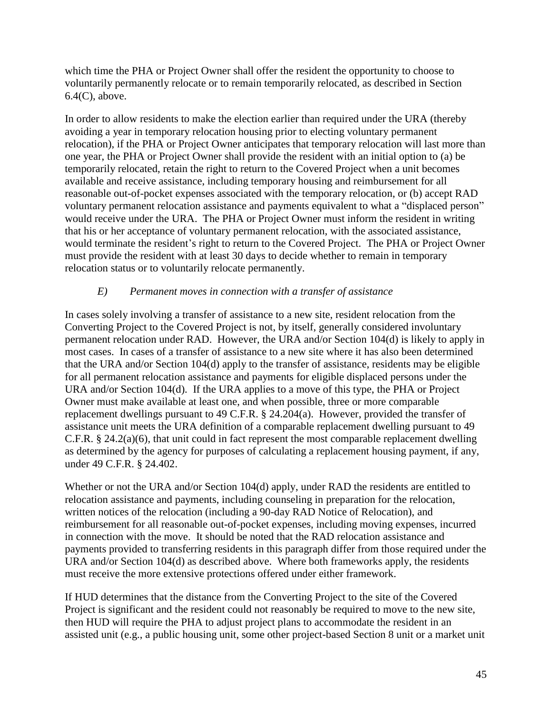which time the PHA or Project Owner shall offer the resident the opportunity to choose to voluntarily permanently relocate or to remain temporarily relocated, as described in Section 6.4(C), above.

In order to allow residents to make the election earlier than required under the URA (thereby avoiding a year in temporary relocation housing prior to electing voluntary permanent relocation), if the PHA or Project Owner anticipates that temporary relocation will last more than one year, the PHA or Project Owner shall provide the resident with an initial option to (a) be temporarily relocated, retain the right to return to the Covered Project when a unit becomes available and receive assistance, including temporary housing and reimbursement for all reasonable out-of-pocket expenses associated with the temporary relocation, or (b) accept RAD voluntary permanent relocation assistance and payments equivalent to what a "displaced person" would receive under the URA. The PHA or Project Owner must inform the resident in writing that his or her acceptance of voluntary permanent relocation, with the associated assistance, would terminate the resident's right to return to the Covered Project. The PHA or Project Owner must provide the resident with at least 30 days to decide whether to remain in temporary relocation status or to voluntarily relocate permanently.

### *E) Permanent moves in connection with a transfer of assistance*

In cases solely involving a transfer of assistance to a new site, resident relocation from the Converting Project to the Covered Project is not, by itself, generally considered involuntary permanent relocation under RAD. However, the URA and/or Section 104(d) is likely to apply in most cases. In cases of a transfer of assistance to a new site where it has also been determined that the URA and/or Section 104(d) apply to the transfer of assistance, residents may be eligible for all permanent relocation assistance and payments for eligible displaced persons under the URA and/or Section 104(d). If the URA applies to a move of this type, the PHA or Project Owner must make available at least one, and when possible, three or more comparable replacement dwellings pursuant to 49 C.F.R. § 24.204(a). However, provided the transfer of assistance unit meets the URA definition of a comparable replacement dwelling pursuant to 49 C.F.R. § 24.2(a)(6), that unit could in fact represent the most comparable replacement dwelling as determined by the agency for purposes of calculating a replacement housing payment, if any, under 49 C.F.R. § 24.402.

Whether or not the URA and/or Section 104(d) apply, under RAD the residents are entitled to relocation assistance and payments, including counseling in preparation for the relocation, written notices of the relocation (including a 90-day RAD Notice of Relocation), and reimbursement for all reasonable out-of-pocket expenses, including moving expenses, incurred in connection with the move. It should be noted that the RAD relocation assistance and payments provided to transferring residents in this paragraph differ from those required under the URA and/or Section 104(d) as described above. Where both frameworks apply, the residents must receive the more extensive protections offered under either framework.

If HUD determines that the distance from the Converting Project to the site of the Covered Project is significant and the resident could not reasonably be required to move to the new site, then HUD will require the PHA to adjust project plans to accommodate the resident in an assisted unit (e.g., a public housing unit, some other project-based Section 8 unit or a market unit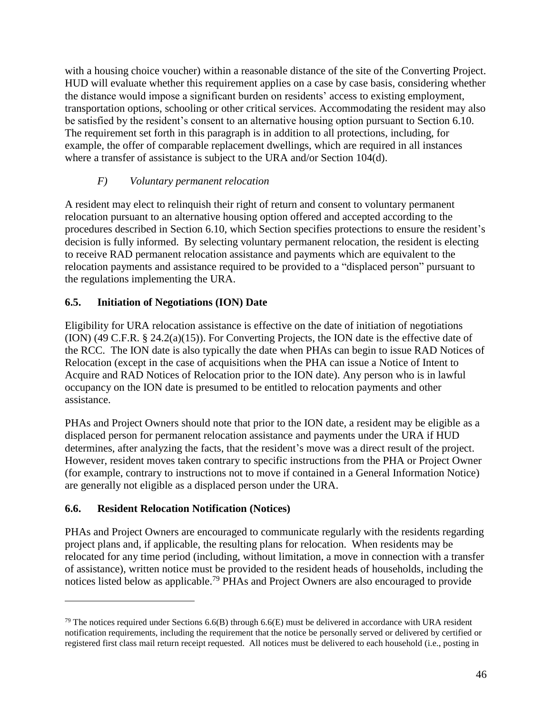with a housing choice voucher) within a reasonable distance of the site of the Converting Project. HUD will evaluate whether this requirement applies on a case by case basis, considering whether the distance would impose a significant burden on residents' access to existing employment, transportation options, schooling or other critical services. Accommodating the resident may also be satisfied by the resident's consent to an alternative housing option pursuant to Section 6.10. The requirement set forth in this paragraph is in addition to all protections, including, for example, the offer of comparable replacement dwellings, which are required in all instances where a transfer of assistance is subject to the URA and/or Section 104(d).

### *F) Voluntary permanent relocation*

A resident may elect to relinquish their right of return and consent to voluntary permanent relocation pursuant to an alternative housing option offered and accepted according to the procedures described in Section 6.10, which Section specifies protections to ensure the resident's decision is fully informed. By selecting voluntary permanent relocation, the resident is electing to receive RAD permanent relocation assistance and payments which are equivalent to the relocation payments and assistance required to be provided to a "displaced person" pursuant to the regulations implementing the URA.

### **6.5. Initiation of Negotiations (ION) Date**

Eligibility for URA relocation assistance is effective on the date of initiation of negotiations (ION) (49 C.F.R. § 24.2(a)(15)). For Converting Projects, the ION date is the effective date of the RCC. The ION date is also typically the date when PHAs can begin to issue RAD Notices of Relocation (except in the case of acquisitions when the PHA can issue a Notice of Intent to Acquire and RAD Notices of Relocation prior to the ION date). Any person who is in lawful occupancy on the ION date is presumed to be entitled to relocation payments and other assistance.

PHAs and Project Owners should note that prior to the ION date, a resident may be eligible as a displaced person for permanent relocation assistance and payments under the URA if HUD determines, after analyzing the facts, that the resident's move was a direct result of the project. However, resident moves taken contrary to specific instructions from the PHA or Project Owner (for example, contrary to instructions not to move if contained in a General Information Notice) are generally not eligible as a displaced person under the URA.

### **6.6. Resident Relocation Notification (Notices)**

 $\overline{a}$ 

PHAs and Project Owners are encouraged to communicate regularly with the residents regarding project plans and, if applicable, the resulting plans for relocation. When residents may be relocated for any time period (including, without limitation, a move in connection with a transfer of assistance), written notice must be provided to the resident heads of households, including the notices listed below as applicable.<sup>79</sup> PHAs and Project Owners are also encouraged to provide

<sup>&</sup>lt;sup>79</sup> The notices required under Sections  $6.6(B)$  through  $6.6(E)$  must be delivered in accordance with URA resident notification requirements, including the requirement that the notice be personally served or delivered by certified or registered first class mail return receipt requested. All notices must be delivered to each household (i.e., posting in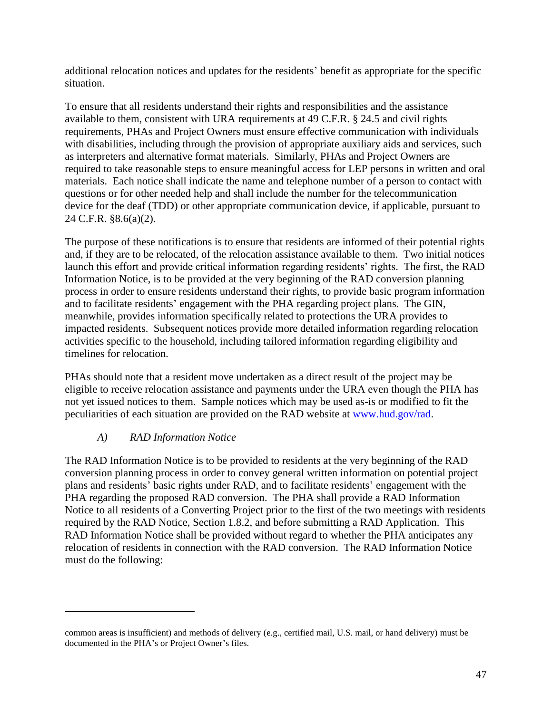additional relocation notices and updates for the residents' benefit as appropriate for the specific situation.

To ensure that all residents understand their rights and responsibilities and the assistance available to them, consistent with URA requirements at 49 C.F.R. § 24.5 and civil rights requirements, PHAs and Project Owners must ensure effective communication with individuals with disabilities, including through the provision of appropriate auxiliary aids and services, such as interpreters and alternative format materials. Similarly, PHAs and Project Owners are required to take reasonable steps to ensure meaningful access for LEP persons in written and oral materials. Each notice shall indicate the name and telephone number of a person to contact with questions or for other needed help and shall include the number for the telecommunication device for the deaf (TDD) or other appropriate communication device, if applicable, pursuant to 24 C.F.R. §8.6(a)(2).

The purpose of these notifications is to ensure that residents are informed of their potential rights and, if they are to be relocated, of the relocation assistance available to them. Two initial notices launch this effort and provide critical information regarding residents' rights. The first, the RAD Information Notice, is to be provided at the very beginning of the RAD conversion planning process in order to ensure residents understand their rights, to provide basic program information and to facilitate residents' engagement with the PHA regarding project plans. The GIN, meanwhile, provides information specifically related to protections the URA provides to impacted residents. Subsequent notices provide more detailed information regarding relocation activities specific to the household, including tailored information regarding eligibility and timelines for relocation.

PHAs should note that a resident move undertaken as a direct result of the project may be eligible to receive relocation assistance and payments under the URA even though the PHA has not yet issued notices to them. Sample notices which may be used as-is or modified to fit the peculiarities of each situation are provided on the RAD website at [www.hud.gov/rad.](http://www.hud.gov/rad)

## *A) RAD Information Notice*

 $\overline{a}$ 

The RAD Information Notice is to be provided to residents at the very beginning of the RAD conversion planning process in order to convey general written information on potential project plans and residents' basic rights under RAD, and to facilitate residents' engagement with the PHA regarding the proposed RAD conversion. The PHA shall provide a RAD Information Notice to all residents of a Converting Project prior to the first of the two meetings with residents required by the RAD Notice, Section 1.8.2, and before submitting a RAD Application. This RAD Information Notice shall be provided without regard to whether the PHA anticipates any relocation of residents in connection with the RAD conversion. The RAD Information Notice must do the following:

common areas is insufficient) and methods of delivery (e.g., certified mail, U.S. mail, or hand delivery) must be documented in the PHA's or Project Owner's files.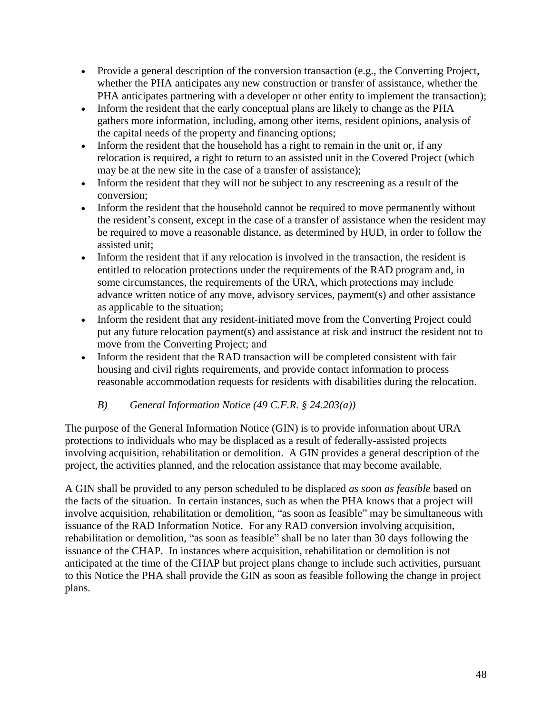- Provide a general description of the conversion transaction (e.g., the Converting Project, whether the PHA anticipates any new construction or transfer of assistance, whether the PHA anticipates partnering with a developer or other entity to implement the transaction);
- Inform the resident that the early conceptual plans are likely to change as the PHA gathers more information, including, among other items, resident opinions, analysis of the capital needs of the property and financing options;
- Inform the resident that the household has a right to remain in the unit or, if any relocation is required, a right to return to an assisted unit in the Covered Project (which may be at the new site in the case of a transfer of assistance);
- Inform the resident that they will not be subject to any rescreening as a result of the conversion;
- Inform the resident that the household cannot be required to move permanently without the resident's consent, except in the case of a transfer of assistance when the resident may be required to move a reasonable distance, as determined by HUD, in order to follow the assisted unit;
- Inform the resident that if any relocation is involved in the transaction, the resident is entitled to relocation protections under the requirements of the RAD program and, in some circumstances, the requirements of the URA, which protections may include advance written notice of any move, advisory services, payment(s) and other assistance as applicable to the situation;
- Inform the resident that any resident-initiated move from the Converting Project could put any future relocation payment(s) and assistance at risk and instruct the resident not to move from the Converting Project; and
- Inform the resident that the RAD transaction will be completed consistent with fair housing and civil rights requirements, and provide contact information to process reasonable accommodation requests for residents with disabilities during the relocation.

## *B) General Information Notice (49 C.F.R. § 24.203(a))*

The purpose of the General Information Notice (GIN) is to provide information about URA protections to individuals who may be displaced as a result of federally-assisted projects involving acquisition, rehabilitation or demolition. A GIN provides a general description of the project, the activities planned, and the relocation assistance that may become available.

A GIN shall be provided to any person scheduled to be displaced *as soon as feasible* based on the facts of the situation. In certain instances, such as when the PHA knows that a project will involve acquisition, rehabilitation or demolition, "as soon as feasible" may be simultaneous with issuance of the RAD Information Notice. For any RAD conversion involving acquisition, rehabilitation or demolition, "as soon as feasible" shall be no later than 30 days following the issuance of the CHAP. In instances where acquisition, rehabilitation or demolition is not anticipated at the time of the CHAP but project plans change to include such activities, pursuant to this Notice the PHA shall provide the GIN as soon as feasible following the change in project plans.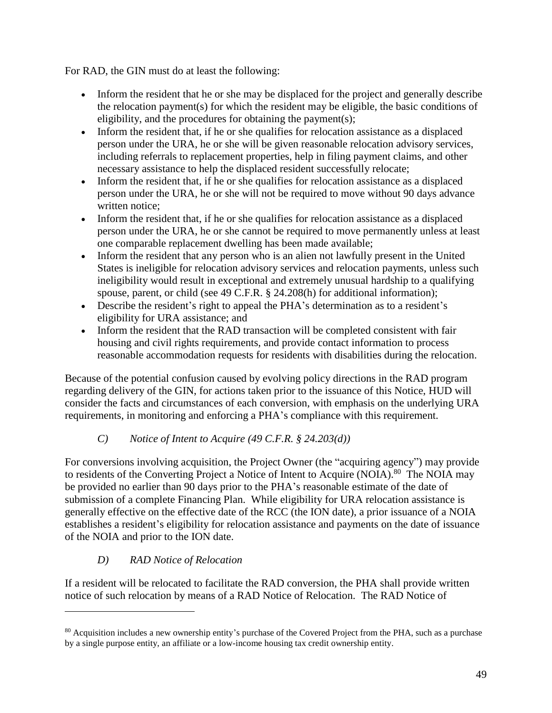For RAD, the GIN must do at least the following:

- Inform the resident that he or she may be displaced for the project and generally describe the relocation payment(s) for which the resident may be eligible, the basic conditions of eligibility, and the procedures for obtaining the payment(s);
- Inform the resident that, if he or she qualifies for relocation assistance as a displaced person under the URA, he or she will be given reasonable relocation advisory services, including referrals to replacement properties, help in filing payment claims, and other necessary assistance to help the displaced resident successfully relocate;
- Inform the resident that, if he or she qualifies for relocation assistance as a displaced person under the URA, he or she will not be required to move without 90 days advance written notice;
- Inform the resident that, if he or she qualifies for relocation assistance as a displaced person under the URA, he or she cannot be required to move permanently unless at least one comparable replacement dwelling has been made available;
- Inform the resident that any person who is an alien not lawfully present in the United States is ineligible for relocation advisory services and relocation payments, unless such ineligibility would result in exceptional and extremely unusual hardship to a qualifying spouse, parent, or child (see 49 C.F.R. § 24.208(h) for additional information);
- Describe the resident's right to appeal the PHA's determination as to a resident's eligibility for URA assistance; and
- Inform the resident that the RAD transaction will be completed consistent with fair housing and civil rights requirements, and provide contact information to process reasonable accommodation requests for residents with disabilities during the relocation.

Because of the potential confusion caused by evolving policy directions in the RAD program regarding delivery of the GIN, for actions taken prior to the issuance of this Notice, HUD will consider the facts and circumstances of each conversion, with emphasis on the underlying URA requirements, in monitoring and enforcing a PHA's compliance with this requirement.

# *C) Notice of Intent to Acquire (49 C.F.R. § 24.203(d))*

For conversions involving acquisition, the Project Owner (the "acquiring agency") may provide to residents of the Converting Project a Notice of Intent to Acquire (NOIA).<sup>80</sup> The NOIA may be provided no earlier than 90 days prior to the PHA's reasonable estimate of the date of submission of a complete Financing Plan. While eligibility for URA relocation assistance is generally effective on the effective date of the RCC (the ION date), a prior issuance of a NOIA establishes a resident's eligibility for relocation assistance and payments on the date of issuance of the NOIA and prior to the ION date.

## *D) RAD Notice of Relocation*

 $\overline{a}$ 

If a resident will be relocated to facilitate the RAD conversion, the PHA shall provide written notice of such relocation by means of a RAD Notice of Relocation. The RAD Notice of

<sup>&</sup>lt;sup>80</sup> Acquisition includes a new ownership entity's purchase of the Covered Project from the PHA, such as a purchase by a single purpose entity, an affiliate or a low-income housing tax credit ownership entity.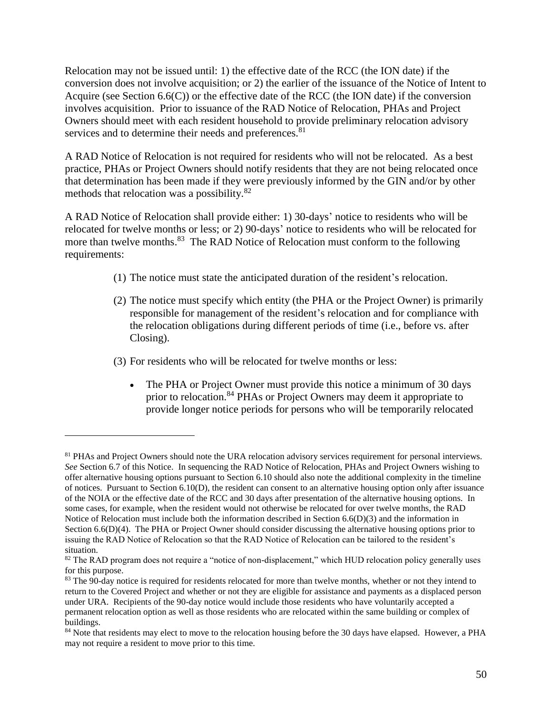Relocation may not be issued until: 1) the effective date of the RCC (the ION date) if the conversion does not involve acquisition; or 2) the earlier of the issuance of the Notice of Intent to Acquire (see Section  $6.6(C)$ ) or the effective date of the RCC (the ION date) if the conversion involves acquisition. Prior to issuance of the RAD Notice of Relocation, PHAs and Project Owners should meet with each resident household to provide preliminary relocation advisory services and to determine their needs and preferences.<sup>81</sup>

A RAD Notice of Relocation is not required for residents who will not be relocated. As a best practice, PHAs or Project Owners should notify residents that they are not being relocated once that determination has been made if they were previously informed by the GIN and/or by other methods that relocation was a possibility.<sup>82</sup>

A RAD Notice of Relocation shall provide either: 1) 30-days' notice to residents who will be relocated for twelve months or less; or 2) 90-days' notice to residents who will be relocated for more than twelve months.<sup>83</sup> The RAD Notice of Relocation must conform to the following requirements:

- (1) The notice must state the anticipated duration of the resident's relocation.
- (2) The notice must specify which entity (the PHA or the Project Owner) is primarily responsible for management of the resident's relocation and for compliance with the relocation obligations during different periods of time (i.e., before vs. after Closing).
- (3) For residents who will be relocated for twelve months or less:

 $\overline{a}$ 

• The PHA or Project Owner must provide this notice a minimum of 30 days prior to relocation.<sup>84</sup> PHAs or Project Owners may deem it appropriate to provide longer notice periods for persons who will be temporarily relocated

<sup>&</sup>lt;sup>81</sup> PHAs and Project Owners should note the URA relocation advisory services requirement for personal interviews. *See* Section 6.7 of this Notice. In sequencing the RAD Notice of Relocation, PHAs and Project Owners wishing to offer alternative housing options pursuant to Section 6.10 should also note the additional complexity in the timeline of notices. Pursuant to Section 6.10(D), the resident can consent to an alternative housing option only after issuance of the NOIA or the effective date of the RCC and 30 days after presentation of the alternative housing options. In some cases, for example, when the resident would not otherwise be relocated for over twelve months, the RAD Notice of Relocation must include both the information described in Section 6.6(D)(3) and the information in Section 6.6(D)(4). The PHA or Project Owner should consider discussing the alternative housing options prior to issuing the RAD Notice of Relocation so that the RAD Notice of Relocation can be tailored to the resident's situation.

<sup>&</sup>lt;sup>82</sup> The RAD program does not require a "notice of non-displacement," which HUD relocation policy generally uses for this purpose.

<sup>&</sup>lt;sup>83</sup> The 90-day notice is required for residents relocated for more than twelve months, whether or not they intend to return to the Covered Project and whether or not they are eligible for assistance and payments as a displaced person under URA. Recipients of the 90-day notice would include those residents who have voluntarily accepted a permanent relocation option as well as those residents who are relocated within the same building or complex of buildings.

<sup>&</sup>lt;sup>84</sup> Note that residents may elect to move to the relocation housing before the 30 days have elapsed. However, a PHA may not require a resident to move prior to this time.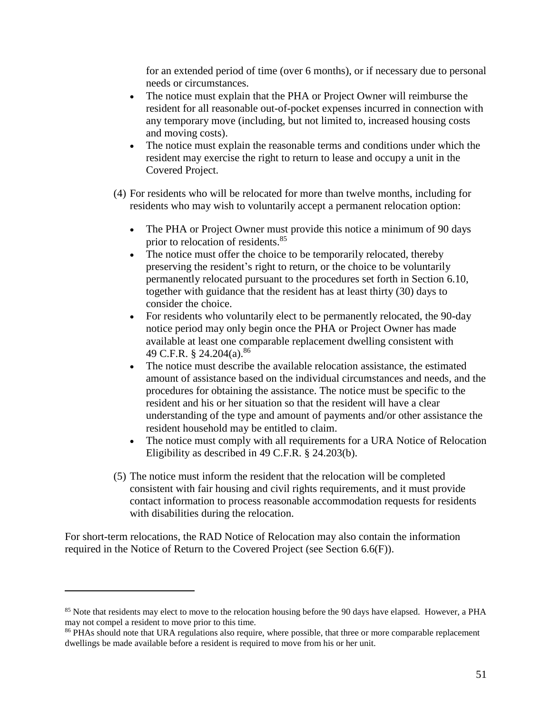for an extended period of time (over 6 months), or if necessary due to personal needs or circumstances.

- The notice must explain that the PHA or Project Owner will reimburse the resident for all reasonable out-of-pocket expenses incurred in connection with any temporary move (including, but not limited to, increased housing costs and moving costs).
- The notice must explain the reasonable terms and conditions under which the resident may exercise the right to return to lease and occupy a unit in the Covered Project.
- (4) For residents who will be relocated for more than twelve months, including for residents who may wish to voluntarily accept a permanent relocation option:
	- The PHA or Project Owner must provide this notice a minimum of 90 days prior to relocation of residents.<sup>85</sup>
	- The notice must offer the choice to be temporarily relocated, thereby preserving the resident's right to return, or the choice to be voluntarily permanently relocated pursuant to the procedures set forth in Section 6.10, together with guidance that the resident has at least thirty (30) days to consider the choice.
	- For residents who voluntarily elect to be permanently relocated, the 90-day notice period may only begin once the PHA or Project Owner has made available at least one comparable replacement dwelling consistent with 49 C.F.R. § 24.204(a).<sup>86</sup>
	- The notice must describe the available relocation assistance, the estimated amount of assistance based on the individual circumstances and needs, and the procedures for obtaining the assistance. The notice must be specific to the resident and his or her situation so that the resident will have a clear understanding of the type and amount of payments and/or other assistance the resident household may be entitled to claim.
	- The notice must comply with all requirements for a URA Notice of Relocation Eligibility as described in 49 C.F.R. § 24.203(b).
- (5) The notice must inform the resident that the relocation will be completed consistent with fair housing and civil rights requirements, and it must provide contact information to process reasonable accommodation requests for residents with disabilities during the relocation.

For short-term relocations, the RAD Notice of Relocation may also contain the information required in the Notice of Return to the Covered Project (see Section 6.6(F)).

<sup>&</sup>lt;sup>85</sup> Note that residents may elect to move to the relocation housing before the 90 days have elapsed. However, a PHA may not compel a resident to move prior to this time.

<sup>&</sup>lt;sup>86</sup> PHAs should note that URA regulations also require, where possible, that three or more comparable replacement dwellings be made available before a resident is required to move from his or her unit.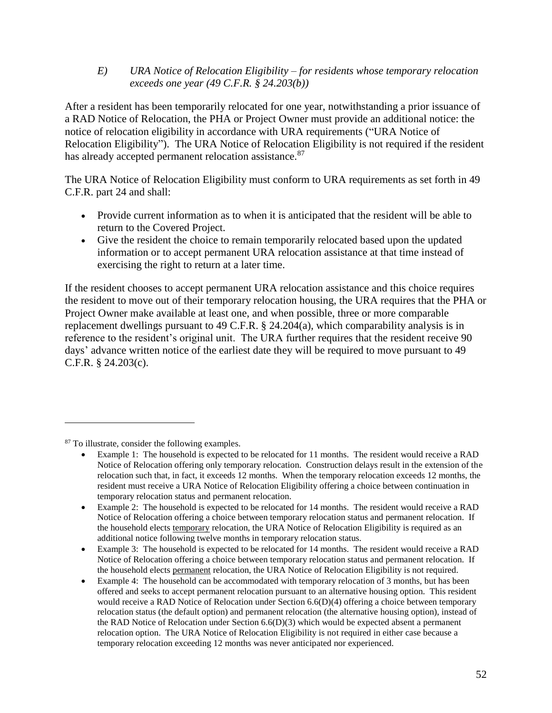### *E) URA Notice of Relocation Eligibility – for residents whose temporary relocation exceeds one year (49 C.F.R. § 24.203(b))*

After a resident has been temporarily relocated for one year, notwithstanding a prior issuance of a RAD Notice of Relocation, the PHA or Project Owner must provide an additional notice: the notice of relocation eligibility in accordance with URA requirements ("URA Notice of Relocation Eligibility"). The URA Notice of Relocation Eligibility is not required if the resident has already accepted permanent relocation assistance.<sup>87</sup>

The URA Notice of Relocation Eligibility must conform to URA requirements as set forth in 49 C.F.R. part 24 and shall:

- Provide current information as to when it is anticipated that the resident will be able to return to the Covered Project.
- Give the resident the choice to remain temporarily relocated based upon the updated information or to accept permanent URA relocation assistance at that time instead of exercising the right to return at a later time.

If the resident chooses to accept permanent URA relocation assistance and this choice requires the resident to move out of their temporary relocation housing, the URA requires that the PHA or Project Owner make available at least one, and when possible, three or more comparable replacement dwellings pursuant to 49 C.F.R. § 24.204(a), which comparability analysis is in reference to the resident's original unit. The URA further requires that the resident receive 90 days' advance written notice of the earliest date they will be required to move pursuant to 49 C.F.R. § 24.203(c).

<sup>87</sup> To illustrate, consider the following examples.

Example 1: The household is expected to be relocated for 11 months. The resident would receive a RAD Notice of Relocation offering only temporary relocation. Construction delays result in the extension of the relocation such that, in fact, it exceeds 12 months. When the temporary relocation exceeds 12 months, the resident must receive a URA Notice of Relocation Eligibility offering a choice between continuation in temporary relocation status and permanent relocation.

Example 2: The household is expected to be relocated for 14 months. The resident would receive a RAD Notice of Relocation offering a choice between temporary relocation status and permanent relocation. If the household elects temporary relocation, the URA Notice of Relocation Eligibility is required as an additional notice following twelve months in temporary relocation status.

Example 3: The household is expected to be relocated for 14 months. The resident would receive a RAD Notice of Relocation offering a choice between temporary relocation status and permanent relocation. If the household elects permanent relocation, the URA Notice of Relocation Eligibility is not required.

Example 4: The household can be accommodated with temporary relocation of 3 months, but has been offered and seeks to accept permanent relocation pursuant to an alternative housing option. This resident would receive a RAD Notice of Relocation under Section 6.6(D)(4) offering a choice between temporary relocation status (the default option) and permanent relocation (the alternative housing option), instead of the RAD Notice of Relocation under Section  $6.6(D)(3)$  which would be expected absent a permanent relocation option. The URA Notice of Relocation Eligibility is not required in either case because a temporary relocation exceeding 12 months was never anticipated nor experienced.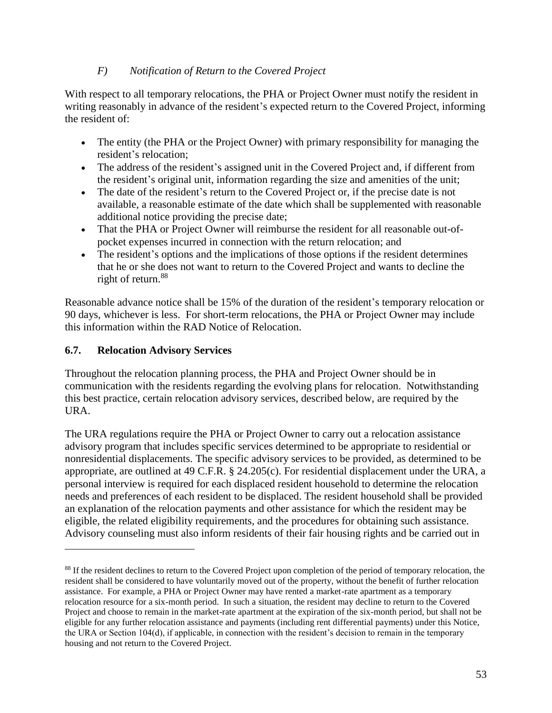### *F) Notification of Return to the Covered Project*

With respect to all temporary relocations, the PHA or Project Owner must notify the resident in writing reasonably in advance of the resident's expected return to the Covered Project, informing the resident of:

- The entity (the PHA or the Project Owner) with primary responsibility for managing the resident's relocation;
- The address of the resident's assigned unit in the Covered Project and, if different from the resident's original unit, information regarding the size and amenities of the unit;
- The date of the resident's return to the Covered Project or, if the precise date is not available, a reasonable estimate of the date which shall be supplemented with reasonable additional notice providing the precise date;
- That the PHA or Project Owner will reimburse the resident for all reasonable out-ofpocket expenses incurred in connection with the return relocation; and
- The resident's options and the implications of those options if the resident determines that he or she does not want to return to the Covered Project and wants to decline the right of return.<sup>88</sup>

Reasonable advance notice shall be 15% of the duration of the resident's temporary relocation or 90 days, whichever is less. For short-term relocations, the PHA or Project Owner may include this information within the RAD Notice of Relocation.

### **6.7. Relocation Advisory Services**

 $\overline{a}$ 

Throughout the relocation planning process, the PHA and Project Owner should be in communication with the residents regarding the evolving plans for relocation. Notwithstanding this best practice, certain relocation advisory services, described below, are required by the URA.

The URA regulations require the PHA or Project Owner to carry out a relocation assistance advisory program that includes specific services determined to be appropriate to residential or nonresidential displacements. The specific advisory services to be provided, as determined to be appropriate, are outlined at 49 C.F.R. § 24.205(c). For residential displacement under the URA, a personal interview is required for each displaced resident household to determine the relocation needs and preferences of each resident to be displaced. The resident household shall be provided an explanation of the relocation payments and other assistance for which the resident may be eligible, the related eligibility requirements, and the procedures for obtaining such assistance. Advisory counseling must also inform residents of their fair housing rights and be carried out in

<sup>&</sup>lt;sup>88</sup> If the resident declines to return to the Covered Project upon completion of the period of temporary relocation, the resident shall be considered to have voluntarily moved out of the property, without the benefit of further relocation assistance. For example, a PHA or Project Owner may have rented a market-rate apartment as a temporary relocation resource for a six-month period. In such a situation, the resident may decline to return to the Covered Project and choose to remain in the market-rate apartment at the expiration of the six-month period, but shall not be eligible for any further relocation assistance and payments (including rent differential payments) under this Notice, the URA or Section 104(d), if applicable, in connection with the resident's decision to remain in the temporary housing and not return to the Covered Project.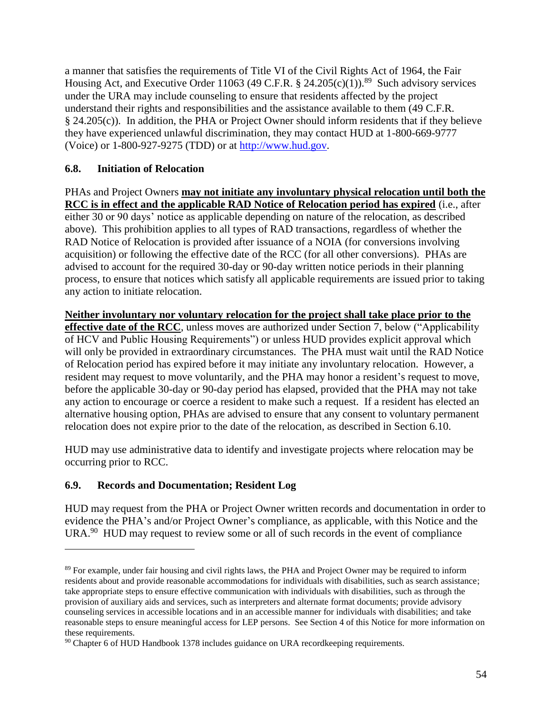a manner that satisfies the requirements of Title VI of the Civil Rights Act of 1964, the Fair Housing Act, and Executive Order 11063 (49 C.F.R.  $\S$  24.205(c)(1)).<sup>89</sup> Such advisory services under the URA may include counseling to ensure that residents affected by the project understand their rights and responsibilities and the assistance available to them (49 C.F.R. § 24.205(c)). In addition, the PHA or Project Owner should inform residents that if they believe they have experienced unlawful discrimination, they may contact HUD at 1-800-669-9777 (Voice) or 1-800-927-9275 (TDD) or at [http://www.hud.gov.](http://www.hud.gov/)

### **6.8. Initiation of Relocation**

PHAs and Project Owners **may not initiate any involuntary physical relocation until both the RCC is in effect and the applicable RAD Notice of Relocation period has expired** (i.e., after either 30 or 90 days' notice as applicable depending on nature of the relocation, as described above). This prohibition applies to all types of RAD transactions, regardless of whether the RAD Notice of Relocation is provided after issuance of a NOIA (for conversions involving acquisition) or following the effective date of the RCC (for all other conversions). PHAs are advised to account for the required 30-day or 90-day written notice periods in their planning process, to ensure that notices which satisfy all applicable requirements are issued prior to taking any action to initiate relocation.

**Neither involuntary nor voluntary relocation for the project shall take place prior to the effective date of the RCC**, unless moves are authorized under Section 7, below ("Applicability of HCV and Public Housing Requirements") or unless HUD provides explicit approval which will only be provided in extraordinary circumstances. The PHA must wait until the RAD Notice of Relocation period has expired before it may initiate any involuntary relocation. However, a resident may request to move voluntarily, and the PHA may honor a resident's request to move, before the applicable 30-day or 90-day period has elapsed, provided that the PHA may not take any action to encourage or coerce a resident to make such a request. If a resident has elected an alternative housing option, PHAs are advised to ensure that any consent to voluntary permanent relocation does not expire prior to the date of the relocation, as described in Section 6.10.

HUD may use administrative data to identify and investigate projects where relocation may be occurring prior to RCC.

## **6.9. Records and Documentation; Resident Log**

 $\overline{a}$ 

HUD may request from the PHA or Project Owner written records and documentation in order to evidence the PHA's and/or Project Owner's compliance, as applicable, with this Notice and the  $URA.<sup>90</sup> HUD$  may request to review some or all of such records in the event of compliance

<sup>89</sup> For example, under fair housing and civil rights laws, the PHA and Project Owner may be required to inform residents about and provide reasonable accommodations for individuals with disabilities, such as search assistance; take appropriate steps to ensure effective communication with individuals with disabilities, such as through the provision of auxiliary aids and services, such as interpreters and alternate format documents; provide advisory counseling services in accessible locations and in an accessible manner for individuals with disabilities; and take reasonable steps to ensure meaningful access for LEP persons. See Section 4 of this Notice for more information on these requirements.

<sup>&</sup>lt;sup>90</sup> Chapter 6 of HUD Handbook 1378 includes guidance on URA recordkeeping requirements.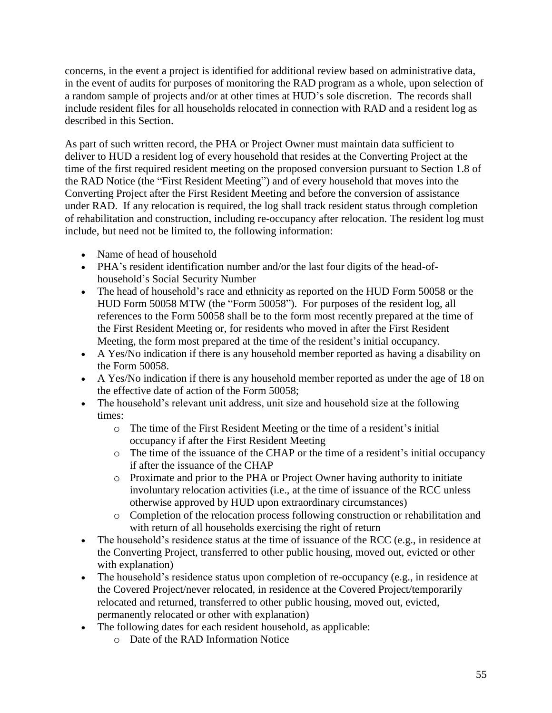concerns, in the event a project is identified for additional review based on administrative data, in the event of audits for purposes of monitoring the RAD program as a whole, upon selection of a random sample of projects and/or at other times at HUD's sole discretion. The records shall include resident files for all households relocated in connection with RAD and a resident log as described in this Section.

As part of such written record, the PHA or Project Owner must maintain data sufficient to deliver to HUD a resident log of every household that resides at the Converting Project at the time of the first required resident meeting on the proposed conversion pursuant to Section 1.8 of the RAD Notice (the "First Resident Meeting") and of every household that moves into the Converting Project after the First Resident Meeting and before the conversion of assistance under RAD. If any relocation is required, the log shall track resident status through completion of rehabilitation and construction, including re-occupancy after relocation. The resident log must include, but need not be limited to, the following information:

- Name of head of household
- PHA's resident identification number and/or the last four digits of the head-ofhousehold's Social Security Number
- The head of household's race and ethnicity as reported on the HUD Form 50058 or the HUD Form 50058 MTW (the "Form 50058"). For purposes of the resident log, all references to the Form 50058 shall be to the form most recently prepared at the time of the First Resident Meeting or, for residents who moved in after the First Resident Meeting, the form most prepared at the time of the resident's initial occupancy.
- A Yes/No indication if there is any household member reported as having a disability on the Form 50058.
- A Yes/No indication if there is any household member reported as under the age of 18 on the effective date of action of the Form 50058;
- The household's relevant unit address, unit size and household size at the following times:
	- o The time of the First Resident Meeting or the time of a resident's initial occupancy if after the First Resident Meeting
	- o The time of the issuance of the CHAP or the time of a resident's initial occupancy if after the issuance of the CHAP
	- o Proximate and prior to the PHA or Project Owner having authority to initiate involuntary relocation activities (i.e., at the time of issuance of the RCC unless otherwise approved by HUD upon extraordinary circumstances)
	- o Completion of the relocation process following construction or rehabilitation and with return of all households exercising the right of return
- The household's residence status at the time of issuance of the RCC (e.g., in residence at the Converting Project, transferred to other public housing, moved out, evicted or other with explanation)
- The household's residence status upon completion of re-occupancy (e.g., in residence at the Covered Project/never relocated, in residence at the Covered Project/temporarily relocated and returned, transferred to other public housing, moved out, evicted, permanently relocated or other with explanation)
- The following dates for each resident household, as applicable:
	- o Date of the RAD Information Notice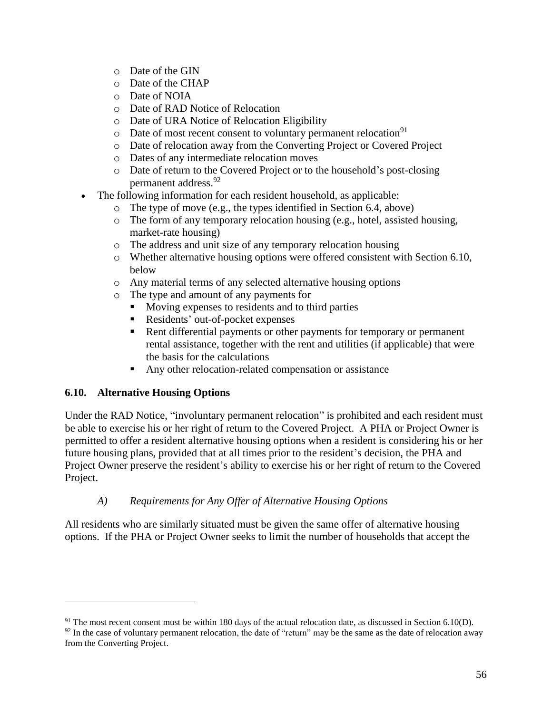- o Date of the GIN
- o Date of the CHAP
- o Date of NOIA
- o Date of RAD Notice of Relocation
- o Date of URA Notice of Relocation Eligibility
- $\circ$  Date of most recent consent to voluntary permanent relocation<sup>91</sup>
- o Date of relocation away from the Converting Project or Covered Project
- o Dates of any intermediate relocation moves
- o Date of return to the Covered Project or to the household's post-closing permanent address. 92
- The following information for each resident household, as applicable:
	- o The type of move (e.g., the types identified in Section 6.4, above)
	- $\circ$  The form of any temporary relocation housing (e.g., hotel, assisted housing, market-rate housing)
	- o The address and unit size of any temporary relocation housing
	- o Whether alternative housing options were offered consistent with Section 6.10, below
	- o Any material terms of any selected alternative housing options
	- o The type and amount of any payments for
		- **Moving expenses to residents and to third parties**
		- Residents' out-of-pocket expenses
		- Rent differential payments or other payments for temporary or permanent rental assistance, together with the rent and utilities (if applicable) that were the basis for the calculations
		- Any other relocation-related compensation or assistance

## **6.10. Alternative Housing Options**

 $\overline{a}$ 

Under the RAD Notice, "involuntary permanent relocation" is prohibited and each resident must be able to exercise his or her right of return to the Covered Project. A PHA or Project Owner is permitted to offer a resident alternative housing options when a resident is considering his or her future housing plans, provided that at all times prior to the resident's decision, the PHA and Project Owner preserve the resident's ability to exercise his or her right of return to the Covered Project.

## *A) Requirements for Any Offer of Alternative Housing Options*

All residents who are similarly situated must be given the same offer of alternative housing options. If the PHA or Project Owner seeks to limit the number of households that accept the

 $91$  The most recent consent must be within 180 days of the actual relocation date, as discussed in Section 6.10(D).  $92$  In the case of voluntary permanent relocation, the date of "return" may be the same as the date of relocation away from the Converting Project.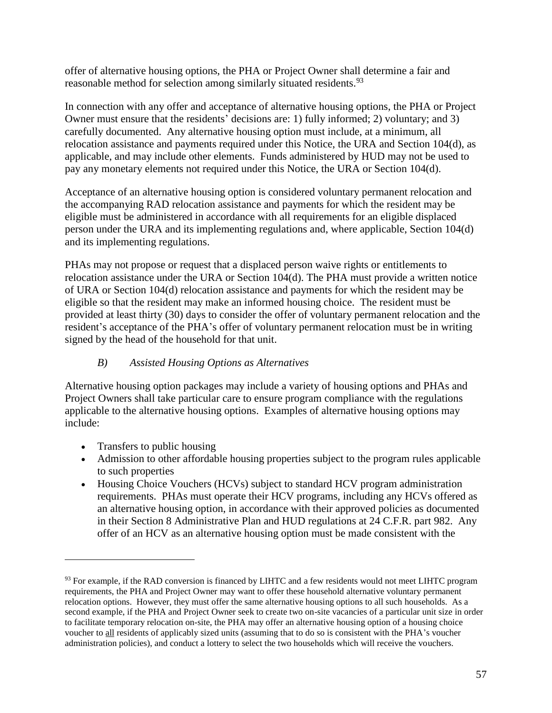offer of alternative housing options, the PHA or Project Owner shall determine a fair and reasonable method for selection among similarly situated residents.<sup>93</sup>

In connection with any offer and acceptance of alternative housing options, the PHA or Project Owner must ensure that the residents' decisions are: 1) fully informed; 2) voluntary; and 3) carefully documented. Any alternative housing option must include, at a minimum, all relocation assistance and payments required under this Notice, the URA and Section 104(d), as applicable, and may include other elements. Funds administered by HUD may not be used to pay any monetary elements not required under this Notice, the URA or Section 104(d).

Acceptance of an alternative housing option is considered voluntary permanent relocation and the accompanying RAD relocation assistance and payments for which the resident may be eligible must be administered in accordance with all requirements for an eligible displaced person under the URA and its implementing regulations and, where applicable, Section 104(d) and its implementing regulations.

PHAs may not propose or request that a displaced person waive rights or entitlements to relocation assistance under the URA or Section 104(d). The PHA must provide a written notice of URA or Section 104(d) relocation assistance and payments for which the resident may be eligible so that the resident may make an informed housing choice. The resident must be provided at least thirty (30) days to consider the offer of voluntary permanent relocation and the resident's acceptance of the PHA's offer of voluntary permanent relocation must be in writing signed by the head of the household for that unit.

## *B) Assisted Housing Options as Alternatives*

Alternative housing option packages may include a variety of housing options and PHAs and Project Owners shall take particular care to ensure program compliance with the regulations applicable to the alternative housing options. Examples of alternative housing options may include:

• Transfers to public housing

- Admission to other affordable housing properties subject to the program rules applicable to such properties
- Housing Choice Vouchers (HCVs) subject to standard HCV program administration requirements. PHAs must operate their HCV programs, including any HCVs offered as an alternative housing option, in accordance with their approved policies as documented in their Section 8 Administrative Plan and HUD regulations at 24 C.F.R. part 982. Any offer of an HCV as an alternative housing option must be made consistent with the

<sup>&</sup>lt;sup>93</sup> For example, if the RAD conversion is financed by LIHTC and a few residents would not meet LIHTC program requirements, the PHA and Project Owner may want to offer these household alternative voluntary permanent relocation options. However, they must offer the same alternative housing options to all such households. As a second example, if the PHA and Project Owner seek to create two on-site vacancies of a particular unit size in order to facilitate temporary relocation on-site, the PHA may offer an alternative housing option of a housing choice voucher to all residents of applicably sized units (assuming that to do so is consistent with the PHA's voucher administration policies), and conduct a lottery to select the two households which will receive the vouchers.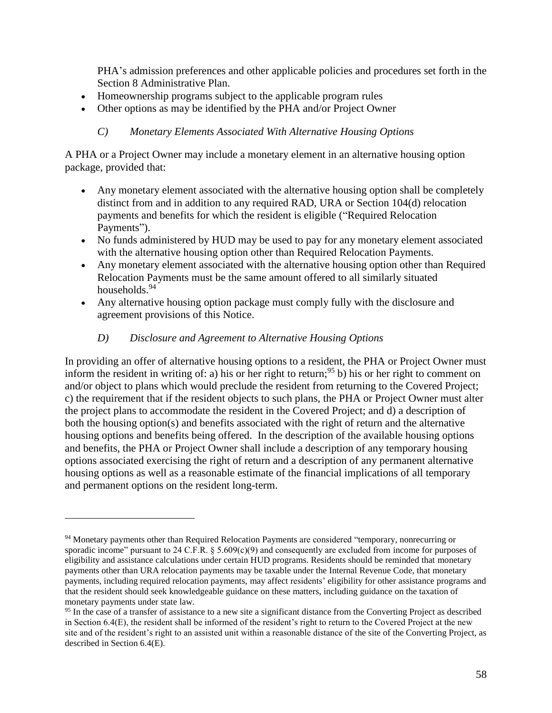PHA's admission preferences and other applicable policies and procedures set forth in the Section 8 Administrative Plan.

- Homeownership programs subject to the applicable program rules
- Other options as may be identified by the PHA and/or Project Owner

### *C) Monetary Elements Associated With Alternative Housing Options*

A PHA or a Project Owner may include a monetary element in an alternative housing option package, provided that:

- Any monetary element associated with the alternative housing option shall be completely distinct from and in addition to any required RAD, URA or Section 104(d) relocation payments and benefits for which the resident is eligible ("Required Relocation Payments").
- No funds administered by HUD may be used to pay for any monetary element associated with the alternative housing option other than Required Relocation Payments.
- Any monetary element associated with the alternative housing option other than Required Relocation Payments must be the same amount offered to all similarly situated households.<sup>94</sup>
- Any alternative housing option package must comply fully with the disclosure and agreement provisions of this Notice.

### *D) Disclosure and Agreement to Alternative Housing Options*

 $\overline{a}$ 

In providing an offer of alternative housing options to a resident, the PHA or Project Owner must inform the resident in writing of: a) his or her right to return;<sup>95</sup> b) his or her right to comment on and/or object to plans which would preclude the resident from returning to the Covered Project; c) the requirement that if the resident objects to such plans, the PHA or Project Owner must alter the project plans to accommodate the resident in the Covered Project; and d) a description of both the housing option(s) and benefits associated with the right of return and the alternative housing options and benefits being offered. In the description of the available housing options and benefits, the PHA or Project Owner shall include a description of any temporary housing options associated exercising the right of return and a description of any permanent alternative housing options as well as a reasonable estimate of the financial implications of all temporary and permanent options on the resident long-term.

<sup>94</sup> Monetary payments other than Required Relocation Payments are considered "temporary, nonrecurring or sporadic income" pursuant to 24 C.F.R. § 5.609(c)(9) and consequently are excluded from income for purposes of eligibility and assistance calculations under certain HUD programs. Residents should be reminded that monetary payments other than URA relocation payments may be taxable under the Internal Revenue Code, that monetary payments, including required relocation payments, may affect residents' eligibility for other assistance programs and that the resident should seek knowledgeable guidance on these matters, including guidance on the taxation of monetary payments under state law.

<sup>&</sup>lt;sup>95</sup> In the case of a transfer of assistance to a new site a significant distance from the Converting Project as described in Section 6.4(E), the resident shall be informed of the resident's right to return to the Covered Project at the new site and of the resident's right to an assisted unit within a reasonable distance of the site of the Converting Project, as described in Section 6.4(E).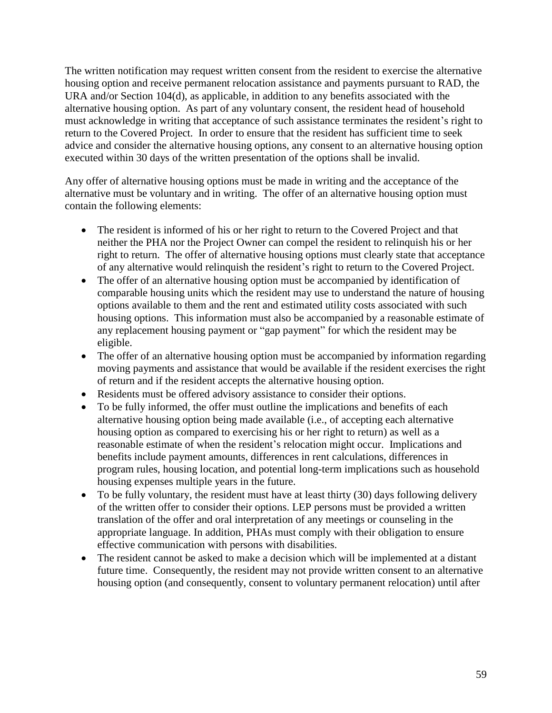The written notification may request written consent from the resident to exercise the alternative housing option and receive permanent relocation assistance and payments pursuant to RAD, the URA and/or Section 104(d), as applicable, in addition to any benefits associated with the alternative housing option. As part of any voluntary consent, the resident head of household must acknowledge in writing that acceptance of such assistance terminates the resident's right to return to the Covered Project. In order to ensure that the resident has sufficient time to seek advice and consider the alternative housing options, any consent to an alternative housing option executed within 30 days of the written presentation of the options shall be invalid.

Any offer of alternative housing options must be made in writing and the acceptance of the alternative must be voluntary and in writing. The offer of an alternative housing option must contain the following elements:

- The resident is informed of his or her right to return to the Covered Project and that neither the PHA nor the Project Owner can compel the resident to relinquish his or her right to return. The offer of alternative housing options must clearly state that acceptance of any alternative would relinquish the resident's right to return to the Covered Project.
- The offer of an alternative housing option must be accompanied by identification of comparable housing units which the resident may use to understand the nature of housing options available to them and the rent and estimated utility costs associated with such housing options. This information must also be accompanied by a reasonable estimate of any replacement housing payment or "gap payment" for which the resident may be eligible.
- The offer of an alternative housing option must be accompanied by information regarding moving payments and assistance that would be available if the resident exercises the right of return and if the resident accepts the alternative housing option.
- Residents must be offered advisory assistance to consider their options.
- To be fully informed, the offer must outline the implications and benefits of each alternative housing option being made available (i.e., of accepting each alternative housing option as compared to exercising his or her right to return) as well as a reasonable estimate of when the resident's relocation might occur. Implications and benefits include payment amounts, differences in rent calculations, differences in program rules, housing location, and potential long-term implications such as household housing expenses multiple years in the future.
- To be fully voluntary, the resident must have at least thirty (30) days following delivery of the written offer to consider their options. LEP persons must be provided a written translation of the offer and oral interpretation of any meetings or counseling in the appropriate language. In addition, PHAs must comply with their obligation to ensure effective communication with persons with disabilities.
- The resident cannot be asked to make a decision which will be implemented at a distant future time. Consequently, the resident may not provide written consent to an alternative housing option (and consequently, consent to voluntary permanent relocation) until after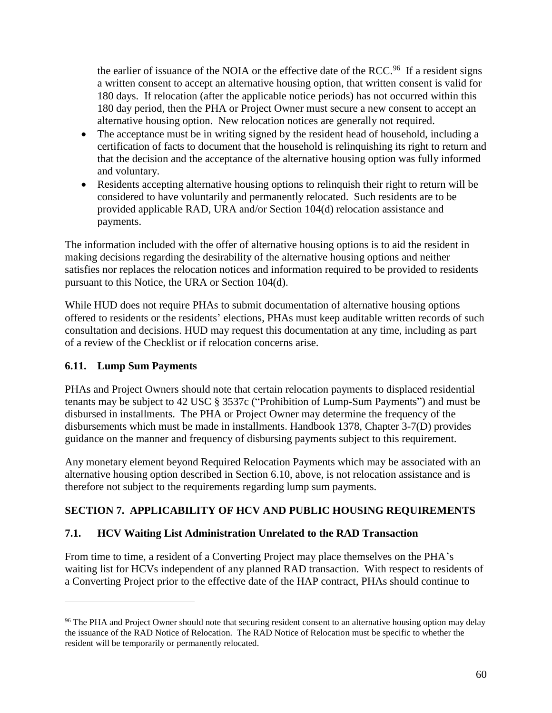the earlier of issuance of the NOIA or the effective date of the RCC.<sup>96</sup> If a resident signs a written consent to accept an alternative housing option, that written consent is valid for 180 days. If relocation (after the applicable notice periods) has not occurred within this 180 day period, then the PHA or Project Owner must secure a new consent to accept an alternative housing option. New relocation notices are generally not required.

- The acceptance must be in writing signed by the resident head of household, including a certification of facts to document that the household is relinquishing its right to return and that the decision and the acceptance of the alternative housing option was fully informed and voluntary.
- Residents accepting alternative housing options to relinquish their right to return will be considered to have voluntarily and permanently relocated. Such residents are to be provided applicable RAD, URA and/or Section 104(d) relocation assistance and payments.

The information included with the offer of alternative housing options is to aid the resident in making decisions regarding the desirability of the alternative housing options and neither satisfies nor replaces the relocation notices and information required to be provided to residents pursuant to this Notice, the URA or Section 104(d).

While HUD does not require PHAs to submit documentation of alternative housing options offered to residents or the residents' elections, PHAs must keep auditable written records of such consultation and decisions. HUD may request this documentation at any time, including as part of a review of the Checklist or if relocation concerns arise.

## **6.11. Lump Sum Payments**

 $\overline{a}$ 

PHAs and Project Owners should note that certain relocation payments to displaced residential tenants may be subject to 42 USC § 3537c ("Prohibition of Lump-Sum Payments") and must be disbursed in installments. The PHA or Project Owner may determine the frequency of the disbursements which must be made in installments. Handbook 1378, Chapter 3-7(D) provides guidance on the manner and frequency of disbursing payments subject to this requirement.

Any monetary element beyond Required Relocation Payments which may be associated with an alternative housing option described in Section 6.10, above, is not relocation assistance and is therefore not subject to the requirements regarding lump sum payments.

# **SECTION 7. APPLICABILITY OF HCV AND PUBLIC HOUSING REQUIREMENTS**

### **7.1. HCV Waiting List Administration Unrelated to the RAD Transaction**

From time to time, a resident of a Converting Project may place themselves on the PHA's waiting list for HCVs independent of any planned RAD transaction. With respect to residents of a Converting Project prior to the effective date of the HAP contract, PHAs should continue to

<sup>&</sup>lt;sup>96</sup> The PHA and Project Owner should note that securing resident consent to an alternative housing option may delay the issuance of the RAD Notice of Relocation. The RAD Notice of Relocation must be specific to whether the resident will be temporarily or permanently relocated.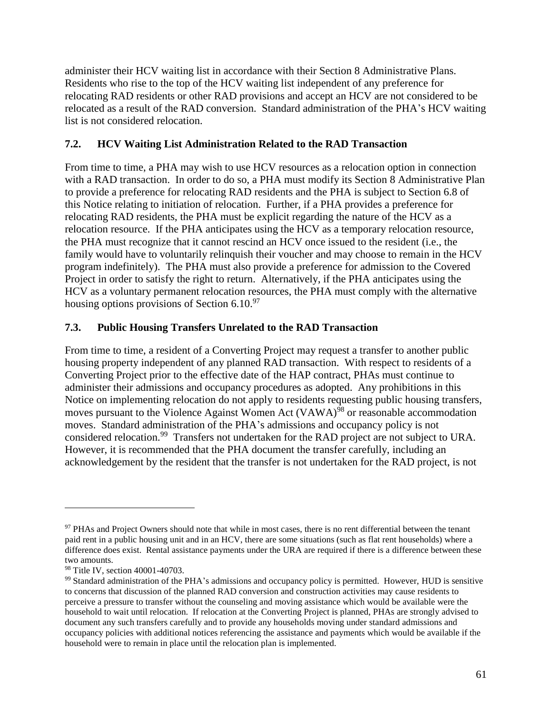administer their HCV waiting list in accordance with their Section 8 Administrative Plans. Residents who rise to the top of the HCV waiting list independent of any preference for relocating RAD residents or other RAD provisions and accept an HCV are not considered to be relocated as a result of the RAD conversion. Standard administration of the PHA's HCV waiting list is not considered relocation.

### **7.2. HCV Waiting List Administration Related to the RAD Transaction**

From time to time, a PHA may wish to use HCV resources as a relocation option in connection with a RAD transaction. In order to do so, a PHA must modify its Section 8 Administrative Plan to provide a preference for relocating RAD residents and the PHA is subject to Section 6.8 of this Notice relating to initiation of relocation. Further, if a PHA provides a preference for relocating RAD residents, the PHA must be explicit regarding the nature of the HCV as a relocation resource. If the PHA anticipates using the HCV as a temporary relocation resource, the PHA must recognize that it cannot rescind an HCV once issued to the resident (i.e., the family would have to voluntarily relinquish their voucher and may choose to remain in the HCV program indefinitely). The PHA must also provide a preference for admission to the Covered Project in order to satisfy the right to return. Alternatively, if the PHA anticipates using the HCV as a voluntary permanent relocation resources, the PHA must comply with the alternative housing options provisions of Section 6.10.<sup>97</sup>

### **7.3. Public Housing Transfers Unrelated to the RAD Transaction**

From time to time, a resident of a Converting Project may request a transfer to another public housing property independent of any planned RAD transaction. With respect to residents of a Converting Project prior to the effective date of the HAP contract, PHAs must continue to administer their admissions and occupancy procedures as adopted. Any prohibitions in this Notice on implementing relocation do not apply to residents requesting public housing transfers, moves pursuant to the Violence Against Women Act (VAWA)<sup>98</sup> or reasonable accommodation moves. Standard administration of the PHA's admissions and occupancy policy is not considered relocation.<sup>99</sup> Transfers not undertaken for the RAD project are not subject to URA. However, it is recommended that the PHA document the transfer carefully, including an acknowledgement by the resident that the transfer is not undertaken for the RAD project, is not

<sup>&</sup>lt;sup>97</sup> PHAs and Project Owners should note that while in most cases, there is no rent differential between the tenant paid rent in a public housing unit and in an HCV, there are some situations (such as flat rent households) where a difference does exist. Rental assistance payments under the URA are required if there is a difference between these two amounts.

<sup>98</sup> Title IV, section 40001-40703.

<sup>&</sup>lt;sup>99</sup> Standard administration of the PHA's admissions and occupancy policy is permitted. However, HUD is sensitive to concerns that discussion of the planned RAD conversion and construction activities may cause residents to perceive a pressure to transfer without the counseling and moving assistance which would be available were the household to wait until relocation. If relocation at the Converting Project is planned, PHAs are strongly advised to document any such transfers carefully and to provide any households moving under standard admissions and occupancy policies with additional notices referencing the assistance and payments which would be available if the household were to remain in place until the relocation plan is implemented.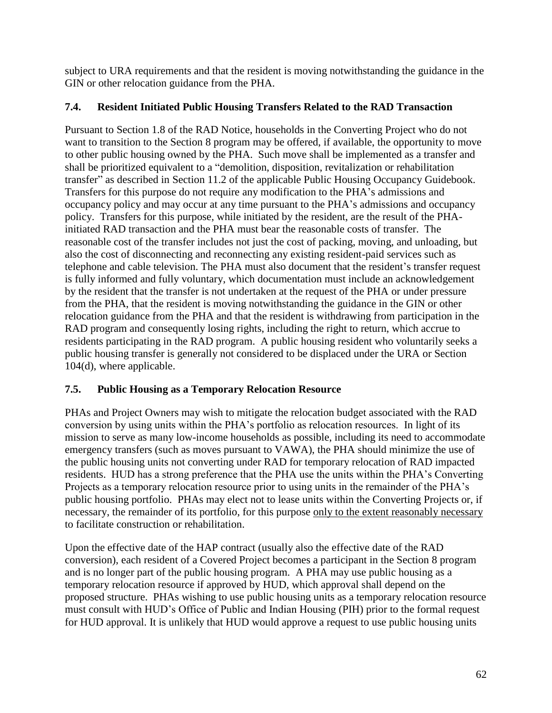subject to URA requirements and that the resident is moving notwithstanding the guidance in the GIN or other relocation guidance from the PHA.

## **7.4. Resident Initiated Public Housing Transfers Related to the RAD Transaction**

Pursuant to Section 1.8 of the RAD Notice, households in the Converting Project who do not want to transition to the Section 8 program may be offered, if available, the opportunity to move to other public housing owned by the PHA. Such move shall be implemented as a transfer and shall be prioritized equivalent to a "demolition, disposition, revitalization or rehabilitation transfer" as described in Section 11.2 of the applicable Public Housing Occupancy Guidebook. Transfers for this purpose do not require any modification to the PHA's admissions and occupancy policy and may occur at any time pursuant to the PHA's admissions and occupancy policy. Transfers for this purpose, while initiated by the resident, are the result of the PHAinitiated RAD transaction and the PHA must bear the reasonable costs of transfer. The reasonable cost of the transfer includes not just the cost of packing, moving, and unloading, but also the cost of disconnecting and reconnecting any existing resident-paid services such as telephone and cable television. The PHA must also document that the resident's transfer request is fully informed and fully voluntary, which documentation must include an acknowledgement by the resident that the transfer is not undertaken at the request of the PHA or under pressure from the PHA, that the resident is moving notwithstanding the guidance in the GIN or other relocation guidance from the PHA and that the resident is withdrawing from participation in the RAD program and consequently losing rights, including the right to return, which accrue to residents participating in the RAD program. A public housing resident who voluntarily seeks a public housing transfer is generally not considered to be displaced under the URA or Section 104(d), where applicable.

## **7.5. Public Housing as a Temporary Relocation Resource**

PHAs and Project Owners may wish to mitigate the relocation budget associated with the RAD conversion by using units within the PHA's portfolio as relocation resources. In light of its mission to serve as many low-income households as possible, including its need to accommodate emergency transfers (such as moves pursuant to VAWA), the PHA should minimize the use of the public housing units not converting under RAD for temporary relocation of RAD impacted residents. HUD has a strong preference that the PHA use the units within the PHA's Converting Projects as a temporary relocation resource prior to using units in the remainder of the PHA's public housing portfolio. PHAs may elect not to lease units within the Converting Projects or, if necessary, the remainder of its portfolio, for this purpose only to the extent reasonably necessary to facilitate construction or rehabilitation.

Upon the effective date of the HAP contract (usually also the effective date of the RAD conversion), each resident of a Covered Project becomes a participant in the Section 8 program and is no longer part of the public housing program. A PHA may use public housing as a temporary relocation resource if approved by HUD, which approval shall depend on the proposed structure. PHAs wishing to use public housing units as a temporary relocation resource must consult with HUD's Office of Public and Indian Housing (PIH) prior to the formal request for HUD approval. It is unlikely that HUD would approve a request to use public housing units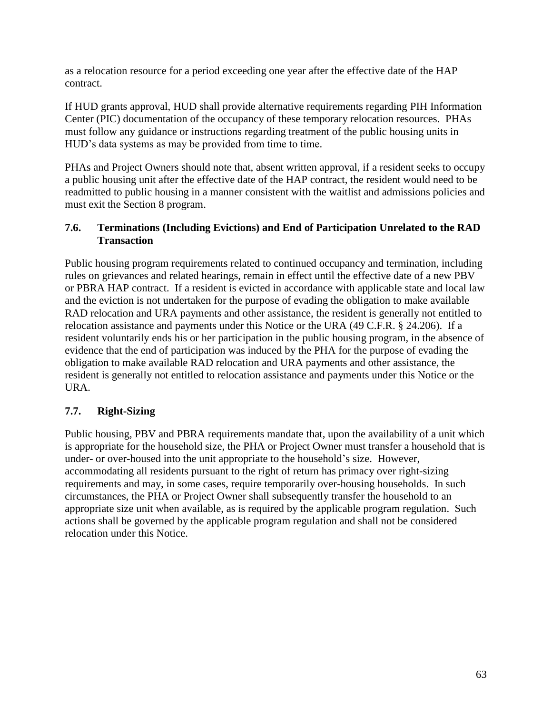as a relocation resource for a period exceeding one year after the effective date of the HAP contract.

If HUD grants approval, HUD shall provide alternative requirements regarding PIH Information Center (PIC) documentation of the occupancy of these temporary relocation resources. PHAs must follow any guidance or instructions regarding treatment of the public housing units in HUD's data systems as may be provided from time to time.

PHAs and Project Owners should note that, absent written approval, if a resident seeks to occupy a public housing unit after the effective date of the HAP contract, the resident would need to be readmitted to public housing in a manner consistent with the waitlist and admissions policies and must exit the Section 8 program.

### **7.6. Terminations (Including Evictions) and End of Participation Unrelated to the RAD Transaction**

Public housing program requirements related to continued occupancy and termination, including rules on grievances and related hearings, remain in effect until the effective date of a new PBV or PBRA HAP contract. If a resident is evicted in accordance with applicable state and local law and the eviction is not undertaken for the purpose of evading the obligation to make available RAD relocation and URA payments and other assistance, the resident is generally not entitled to relocation assistance and payments under this Notice or the URA (49 C.F.R. § 24.206). If a resident voluntarily ends his or her participation in the public housing program, in the absence of evidence that the end of participation was induced by the PHA for the purpose of evading the obligation to make available RAD relocation and URA payments and other assistance, the resident is generally not entitled to relocation assistance and payments under this Notice or the URA.

## **7.7. Right-Sizing**

Public housing, PBV and PBRA requirements mandate that, upon the availability of a unit which is appropriate for the household size, the PHA or Project Owner must transfer a household that is under- or over-housed into the unit appropriate to the household's size. However, accommodating all residents pursuant to the right of return has primacy over right-sizing requirements and may, in some cases, require temporarily over-housing households. In such circumstances, the PHA or Project Owner shall subsequently transfer the household to an appropriate size unit when available, as is required by the applicable program regulation. Such actions shall be governed by the applicable program regulation and shall not be considered relocation under this Notice.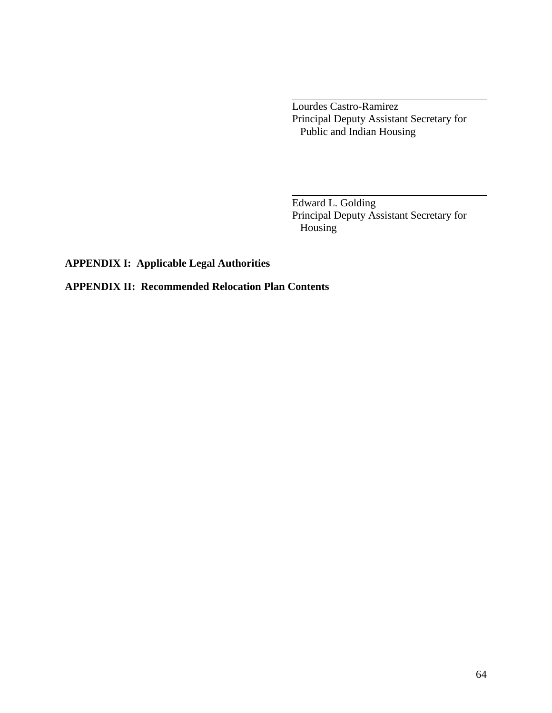Lourdes Castro-Ramirez Principal Deputy Assistant Secretary for Public and Indian Housing

Edward L. Golding Principal Deputy Assistant Secretary for Housing

**APPENDIX I: Applicable Legal Authorities**

**APPENDIX II: Recommended Relocation Plan Contents**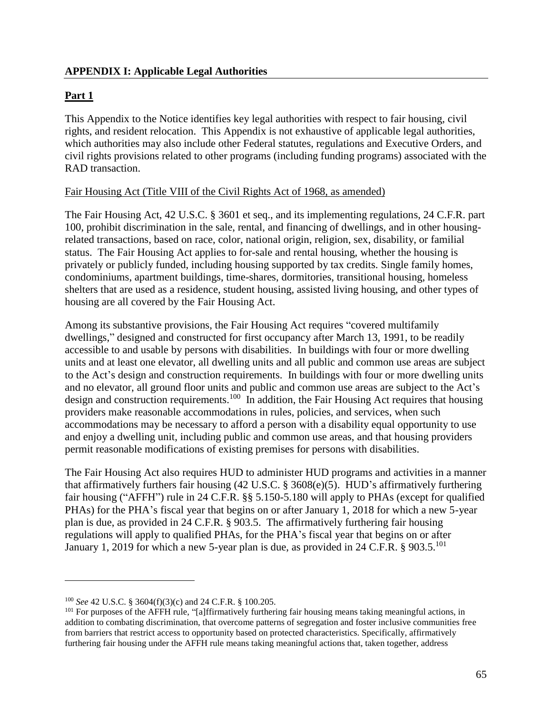### **Part 1**

This Appendix to the Notice identifies key legal authorities with respect to fair housing, civil rights, and resident relocation. This Appendix is not exhaustive of applicable legal authorities, which authorities may also include other Federal statutes, regulations and Executive Orders, and civil rights provisions related to other programs (including funding programs) associated with the RAD transaction.

### Fair Housing Act (Title VIII of the Civil Rights Act of 1968, as amended)

The Fair Housing Act, 42 U.S.C. § 3601 et seq., and its implementing regulations, 24 C.F.R. part 100, prohibit discrimination in the sale, rental, and financing of dwellings, and in other housingrelated transactions, based on race, color, national origin, religion, sex, disability, or familial status. The Fair Housing Act applies to for-sale and rental housing, whether the housing is privately or publicly funded, including housing supported by tax credits. Single family homes, condominiums, apartment buildings, time-shares, dormitories, transitional housing, homeless shelters that are used as a residence, student housing, assisted living housing, and other types of housing are all covered by the Fair Housing Act.

Among its substantive provisions, the Fair Housing Act requires "covered multifamily dwellings," designed and constructed for first occupancy after March 13, 1991, to be readily accessible to and usable by persons with disabilities. In buildings with four or more dwelling units and at least one elevator, all dwelling units and all public and common use areas are subject to the Act's design and construction requirements. In buildings with four or more dwelling units and no elevator, all ground floor units and public and common use areas are subject to the Act's design and construction requirements.<sup>100</sup> In addition, the Fair Housing Act requires that housing providers make reasonable accommodations in rules, policies, and services, when such accommodations may be necessary to afford a person with a disability equal opportunity to use and enjoy a dwelling unit, including public and common use areas, and that housing providers permit reasonable modifications of existing premises for persons with disabilities.

The Fair Housing Act also requires HUD to administer HUD programs and activities in a manner that affirmatively furthers fair housing (42 U.S.C. § 3608(e)(5). HUD's affirmatively furthering fair housing ("AFFH") rule in 24 C.F.R. §§ 5.150-5.180 will apply to PHAs (except for qualified PHAs) for the PHA's fiscal year that begins on or after January 1, 2018 for which a new 5-year plan is due, as provided in 24 C.F.R. § 903.5. The affirmatively furthering fair housing regulations will apply to qualified PHAs, for the PHA's fiscal year that begins on or after January 1, 2019 for which a new 5-year plan is due, as provided in 24 C.F.R. § 903.5.<sup>101</sup>

<sup>100</sup> *See* 42 U.S.C. § 3604(f)(3)(c) and 24 C.F.R. § 100.205.

<sup>&</sup>lt;sup>101</sup> For purposes of the AFFH rule, "[a]ffirmatively furthering fair housing means taking meaningful actions, in addition to combating discrimination, that overcome patterns of segregation and foster inclusive communities free from barriers that restrict access to opportunity based on protected characteristics. Specifically, affirmatively furthering fair housing under the AFFH rule means taking meaningful actions that, taken together, address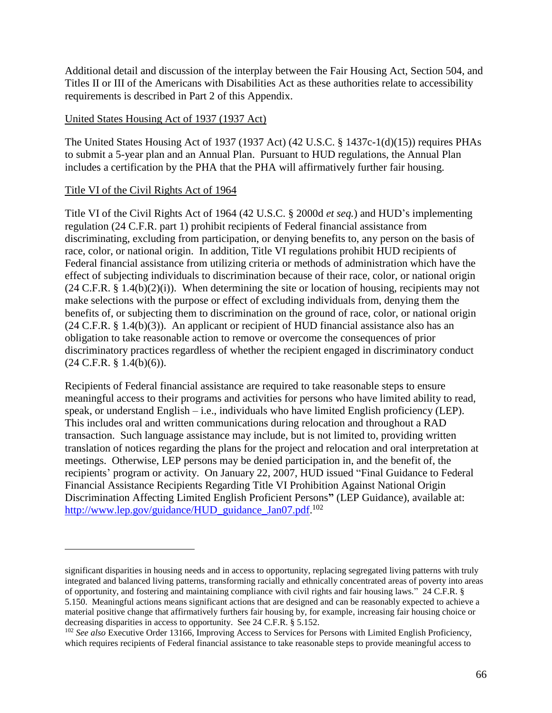Additional detail and discussion of the interplay between the Fair Housing Act, Section 504, and Titles II or III of the Americans with Disabilities Act as these authorities relate to accessibility requirements is described in Part 2 of this Appendix.

#### United States Housing Act of 1937 (1937 Act)

The United States Housing Act of 1937 (1937 Act) (42 U.S.C. § 1437c-1(d)(15)) requires PHAs to submit a 5-year plan and an Annual Plan. Pursuant to HUD regulations, the Annual Plan includes a certification by the PHA that the PHA will affirmatively further fair housing.

#### Title VI of the Civil Rights Act of 1964

 $\overline{a}$ 

Title VI of the Civil Rights Act of 1964 (42 U.S.C. § 2000d *et seq.*) and HUD's implementing regulation (24 C.F.R. part 1) prohibit recipients of Federal financial assistance from discriminating, excluding from participation, or denying benefits to, any person on the basis of race, color, or national origin. In addition, Title VI regulations prohibit HUD recipients of Federal financial assistance from utilizing criteria or methods of administration which have the effect of subjecting individuals to discrimination because of their race, color, or national origin  $(24 \text{ C.F.R. § } 1.4(b)(2)(i))$ . When determining the site or location of housing, recipients may not make selections with the purpose or effect of excluding individuals from, denying them the benefits of, or subjecting them to discrimination on the ground of race, color, or national origin  $(24 \text{ C.F.R. } § 1.4(b)(3))$ . An applicant or recipient of HUD financial assistance also has an obligation to take reasonable action to remove or overcome the consequences of prior discriminatory practices regardless of whether the recipient engaged in discriminatory conduct  $(24 \text{ C.F.R. } § 1.4(b)(6)).$ 

Recipients of Federal financial assistance are required to take reasonable steps to ensure meaningful access to their programs and activities for persons who have limited ability to read, speak, or understand English – i.e., individuals who have limited English proficiency (LEP). This includes oral and written communications during relocation and throughout a RAD transaction. Such language assistance may include, but is not limited to, providing written translation of notices regarding the plans for the project and relocation and oral interpretation at meetings. Otherwise, LEP persons may be denied participation in, and the benefit of, the recipients' program or activity. On January 22, 2007, HUD issued "Final Guidance to Federal Financial Assistance Recipients Regarding Title VI Prohibition Against National Origin Discrimination Affecting Limited English Proficient Persons**"** (LEP Guidance), available at: [http://www.lep.gov/guidance/HUD\\_guidance\\_Jan07.pdf.](http://www.lep.gov/guidance/HUD_guidance_Jan07.pdf)<sup>102</sup>

significant disparities in housing needs and in access to opportunity, replacing segregated living patterns with truly integrated and balanced living patterns, transforming racially and ethnically concentrated areas of poverty into areas of opportunity, and fostering and maintaining compliance with civil rights and fair housing laws." 24 C.F.R. § 5.150. Meaningful actions means significant actions that are designed and can be reasonably expected to achieve a material positive change that affirmatively furthers fair housing by, for example, increasing fair housing choice or decreasing disparities in access to opportunity. See 24 C.F.R. § 5.152.

<sup>102</sup> *See also* Executive Order 13166, Improving Access to Services for Persons with Limited English Proficiency, which requires recipients of Federal financial assistance to take reasonable steps to provide meaningful access to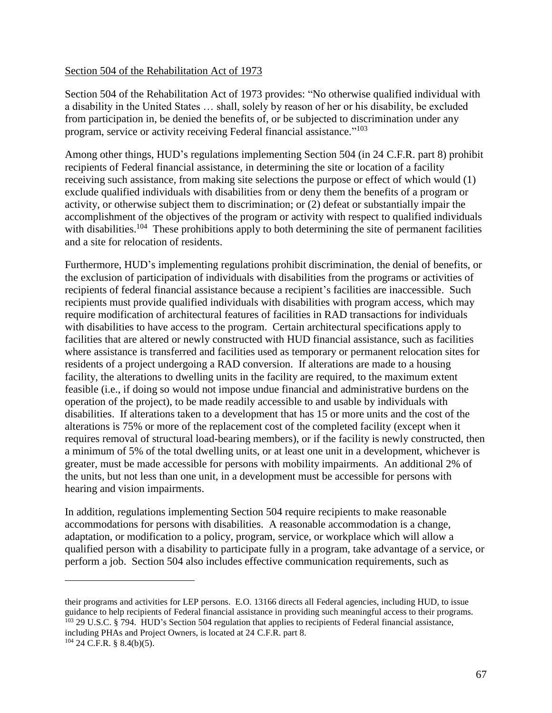#### Section 504 of the Rehabilitation Act of 1973

Section 504 of the Rehabilitation Act of 1973 provides: "No otherwise qualified individual with a disability in the United States … shall, solely by reason of her or his disability, be excluded from participation in, be denied the benefits of, or be subjected to discrimination under any program, service or activity receiving Federal financial assistance."<sup>103</sup>

Among other things, HUD's regulations implementing Section 504 (in 24 C.F.R. part 8) prohibit recipients of Federal financial assistance, in determining the site or location of a facility receiving such assistance, from making site selections the purpose or effect of which would (1) exclude qualified individuals with disabilities from or deny them the benefits of a program or activity, or otherwise subject them to discrimination; or (2) defeat or substantially impair the accomplishment of the objectives of the program or activity with respect to qualified individuals with disabilities.<sup>104</sup> These prohibitions apply to both determining the site of permanent facilities and a site for relocation of residents.

Furthermore, HUD's implementing regulations prohibit discrimination, the denial of benefits, or the exclusion of participation of individuals with disabilities from the programs or activities of recipients of federal financial assistance because a recipient's facilities are inaccessible. Such recipients must provide qualified individuals with disabilities with program access, which may require modification of architectural features of facilities in RAD transactions for individuals with disabilities to have access to the program. Certain architectural specifications apply to facilities that are altered or newly constructed with HUD financial assistance, such as facilities where assistance is transferred and facilities used as temporary or permanent relocation sites for residents of a project undergoing a RAD conversion. If alterations are made to a housing facility, the alterations to dwelling units in the facility are required, to the maximum extent feasible (i.e., if doing so would not impose undue financial and administrative burdens on the operation of the project), to be made readily accessible to and usable by individuals with disabilities. If alterations taken to a development that has 15 or more units and the cost of the alterations is 75% or more of the replacement cost of the completed facility (except when it requires removal of structural load-bearing members), or if the facility is newly constructed, then a minimum of 5% of the total dwelling units, or at least one unit in a development, whichever is greater, must be made accessible for persons with mobility impairments. An additional 2% of the units, but not less than one unit, in a development must be accessible for persons with hearing and vision impairments.

In addition, regulations implementing Section 504 require recipients to make reasonable accommodations for persons with disabilities. A reasonable accommodation is a change, adaptation, or modification to a policy, program, service, or workplace which will allow a qualified person with a disability to participate fully in a program, take advantage of a service, or perform a job. Section 504 also includes effective communication requirements, such as

their programs and activities for LEP persons. E.O. 13166 directs all Federal agencies, including HUD, to issue guidance to help recipients of Federal financial assistance in providing such meaningful access to their programs. <sup>103</sup> 29 U.S.C. § 794. HUD's Section 504 regulation that applies to recipients of Federal financial assistance, including PHAs and Project Owners, is located at 24 C.F.R. part 8.

 $104$  24 C.F.R. § 8.4(b)(5).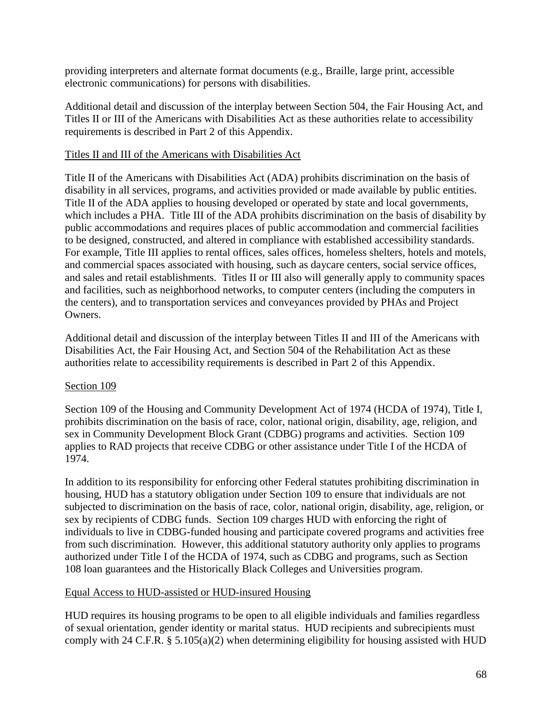providing interpreters and alternate format documents (e.g., Braille, large print, accessible electronic communications) for persons with disabilities.

Additional detail and discussion of the interplay between Section 504, the Fair Housing Act, and Titles II or III of the Americans with Disabilities Act as these authorities relate to accessibility requirements is described in Part 2 of this Appendix.

#### Titles II and III of the Americans with Disabilities Act

Title II of the Americans with Disabilities Act (ADA) prohibits discrimination on the basis of disability in all services, programs, and activities provided or made available by public entities. Title II of the ADA applies to housing developed or operated by state and local governments, which includes a PHA. Title III of the ADA prohibits discrimination on the basis of disability by public accommodations and requires places of public accommodation and commercial facilities to be designed, constructed, and altered in compliance with established accessibility standards. For example, Title III applies to rental offices, sales offices, homeless shelters, hotels and motels, and commercial spaces associated with housing, such as daycare centers, social service offices, and sales and retail establishments. Titles II or III also will generally apply to community spaces and facilities, such as neighborhood networks, to computer centers (including the computers in the centers), and to transportation services and conveyances provided by PHAs and Project Owners.

Additional detail and discussion of the interplay between Titles II and III of the Americans with Disabilities Act, the Fair Housing Act, and Section 504 of the Rehabilitation Act as these authorities relate to accessibility requirements is described in Part 2 of this Appendix.

### Section 109

Section 109 of the Housing and Community Development Act of 1974 (HCDA of 1974), Title I, prohibits discrimination on the basis of race, color, national origin, disability, age, religion, and sex in Community Development Block Grant (CDBG) programs and activities. Section 109 applies to RAD projects that receive CDBG or other assistance under Title I of the HCDA of 1974.

In addition to its responsibility for enforcing other Federal statutes prohibiting discrimination in housing, HUD has a statutory obligation under Section 109 to ensure that individuals are not subjected to discrimination on the basis of race, color, national origin, disability, age, religion, or sex by recipients of CDBG funds. Section 109 charges HUD with enforcing the right of individuals to live in CDBG-funded housing and participate covered programs and activities free from such discrimination. However, this additional statutory authority only applies to programs authorized under Title I of the HCDA of 1974, such as CDBG and programs, such as Section 108 loan guarantees and the Historically Black Colleges and Universities program.

### Equal Access to HUD-assisted or HUD-insured Housing

HUD requires its housing programs to be open to all eligible individuals and families regardless of sexual orientation, gender identity or marital status. HUD recipients and subrecipients must comply with 24 C.F.R. § 5.105(a)(2) when determining eligibility for housing assisted with HUD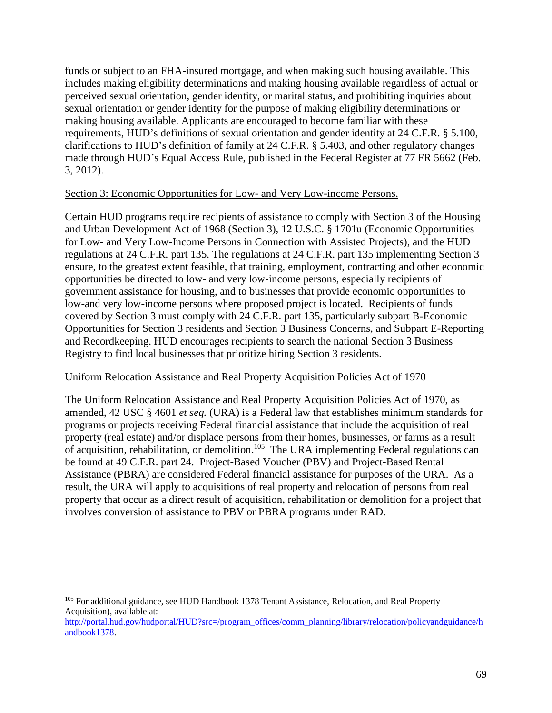funds or subject to an FHA-insured mortgage, and when making such housing available. This includes making eligibility determinations and making housing available regardless of actual or perceived sexual orientation, gender identity, or marital status, and prohibiting inquiries about sexual orientation or gender identity for the purpose of making eligibility determinations or making housing available. Applicants are encouraged to become familiar with these requirements, HUD's definitions of sexual orientation and gender identity at 24 C.F.R. § 5.100, clarifications to HUD's definition of family at 24 C.F.R. § 5.403, and other regulatory changes made through HUD's Equal Access Rule, published in the Federal Register at 77 FR 5662 (Feb. 3, 2012).

### Section 3: Economic Opportunities for Low- and Very Low-income Persons.

Certain HUD programs require recipients of assistance to comply with Section 3 of the Housing and Urban Development Act of 1968 (Section 3), 12 U.S.C. § 1701u (Economic Opportunities for Low- and Very Low-Income Persons in Connection with Assisted Projects), and the HUD regulations at 24 C.F.R. part 135. The regulations at 24 C.F.R. part 135 implementing Section 3 ensure, to the greatest extent feasible, that training, employment, contracting and other economic opportunities be directed to low- and very low-income persons, especially recipients of government assistance for housing, and to businesses that provide economic opportunities to low-and very low-income persons where proposed project is located. Recipients of funds covered by Section 3 must comply with 24 C.F.R. part 135, particularly subpart B-Economic Opportunities for Section 3 residents and Section 3 Business Concerns, and Subpart E-Reporting and Recordkeeping. HUD encourages recipients to search the national Section 3 Business Registry to find local businesses that prioritize hiring Section 3 residents.

#### Uniform Relocation Assistance and Real Property Acquisition Policies Act of 1970

The Uniform Relocation Assistance and Real Property Acquisition Policies Act of 1970, as amended, 42 USC § 4601 *et seq.* (URA) is a Federal law that establishes minimum standards for programs or projects receiving Federal financial assistance that include the acquisition of real property (real estate) and/or displace persons from their homes, businesses, or farms as a result of acquisition, rehabilitation, or demolition.<sup>105</sup> The URA implementing Federal regulations can be found at 49 C.F.R. part 24. Project-Based Voucher (PBV) and Project-Based Rental Assistance (PBRA) are considered Federal financial assistance for purposes of the URA. As a result, the URA will apply to acquisitions of real property and relocation of persons from real property that occur as a direct result of acquisition, rehabilitation or demolition for a project that involves conversion of assistance to PBV or PBRA programs under RAD.

<sup>105</sup> For additional guidance, see HUD Handbook 1378 Tenant Assistance, Relocation, and Real Property Acquisition), available at:

[http://portal.hud.gov/hudportal/HUD?src=/program\\_offices/comm\\_planning/library/relocation/policyandguidance/h](http://portal.hud.gov/hudportal/HUD?src=/program_offices/comm_planning/library/relocation/policyandguidance/handbook1378) [andbook1378.](http://portal.hud.gov/hudportal/HUD?src=/program_offices/comm_planning/library/relocation/policyandguidance/handbook1378)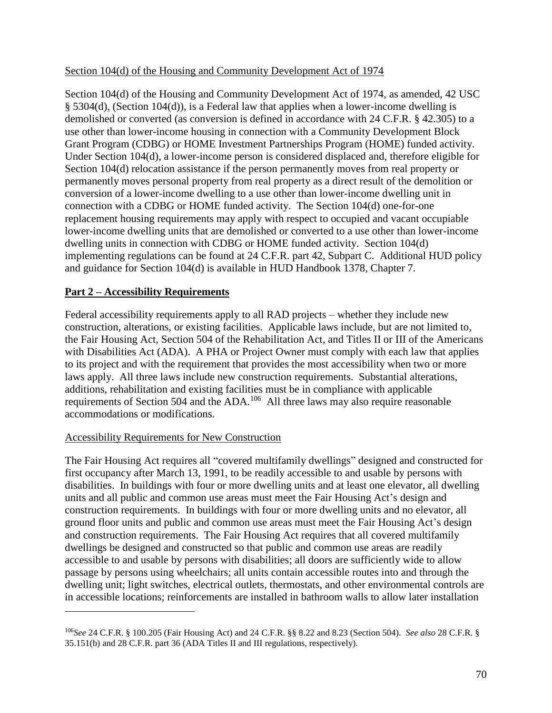#### Section 104(d) of the Housing and Community Development Act of 1974

Section 104(d) of the Housing and Community Development Act of 1974, as amended, 42 USC § 5304(d), (Section 104(d)), is a Federal law that applies when a lower-income dwelling is demolished or converted (as conversion is defined in accordance with 24 C.F.R. § 42.305) to a use other than lower-income housing in connection with a Community Development Block Grant Program (CDBG) or HOME Investment Partnerships Program (HOME) funded activity. Under Section 104(d), a lower-income person is considered displaced and, therefore eligible for Section 104(d) relocation assistance if the person permanently moves from real property or permanently moves personal property from real property as a direct result of the demolition or conversion of a lower-income dwelling to a use other than lower-income dwelling unit in connection with a CDBG or HOME funded activity. The Section 104(d) one-for-one replacement housing requirements may apply with respect to occupied and vacant occupiable lower-income dwelling units that are demolished or converted to a use other than lower-income dwelling units in connection with CDBG or HOME funded activity. Section 104(d) implementing regulations can be found at 24 C.F.R. part 42, Subpart C. Additional HUD policy and guidance for Section 104(d) is available in HUD Handbook 1378, Chapter 7.

### **Part 2 – Accessibility Requirements**

Federal accessibility requirements apply to all RAD projects – whether they include new construction, alterations, or existing facilities. Applicable laws include, but are not limited to, the Fair Housing Act, Section 504 of the Rehabilitation Act, and Titles II or III of the Americans with Disabilities Act (ADA). A PHA or Project Owner must comply with each law that applies to its project and with the requirement that provides the most accessibility when two or more laws apply. All three laws include new construction requirements. Substantial alterations, additions, rehabilitation and existing facilities must be in compliance with applicable requirements of Section 504 and the ADA.<sup>106</sup> All three laws may also require reasonable accommodations or modifications.

#### Accessibility Requirements for New Construction

 $\overline{a}$ 

The Fair Housing Act requires all "covered multifamily dwellings" designed and constructed for first occupancy after March 13, 1991, to be readily accessible to and usable by persons with disabilities. In buildings with four or more dwelling units and at least one elevator, all dwelling units and all public and common use areas must meet the Fair Housing Act's design and construction requirements. In buildings with four or more dwelling units and no elevator, all ground floor units and public and common use areas must meet the Fair Housing Act's design and construction requirements. The Fair Housing Act requires that all covered multifamily dwellings be designed and constructed so that public and common use areas are readily accessible to and usable by persons with disabilities; all doors are sufficiently wide to allow passage by persons using wheelchairs; all units contain accessible routes into and through the dwelling unit; light switches, electrical outlets, thermostats, and other environmental controls are in accessible locations; reinforcements are installed in bathroom walls to allow later installation

<sup>106</sup>*See* 24 C.F.R. § 100.205 (Fair Housing Act) and 24 C.F.R. §§ 8.22 and 8.23 (Section 504). *See also* 28 C.F.R. § 35.151(b) and 28 C.F.R. part 36 (ADA Titles II and III regulations, respectively).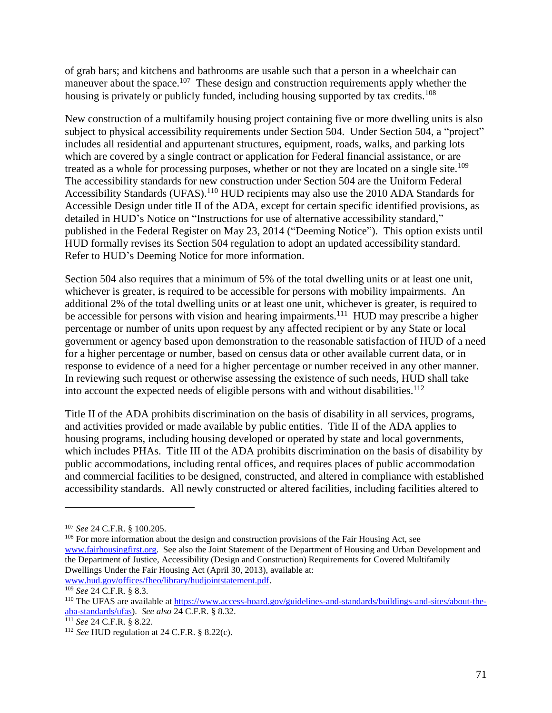of grab bars; and kitchens and bathrooms are usable such that a person in a wheelchair can maneuver about the space.<sup>107</sup> These design and construction requirements apply whether the housing is privately or publicly funded, including housing supported by tax credits.<sup>108</sup>

New construction of a multifamily housing project containing five or more dwelling units is also subject to physical accessibility requirements under Section 504. Under Section 504, a "project" includes all residential and appurtenant structures, equipment, roads, walks, and parking lots which are covered by a single contract or application for Federal financial assistance, or are treated as a whole for processing purposes, whether or not they are located on a single site.<sup>109</sup> The accessibility standards for new construction under Section 504 are the Uniform Federal Accessibility Standards (UFAS).<sup>110</sup> HUD recipients may also use the 2010 ADA Standards for Accessible Design under title II of the ADA, except for certain specific identified provisions, as detailed in HUD's Notice on "Instructions for use of alternative accessibility standard," published in the Federal Register on May 23, 2014 ("Deeming Notice"). This option exists until HUD formally revises its Section 504 regulation to adopt an updated accessibility standard. Refer to HUD's Deeming Notice for more information.

Section 504 also requires that a minimum of 5% of the total dwelling units or at least one unit, whichever is greater, is required to be accessible for persons with mobility impairments. An additional 2% of the total dwelling units or at least one unit, whichever is greater, is required to be accessible for persons with vision and hearing impairments.<sup>111</sup> HUD may prescribe a higher percentage or number of units upon request by any affected recipient or by any State or local government or agency based upon demonstration to the reasonable satisfaction of HUD of a need for a higher percentage or number, based on census data or other available current data, or in response to evidence of a need for a higher percentage or number received in any other manner. In reviewing such request or otherwise assessing the existence of such needs, HUD shall take into account the expected needs of eligible persons with and without disabilities.<sup>112</sup>

Title II of the ADA prohibits discrimination on the basis of disability in all services, programs, and activities provided or made available by public entities. Title II of the ADA applies to housing programs, including housing developed or operated by state and local governments, which includes PHAs. Title III of the ADA prohibits discrimination on the basis of disability by public accommodations, including rental offices, and requires places of public accommodation and commercial facilities to be designed, constructed, and altered in compliance with established accessibility standards. All newly constructed or altered facilities, including facilities altered to

<sup>107</sup> *See* 24 C.F.R. § 100.205.

<sup>&</sup>lt;sup>108</sup> For more information about the design and construction provisions of the Fair Housing Act, see [www.fairhousingfirst.org.](http://www.fairhousingfirst.org/) See also the Joint Statement of the Department of Housing and Urban Development and the Department of Justice, Accessibility (Design and Construction) Requirements for Covered Multifamily Dwellings Under the Fair Housing Act (April 30, 2013), available at:

[www.hud.gov/offices/fheo/library/hudjointstatement.pdf.](http://www.hud.gov/offices/fheo/library/hudjointstatement.pdf)

<sup>109</sup> *See* 24 C.F.R. § 8.3.

<sup>&</sup>lt;sup>110</sup> The UFAS are available at [https://www.access-board.gov/guidelines-and-standards/buildings-and-sites/about-the](https://www.access-board.gov/guidelines-and-standards/buildings-and-sites/about-the-aba-standards/ufas)[aba-standards/ufas\)](https://www.access-board.gov/guidelines-and-standards/buildings-and-sites/about-the-aba-standards/ufas). *See also* 24 C.F.R. § 8.32.

<sup>111</sup> *See* 24 C.F.R. § 8.22.

<sup>112</sup> *See* HUD regulation at 24 C.F.R. § 8.22(c).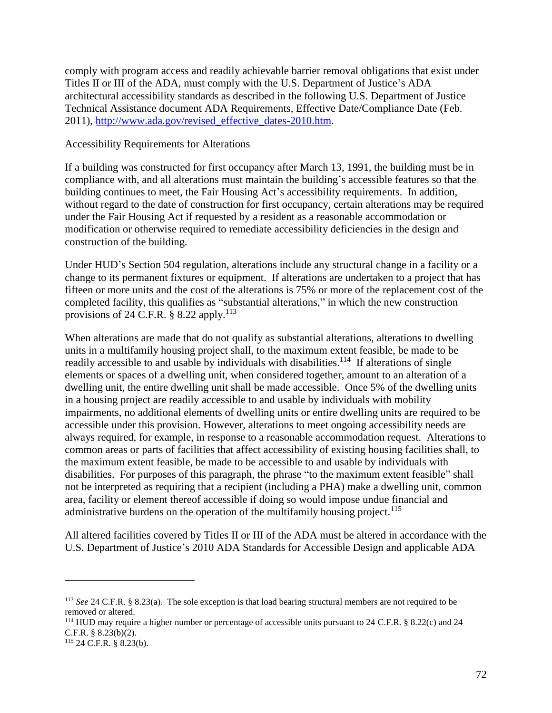comply with program access and readily achievable barrier removal obligations that exist under Titles II or III of the ADA, must comply with the U.S. Department of Justice's ADA architectural accessibility standards as described in the following U.S. Department of Justice Technical Assistance document ADA Requirements, Effective Date/Compliance Date (Feb. 2011), [http://www.ada.gov/revised\\_effective\\_dates-2010.htm.](http://www.ada.gov/revised_effective_dates-2010.htm)

#### Accessibility Requirements for Alterations

If a building was constructed for first occupancy after March 13, 1991, the building must be in compliance with, and all alterations must maintain the building's accessible features so that the building continues to meet, the Fair Housing Act's accessibility requirements. In addition, without regard to the date of construction for first occupancy, certain alterations may be required under the Fair Housing Act if requested by a resident as a reasonable accommodation or modification or otherwise required to remediate accessibility deficiencies in the design and construction of the building.

Under HUD's Section 504 regulation, alterations include any structural change in a facility or a change to its permanent fixtures or equipment. If alterations are undertaken to a project that has fifteen or more units and the cost of the alterations is 75% or more of the replacement cost of the completed facility, this qualifies as "substantial alterations," in which the new construction provisions of 24 C.F.R.  $\S$  8.22 apply.<sup>113</sup>

When alterations are made that do not qualify as substantial alterations, alterations to dwelling units in a multifamily housing project shall, to the maximum extent feasible, be made to be readily accessible to and usable by individuals with disabilities.<sup>114</sup> If alterations of single elements or spaces of a dwelling unit, when considered together, amount to an alteration of a dwelling unit, the entire dwelling unit shall be made accessible. Once 5% of the dwelling units in a housing project are readily accessible to and usable by individuals with mobility impairments, no additional elements of dwelling units or entire dwelling units are required to be accessible under this provision. However, alterations to meet ongoing accessibility needs are always required, for example, in response to a reasonable accommodation request. Alterations to common areas or parts of facilities that affect accessibility of existing housing facilities shall, to the maximum extent feasible, be made to be accessible to and usable by individuals with disabilities. For purposes of this paragraph, the phrase "to the maximum extent feasible" shall not be interpreted as requiring that a recipient (including a PHA) make a dwelling unit, common area, facility or element thereof accessible if doing so would impose undue financial and administrative burdens on the operation of the multifamily housing project.<sup>115</sup>

All altered facilities covered by Titles II or III of the ADA must be altered in accordance with the U.S. Department of Justice's 2010 ADA Standards for Accessible Design and applicable ADA

<sup>113</sup> *See* 24 C.F.R. § 8.23(a). The sole exception is that load bearing structural members are not required to be removed or altered.

<sup>114</sup> HUD may require a higher number or percentage of accessible units pursuant to 24 C.F.R. § 8.22(c) and 24 C.F.R. § 8.23(b)(2).

<sup>115</sup> 24 C.F.R. § 8.23(b).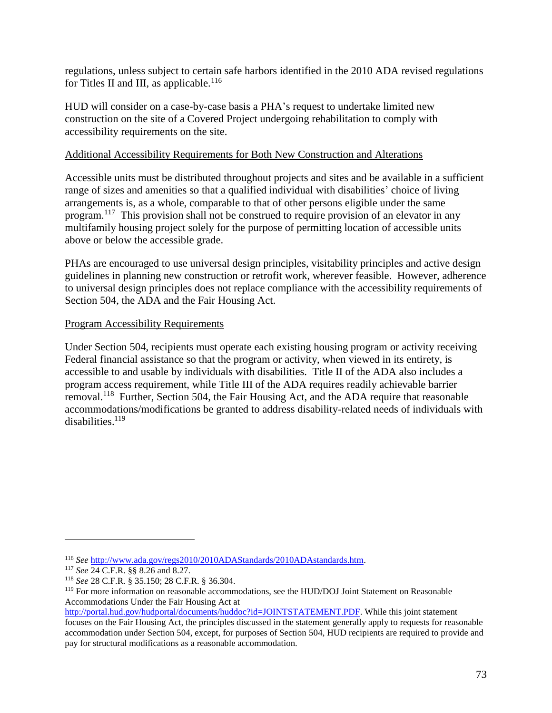regulations, unless subject to certain safe harbors identified in the 2010 ADA revised regulations for Titles II and III, as applicable.<sup>116</sup>

HUD will consider on a case-by-case basis a PHA's request to undertake limited new construction on the site of a Covered Project undergoing rehabilitation to comply with accessibility requirements on the site.

#### Additional Accessibility Requirements for Both New Construction and Alterations

Accessible units must be distributed throughout projects and sites and be available in a sufficient range of sizes and amenities so that a qualified individual with disabilities' choice of living arrangements is, as a whole, comparable to that of other persons eligible under the same program.<sup>117</sup> This provision shall not be construed to require provision of an elevator in any multifamily housing project solely for the purpose of permitting location of accessible units above or below the accessible grade.

PHAs are encouraged to use universal design principles, visitability principles and active design guidelines in planning new construction or retrofit work, wherever feasible. However, adherence to universal design principles does not replace compliance with the accessibility requirements of Section 504, the ADA and the Fair Housing Act.

#### Program Accessibility Requirements

Under Section 504, recipients must operate each existing housing program or activity receiving Federal financial assistance so that the program or activity, when viewed in its entirety, is accessible to and usable by individuals with disabilities. Title II of the ADA also includes a program access requirement, while Title III of the ADA requires readily achievable barrier removal.<sup>118</sup> Further, Section 504, the Fair Housing Act, and the ADA require that reasonable accommodations/modifications be granted to address disability-related needs of individuals with disabilities.<sup>119</sup>

 $\overline{a}$ 

<sup>116</sup> *See* [http://www.ada.gov/regs2010/2010ADAStandards/2010ADAstandards.htm.](http://www.ada.gov/regs2010/2010ADAStandards/2010ADAstandards.htm)

<sup>117</sup> *See* 24 C.F.R. §§ 8.26 and 8.27.

<sup>118</sup> *See* 28 C.F.R. § 35.150; 28 C.F.R. § 36.304.

<sup>&</sup>lt;sup>119</sup> For more information on reasonable accommodations, see the HUD/DOJ Joint Statement on Reasonable Accommodations Under the Fair Housing Act at

[http://portal.hud.gov/hudportal/documents/huddoc?id=JOINTSTATEMENT.PDF.](http://portal.hud.gov/hudportal/documents/huddoc?id=JOINTSTATEMENT.PDF) While this joint statement focuses on the Fair Housing Act, the principles discussed in the statement generally apply to requests for reasonable accommodation under Section 504, except, for purposes of Section 504, HUD recipients are required to provide and pay for structural modifications as a reasonable accommodation.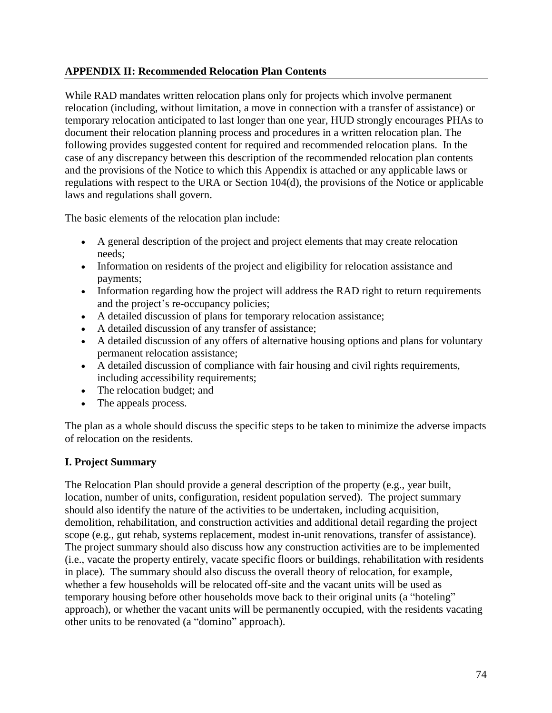#### **APPENDIX II: Recommended Relocation Plan Contents**

While RAD mandates written relocation plans only for projects which involve permanent relocation (including, without limitation, a move in connection with a transfer of assistance) or temporary relocation anticipated to last longer than one year, HUD strongly encourages PHAs to document their relocation planning process and procedures in a written relocation plan. The following provides suggested content for required and recommended relocation plans. In the case of any discrepancy between this description of the recommended relocation plan contents and the provisions of the Notice to which this Appendix is attached or any applicable laws or regulations with respect to the URA or Section 104(d), the provisions of the Notice or applicable laws and regulations shall govern.

The basic elements of the relocation plan include:

- A general description of the project and project elements that may create relocation needs;
- Information on residents of the project and eligibility for relocation assistance and payments;
- Information regarding how the project will address the RAD right to return requirements and the project's re-occupancy policies;
- A detailed discussion of plans for temporary relocation assistance;
- A detailed discussion of any transfer of assistance;
- A detailed discussion of any offers of alternative housing options and plans for voluntary permanent relocation assistance;
- A detailed discussion of compliance with fair housing and civil rights requirements, including accessibility requirements;
- The relocation budget; and
- The appeals process.

The plan as a whole should discuss the specific steps to be taken to minimize the adverse impacts of relocation on the residents.

# **I. Project Summary**

The Relocation Plan should provide a general description of the property (e.g., year built, location, number of units, configuration, resident population served). The project summary should also identify the nature of the activities to be undertaken, including acquisition, demolition, rehabilitation, and construction activities and additional detail regarding the project scope (e.g., gut rehab, systems replacement, modest in-unit renovations, transfer of assistance). The project summary should also discuss how any construction activities are to be implemented (i.e., vacate the property entirely, vacate specific floors or buildings, rehabilitation with residents in place). The summary should also discuss the overall theory of relocation, for example, whether a few households will be relocated off-site and the vacant units will be used as temporary housing before other households move back to their original units (a "hoteling" approach), or whether the vacant units will be permanently occupied, with the residents vacating other units to be renovated (a "domino" approach).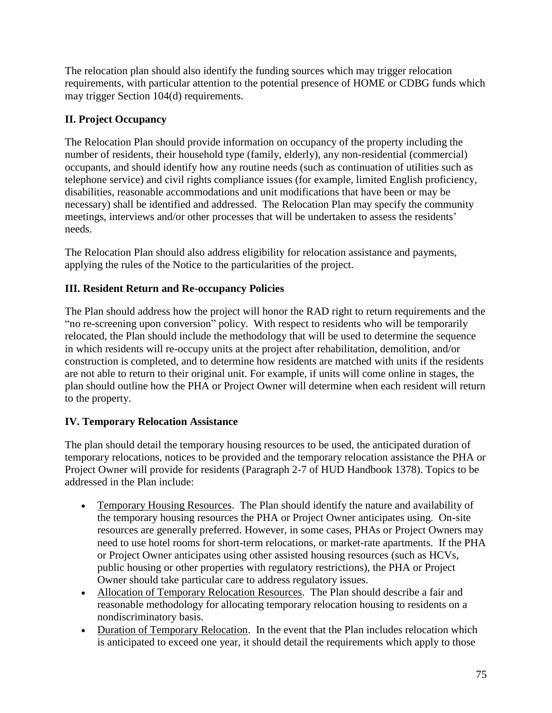The relocation plan should also identify the funding sources which may trigger relocation requirements, with particular attention to the potential presence of HOME or CDBG funds which may trigger Section 104(d) requirements.

# **II. Project Occupancy**

The Relocation Plan should provide information on occupancy of the property including the number of residents, their household type (family, elderly), any non-residential (commercial) occupants, and should identify how any routine needs (such as continuation of utilities such as telephone service) and civil rights compliance issues (for example, limited English proficiency, disabilities, reasonable accommodations and unit modifications that have been or may be necessary) shall be identified and addressed. The Relocation Plan may specify the community meetings, interviews and/or other processes that will be undertaken to assess the residents' needs.

The Relocation Plan should also address eligibility for relocation assistance and payments, applying the rules of the Notice to the particularities of the project.

# **III. Resident Return and Re-occupancy Policies**

The Plan should address how the project will honor the RAD right to return requirements and the "no re-screening upon conversion" policy. With respect to residents who will be temporarily relocated, the Plan should include the methodology that will be used to determine the sequence in which residents will re-occupy units at the project after rehabilitation, demolition, and/or construction is completed, and to determine how residents are matched with units if the residents are not able to return to their original unit. For example, if units will come online in stages, the plan should outline how the PHA or Project Owner will determine when each resident will return to the property.

# **IV. Temporary Relocation Assistance**

The plan should detail the temporary housing resources to be used, the anticipated duration of temporary relocations, notices to be provided and the temporary relocation assistance the PHA or Project Owner will provide for residents (Paragraph 2-7 of HUD Handbook 1378). Topics to be addressed in the Plan include:

- Temporary Housing Resources. The Plan should identify the nature and availability of the temporary housing resources the PHA or Project Owner anticipates using. On-site resources are generally preferred. However, in some cases, PHAs or Project Owners may need to use hotel rooms for short-term relocations, or market-rate apartments. If the PHA or Project Owner anticipates using other assisted housing resources (such as HCVs, public housing or other properties with regulatory restrictions), the PHA or Project Owner should take particular care to address regulatory issues.
- Allocation of Temporary Relocation Resources. The Plan should describe a fair and reasonable methodology for allocating temporary relocation housing to residents on a nondiscriminatory basis.
- Duration of Temporary Relocation. In the event that the Plan includes relocation which is anticipated to exceed one year, it should detail the requirements which apply to those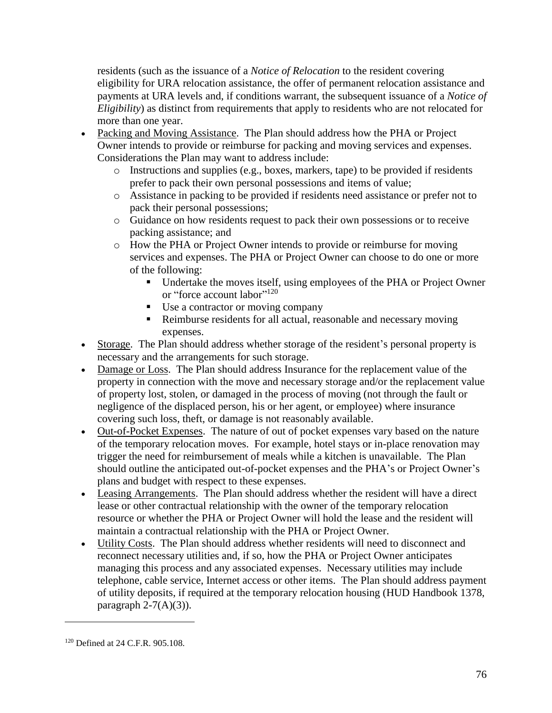residents (such as the issuance of a *Notice of Relocation* to the resident covering eligibility for URA relocation assistance, the offer of permanent relocation assistance and payments at URA levels and, if conditions warrant, the subsequent issuance of a *Notice of Eligibility*) as distinct from requirements that apply to residents who are not relocated for more than one year.

- Packing and Moving Assistance. The Plan should address how the PHA or Project Owner intends to provide or reimburse for packing and moving services and expenses. Considerations the Plan may want to address include:
	- o Instructions and supplies (e.g., boxes, markers, tape) to be provided if residents prefer to pack their own personal possessions and items of value;
	- o Assistance in packing to be provided if residents need assistance or prefer not to pack their personal possessions;
	- o Guidance on how residents request to pack their own possessions or to receive packing assistance; and
	- o How the PHA or Project Owner intends to provide or reimburse for moving services and expenses. The PHA or Project Owner can choose to do one or more of the following:
		- Undertake the moves itself, using employees of the PHA or Project Owner or "force account labor" 120
		- Use a contractor or moving company
		- Reimburse residents for all actual, reasonable and necessary moving expenses.
- Storage. The Plan should address whether storage of the resident's personal property is necessary and the arrangements for such storage.
- Damage or Loss. The Plan should address Insurance for the replacement value of the property in connection with the move and necessary storage and/or the replacement value of property lost, stolen, or damaged in the process of moving (not through the fault or negligence of the displaced person, his or her agent, or employee) where insurance covering such loss, theft, or damage is not reasonably available.
- Out-of-Pocket Expenses. The nature of out of pocket expenses vary based on the nature of the temporary relocation moves. For example, hotel stays or in-place renovation may trigger the need for reimbursement of meals while a kitchen is unavailable. The Plan should outline the anticipated out-of-pocket expenses and the PHA's or Project Owner's plans and budget with respect to these expenses.
- Leasing Arrangements. The Plan should address whether the resident will have a direct lease or other contractual relationship with the owner of the temporary relocation resource or whether the PHA or Project Owner will hold the lease and the resident will maintain a contractual relationship with the PHA or Project Owner.
- Utility Costs. The Plan should address whether residents will need to disconnect and reconnect necessary utilities and, if so, how the PHA or Project Owner anticipates managing this process and any associated expenses. Necessary utilities may include telephone, cable service, Internet access or other items. The Plan should address payment of utility deposits, if required at the temporary relocation housing (HUD Handbook 1378, paragraph  $2-7(A)(3)$ ).

 $\overline{a}$ 

<sup>120</sup> Defined at 24 C.F.R. 905.108.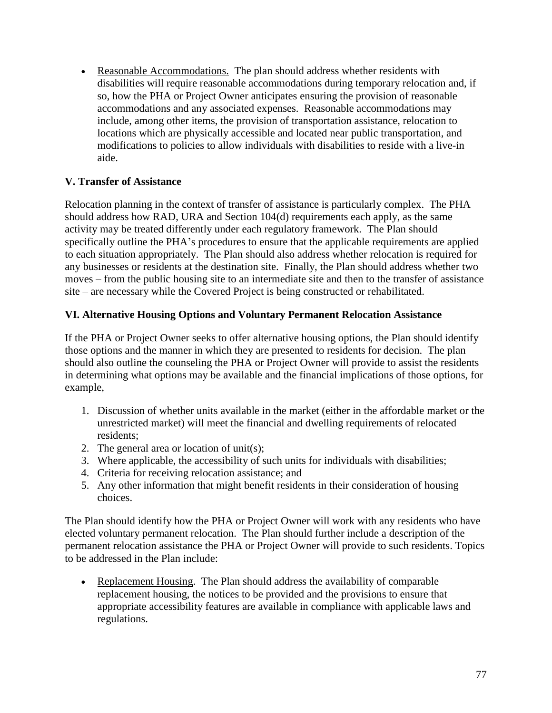Reasonable Accommodations. The plan should address whether residents with disabilities will require reasonable accommodations during temporary relocation and, if so, how the PHA or Project Owner anticipates ensuring the provision of reasonable accommodations and any associated expenses. Reasonable accommodations may include, among other items, the provision of transportation assistance, relocation to locations which are physically accessible and located near public transportation, and modifications to policies to allow individuals with disabilities to reside with a live-in aide.

### **V. Transfer of Assistance**

Relocation planning in the context of transfer of assistance is particularly complex. The PHA should address how RAD, URA and Section 104(d) requirements each apply, as the same activity may be treated differently under each regulatory framework. The Plan should specifically outline the PHA's procedures to ensure that the applicable requirements are applied to each situation appropriately. The Plan should also address whether relocation is required for any businesses or residents at the destination site. Finally, the Plan should address whether two moves – from the public housing site to an intermediate site and then to the transfer of assistance site – are necessary while the Covered Project is being constructed or rehabilitated.

#### **VI. Alternative Housing Options and Voluntary Permanent Relocation Assistance**

If the PHA or Project Owner seeks to offer alternative housing options, the Plan should identify those options and the manner in which they are presented to residents for decision. The plan should also outline the counseling the PHA or Project Owner will provide to assist the residents in determining what options may be available and the financial implications of those options, for example,

- 1. Discussion of whether units available in the market (either in the affordable market or the unrestricted market) will meet the financial and dwelling requirements of relocated residents;
- 2. The general area or location of unit(s);
- 3. Where applicable, the accessibility of such units for individuals with disabilities;
- 4. Criteria for receiving relocation assistance; and
- 5. Any other information that might benefit residents in their consideration of housing choices.

The Plan should identify how the PHA or Project Owner will work with any residents who have elected voluntary permanent relocation. The Plan should further include a description of the permanent relocation assistance the PHA or Project Owner will provide to such residents. Topics to be addressed in the Plan include:

• Replacement Housing. The Plan should address the availability of comparable replacement housing, the notices to be provided and the provisions to ensure that appropriate accessibility features are available in compliance with applicable laws and regulations.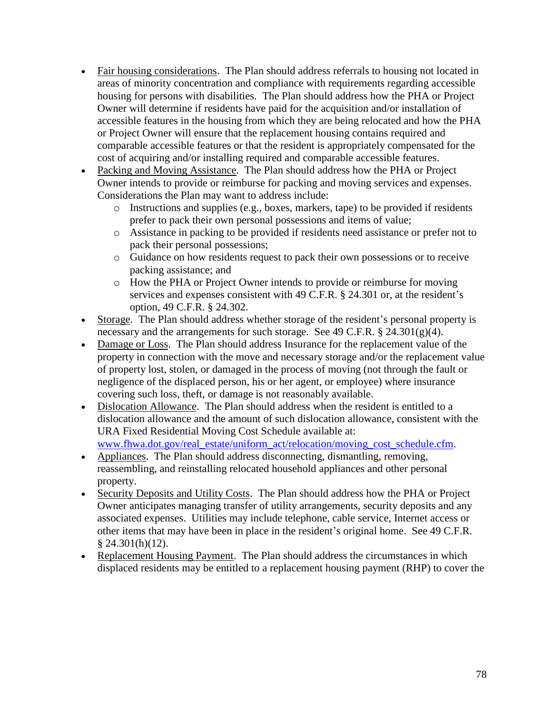- Fair housing considerations. The Plan should address referrals to housing not located in areas of minority concentration and compliance with requirements regarding accessible housing for persons with disabilities. The Plan should address how the PHA or Project Owner will determine if residents have paid for the acquisition and/or installation of accessible features in the housing from which they are being relocated and how the PHA or Project Owner will ensure that the replacement housing contains required and comparable accessible features or that the resident is appropriately compensated for the cost of acquiring and/or installing required and comparable accessible features.
- Packing and Moving Assistance. The Plan should address how the PHA or Project Owner intends to provide or reimburse for packing and moving services and expenses. Considerations the Plan may want to address include:
	- o Instructions and supplies (e.g., boxes, markers, tape) to be provided if residents prefer to pack their own personal possessions and items of value;
	- o Assistance in packing to be provided if residents need assistance or prefer not to pack their personal possessions;
	- o Guidance on how residents request to pack their own possessions or to receive packing assistance; and
	- o How the PHA or Project Owner intends to provide or reimburse for moving services and expenses consistent with 49 C.F.R. § 24.301 or, at the resident's option, 49 C.F.R. § 24.302.
- Storage. The Plan should address whether storage of the resident's personal property is necessary and the arrangements for such storage. See 49 C.F.R. § 24.301(g)(4).
- Damage or Loss. The Plan should address Insurance for the replacement value of the property in connection with the move and necessary storage and/or the replacement value of property lost, stolen, or damaged in the process of moving (not through the fault or negligence of the displaced person, his or her agent, or employee) where insurance covering such loss, theft, or damage is not reasonably available.
- Dislocation Allowance. The Plan should address when the resident is entitled to a dislocation allowance and the amount of such dislocation allowance, consistent with the URA Fixed Residential Moving Cost Schedule available at: [www.fhwa.dot.gov/real\\_estate/uniform\\_act/relocation/moving\\_cost\\_schedule.cfm.](http://www.fhwa.dot.gov/real_estate/uniform_act/relocation/moving_cost_schedule.cfm)
- Appliances. The Plan should address disconnecting, dismantling, removing, reassembling, and reinstalling relocated household appliances and other personal property.
- Security Deposits and Utility Costs. The Plan should address how the PHA or Project Owner anticipates managing transfer of utility arrangements, security deposits and any associated expenses. Utilities may include telephone, cable service, Internet access or other items that may have been in place in the resident's original home. See 49 C.F.R.  $§$  24.301(h)(12).
- Replacement Housing Payment. The Plan should address the circumstances in which displaced residents may be entitled to a replacement housing payment (RHP) to cover the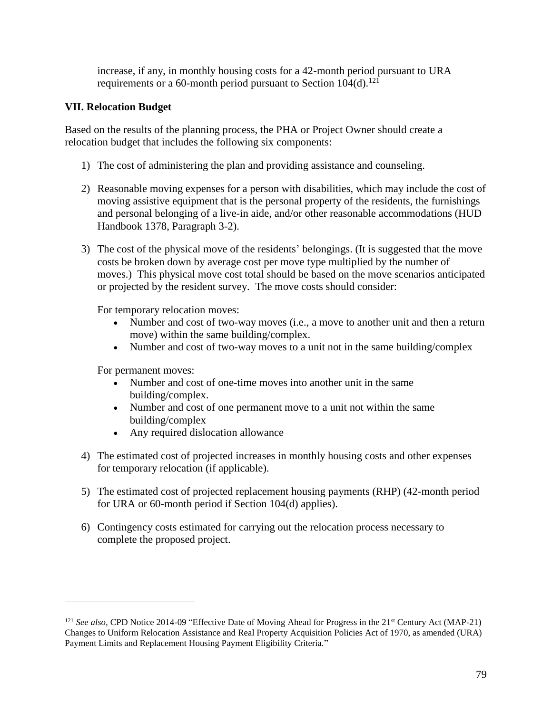increase, if any, in monthly housing costs for a 42-month period pursuant to URA requirements or a 60-month period pursuant to Section  $104(d)$ <sup>121</sup>

### **VII. Relocation Budget**

Based on the results of the planning process, the PHA or Project Owner should create a relocation budget that includes the following six components:

- 1) The cost of administering the plan and providing assistance and counseling.
- 2) Reasonable moving expenses for a person with disabilities, which may include the cost of moving assistive equipment that is the personal property of the residents, the furnishings and personal belonging of a live-in aide, and/or other reasonable accommodations (HUD Handbook 1378, Paragraph 3-2).
- 3) The cost of the physical move of the residents' belongings. (It is suggested that the move costs be broken down by average cost per move type multiplied by the number of moves.) This physical move cost total should be based on the move scenarios anticipated or projected by the resident survey. The move costs should consider:

For temporary relocation moves:

- Number and cost of two-way moves (i.e., a move to another unit and then a return move) within the same building/complex.
- Number and cost of two-way moves to a unit not in the same building/complex

For permanent moves:

 $\overline{a}$ 

- Number and cost of one-time moves into another unit in the same building/complex.
- Number and cost of one permanent move to a unit not within the same building/complex
- Any required dislocation allowance
- 4) The estimated cost of projected increases in monthly housing costs and other expenses for temporary relocation (if applicable).
- 5) The estimated cost of projected replacement housing payments (RHP) (42-month period for URA or 60-month period if Section 104(d) applies).
- 6) Contingency costs estimated for carrying out the relocation process necessary to complete the proposed project.

<sup>&</sup>lt;sup>121</sup> *See also,* CPD Notice 2014-09 "Effective Date of Moving Ahead for Progress in the 21<sup>st</sup> Century Act (MAP-21) Changes to Uniform Relocation Assistance and Real Property Acquisition Policies Act of 1970, as amended (URA) Payment Limits and Replacement Housing Payment Eligibility Criteria."